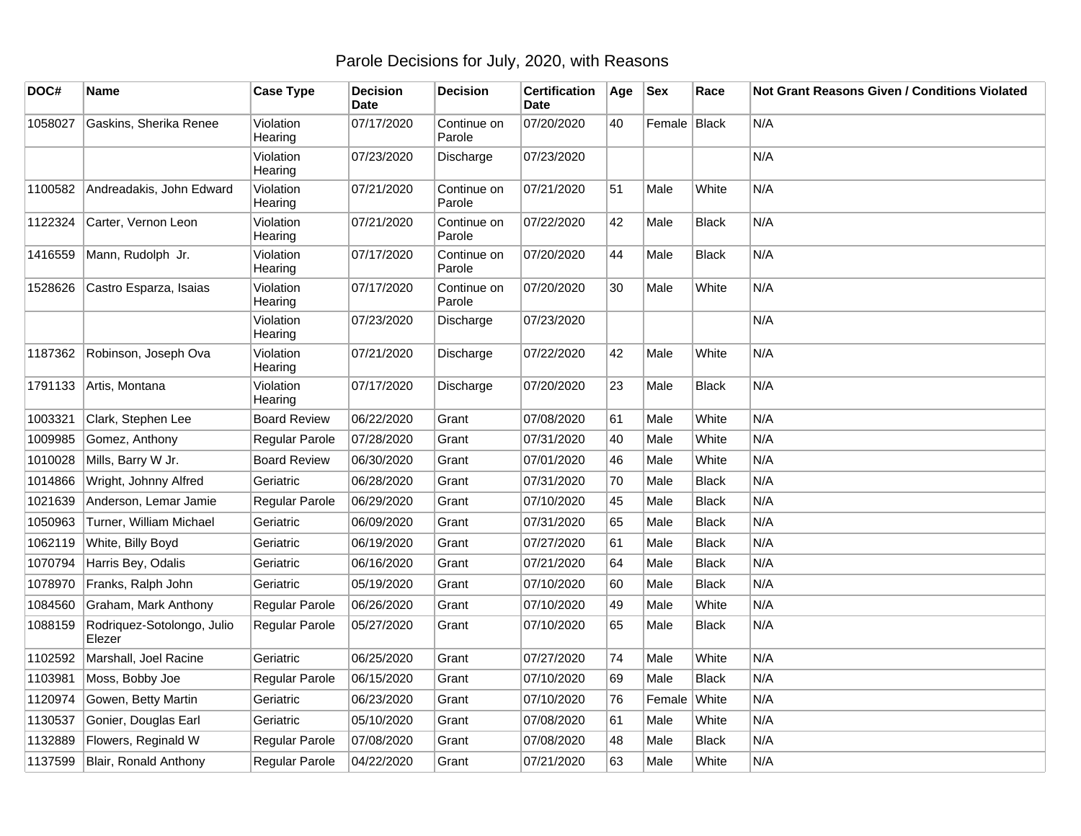## Parole Decisions for July, 2020, with Reasons

| DOC#    | Name                                 | <b>Case Type</b>     | <b>Decision</b><br><b>Date</b> | <b>Decision</b>       | <b>Certification</b><br><b>Date</b> | Age | <b>Sex</b>   | Race         | Not Grant Reasons Given / Conditions Violated |
|---------|--------------------------------------|----------------------|--------------------------------|-----------------------|-------------------------------------|-----|--------------|--------------|-----------------------------------------------|
| 1058027 | Gaskins, Sherika Renee               | Violation<br>Hearing | 07/17/2020                     | Continue on<br>Parole | 07/20/2020                          | 40  | Female Black |              | N/A                                           |
|         |                                      | Violation<br>Hearing | 07/23/2020                     | Discharge             | 07/23/2020                          |     |              |              | N/A                                           |
| 1100582 | Andreadakis, John Edward             | Violation<br>Hearing | 07/21/2020                     | Continue on<br>Parole | 07/21/2020                          | 51  | Male         | White        | N/A                                           |
| 1122324 | Carter, Vernon Leon                  | Violation<br>Hearing | 07/21/2020                     | Continue on<br>Parole | 07/22/2020                          | 42  | Male         | <b>Black</b> | N/A                                           |
| 1416559 | Mann, Rudolph Jr.                    | Violation<br>Hearing | 07/17/2020                     | Continue on<br>Parole | 07/20/2020                          | 44  | Male         | <b>Black</b> | N/A                                           |
| 1528626 | Castro Esparza, Isaias               | Violation<br>Hearing | 07/17/2020                     | Continue on<br>Parole | 07/20/2020                          | 30  | Male         | White        | N/A                                           |
|         |                                      | Violation<br>Hearing | 07/23/2020                     | Discharge             | 07/23/2020                          |     |              |              | N/A                                           |
| 1187362 | Robinson, Joseph Ova                 | Violation<br>Hearing | 07/21/2020                     | Discharge             | 07/22/2020                          | 42  | Male         | White        | N/A                                           |
| 1791133 | Artis, Montana                       | Violation<br>Hearing | 07/17/2020                     | Discharge             | 07/20/2020                          | 23  | Male         | <b>Black</b> | N/A                                           |
| 1003321 | Clark, Stephen Lee                   | <b>Board Review</b>  | 06/22/2020                     | Grant                 | 07/08/2020                          | 61  | Male         | White        | N/A                                           |
| 1009985 | Gomez, Anthony                       | Regular Parole       | 07/28/2020                     | Grant                 | 07/31/2020                          | 40  | Male         | White        | N/A                                           |
| 1010028 | Mills, Barry W Jr.                   | <b>Board Review</b>  | 06/30/2020                     | Grant                 | 07/01/2020                          | 46  | Male         | White        | N/A                                           |
| 1014866 | Wright, Johnny Alfred                | Geriatric            | 06/28/2020                     | Grant                 | 07/31/2020                          | 70  | Male         | <b>Black</b> | N/A                                           |
| 1021639 | Anderson, Lemar Jamie                | Regular Parole       | 06/29/2020                     | Grant                 | 07/10/2020                          | 45  | Male         | <b>Black</b> | N/A                                           |
| 1050963 | Turner, William Michael              | Geriatric            | 06/09/2020                     | Grant                 | 07/31/2020                          | 65  | Male         | <b>Black</b> | N/A                                           |
| 1062119 | White, Billy Boyd                    | Geriatric            | 06/19/2020                     | Grant                 | 07/27/2020                          | 61  | Male         | <b>Black</b> | N/A                                           |
| 1070794 | Harris Bey, Odalis                   | Geriatric            | 06/16/2020                     | Grant                 | 07/21/2020                          | 64  | Male         | <b>Black</b> | N/A                                           |
| 1078970 | Franks, Ralph John                   | Geriatric            | 05/19/2020                     | Grant                 | 07/10/2020                          | 60  | Male         | <b>Black</b> | N/A                                           |
| 1084560 | Graham, Mark Anthony                 | Regular Parole       | 06/26/2020                     | Grant                 | 07/10/2020                          | 49  | Male         | White        | N/A                                           |
| 1088159 | Rodriquez-Sotolongo, Julio<br>Elezer | Regular Parole       | 05/27/2020                     | Grant                 | 07/10/2020                          | 65  | Male         | <b>Black</b> | N/A                                           |
| 1102592 | Marshall, Joel Racine                | Geriatric            | 06/25/2020                     | Grant                 | 07/27/2020                          | 74  | Male         | White        | N/A                                           |
| 1103981 | Moss, Bobby Joe                      | Regular Parole       | 06/15/2020                     | Grant                 | 07/10/2020                          | 69  | Male         | <b>Black</b> | N/A                                           |
| 1120974 | Gowen, Betty Martin                  | Geriatric            | 06/23/2020                     | Grant                 | 07/10/2020                          | 76  | Female       | White        | N/A                                           |
| 1130537 | Gonier, Douglas Earl                 | Geriatric            | 05/10/2020                     | Grant                 | 07/08/2020                          | 61  | Male         | White        | N/A                                           |
| 1132889 | Flowers, Reginald W                  | Regular Parole       | 07/08/2020                     | Grant                 | 07/08/2020                          | 48  | Male         | <b>Black</b> | N/A                                           |
| 1137599 | Blair, Ronald Anthony                | Regular Parole       | 04/22/2020                     | Grant                 | 07/21/2020                          | 63  | Male         | White        | N/A                                           |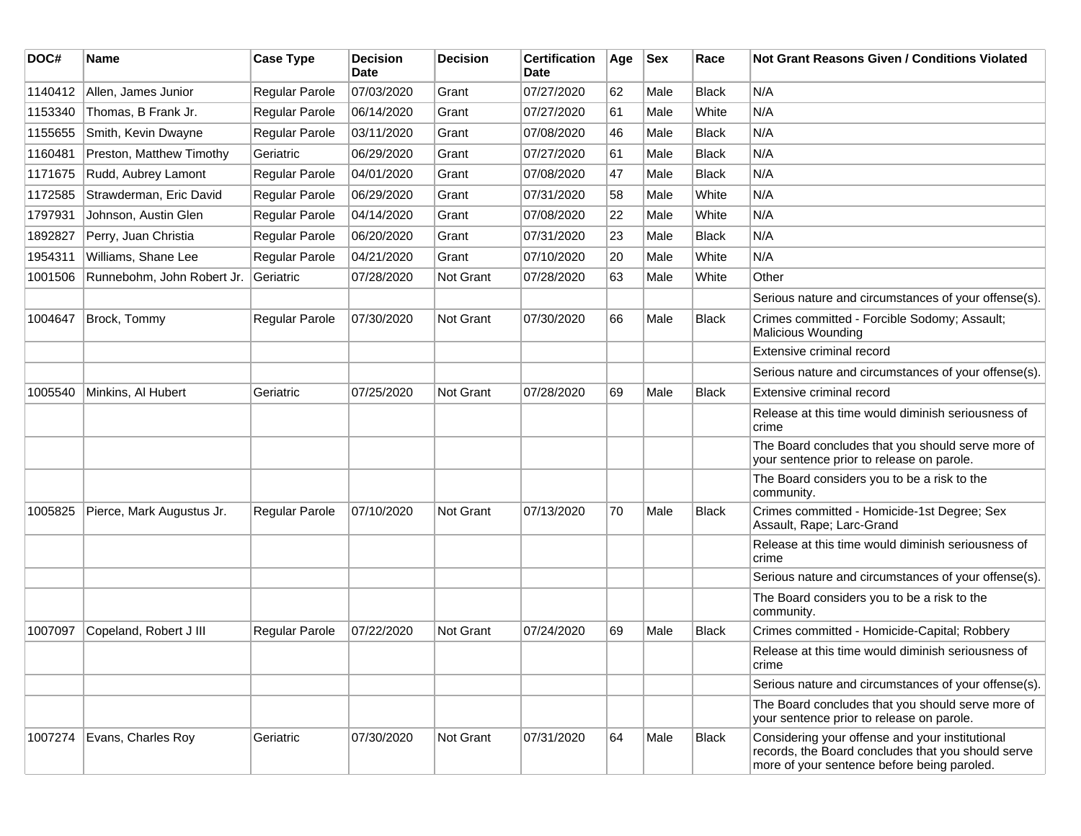| DOC#    | <b>Name</b>                | <b>Case Type</b>      | <b>Decision</b><br><b>Date</b> | <b>Decision</b>  | <b>Certification</b><br>Date | Age | <b>Sex</b> | Race         | Not Grant Reasons Given / Conditions Violated                                                                                                        |
|---------|----------------------------|-----------------------|--------------------------------|------------------|------------------------------|-----|------------|--------------|------------------------------------------------------------------------------------------------------------------------------------------------------|
| 1140412 | Allen, James Junior        | <b>Regular Parole</b> | 07/03/2020                     | Grant            | 07/27/2020                   | 62  | Male       | <b>Black</b> | N/A                                                                                                                                                  |
| 1153340 | Thomas, B Frank Jr.        | Regular Parole        | 06/14/2020                     | Grant            | 07/27/2020                   | 61  | Male       | White        | N/A                                                                                                                                                  |
| 1155655 | Smith, Kevin Dwayne        | Regular Parole        | 03/11/2020                     | Grant            | 07/08/2020                   | 46  | Male       | Black        | N/A                                                                                                                                                  |
| 1160481 | Preston, Matthew Timothy   | Geriatric             | 06/29/2020                     | Grant            | 07/27/2020                   | 61  | Male       | Black        | N/A                                                                                                                                                  |
| 1171675 | Rudd, Aubrey Lamont        | <b>Regular Parole</b> | 04/01/2020                     | Grant            | 07/08/2020                   | 47  | Male       | <b>Black</b> | N/A                                                                                                                                                  |
| 1172585 | Strawderman, Eric David    | <b>Regular Parole</b> | 06/29/2020                     | Grant            | 07/31/2020                   | 58  | Male       | White        | N/A                                                                                                                                                  |
| 1797931 | Johnson, Austin Glen       | Regular Parole        | 04/14/2020                     | Grant            | 07/08/2020                   | 22  | Male       | White        | N/A                                                                                                                                                  |
| 1892827 | Perry, Juan Christia       | Regular Parole        | 06/20/2020                     | Grant            | 07/31/2020                   | 23  | Male       | Black        | N/A                                                                                                                                                  |
| 1954311 | Williams, Shane Lee        | Regular Parole        | 04/21/2020                     | Grant            | 07/10/2020                   | 20  | Male       | White        | N/A                                                                                                                                                  |
| 1001506 | Runnebohm, John Robert Jr. | Geriatric             | 07/28/2020                     | <b>Not Grant</b> | 07/28/2020                   | 63  | Male       | White        | Other                                                                                                                                                |
|         |                            |                       |                                |                  |                              |     |            |              | Serious nature and circumstances of your offense(s).                                                                                                 |
| 1004647 | Brock, Tommy               | Regular Parole        | 07/30/2020                     | Not Grant        | 07/30/2020                   | 66  | Male       | <b>Black</b> | Crimes committed - Forcible Sodomy; Assault;<br><b>Malicious Wounding</b>                                                                            |
|         |                            |                       |                                |                  |                              |     |            |              | Extensive criminal record                                                                                                                            |
|         |                            |                       |                                |                  |                              |     |            |              | Serious nature and circumstances of your offense(s).                                                                                                 |
| 1005540 | Minkins, Al Hubert         | Geriatric             | 07/25/2020                     | Not Grant        | 07/28/2020                   | 69  | Male       | Black        | Extensive criminal record                                                                                                                            |
|         |                            |                       |                                |                  |                              |     |            |              | Release at this time would diminish seriousness of<br>crime                                                                                          |
|         |                            |                       |                                |                  |                              |     |            |              | The Board concludes that you should serve more of<br>your sentence prior to release on parole.                                                       |
|         |                            |                       |                                |                  |                              |     |            |              | The Board considers you to be a risk to the<br>community.                                                                                            |
| 1005825 | Pierce, Mark Augustus Jr.  | Regular Parole        | 07/10/2020                     | Not Grant        | 07/13/2020                   | 70  | Male       | Black        | Crimes committed - Homicide-1st Degree; Sex<br>Assault, Rape; Larc-Grand                                                                             |
|         |                            |                       |                                |                  |                              |     |            |              | Release at this time would diminish seriousness of<br>crime                                                                                          |
|         |                            |                       |                                |                  |                              |     |            |              | Serious nature and circumstances of your offense(s).                                                                                                 |
|         |                            |                       |                                |                  |                              |     |            |              | The Board considers you to be a risk to the<br>community.                                                                                            |
| 1007097 | Copeland, Robert J III     | <b>Regular Parole</b> | 07/22/2020                     | <b>Not Grant</b> | 07/24/2020                   | 69  | Male       | Black        | Crimes committed - Homicide-Capital; Robbery                                                                                                         |
|         |                            |                       |                                |                  |                              |     |            |              | Release at this time would diminish seriousness of<br>crime                                                                                          |
|         |                            |                       |                                |                  |                              |     |            |              | Serious nature and circumstances of your offense(s).                                                                                                 |
|         |                            |                       |                                |                  |                              |     |            |              | The Board concludes that you should serve more of<br>your sentence prior to release on parole.                                                       |
| 1007274 | Evans, Charles Roy         | Geriatric             | 07/30/2020                     | Not Grant        | 07/31/2020                   | 64  | Male       | Black        | Considering your offense and your institutional<br>records, the Board concludes that you should serve<br>more of your sentence before being paroled. |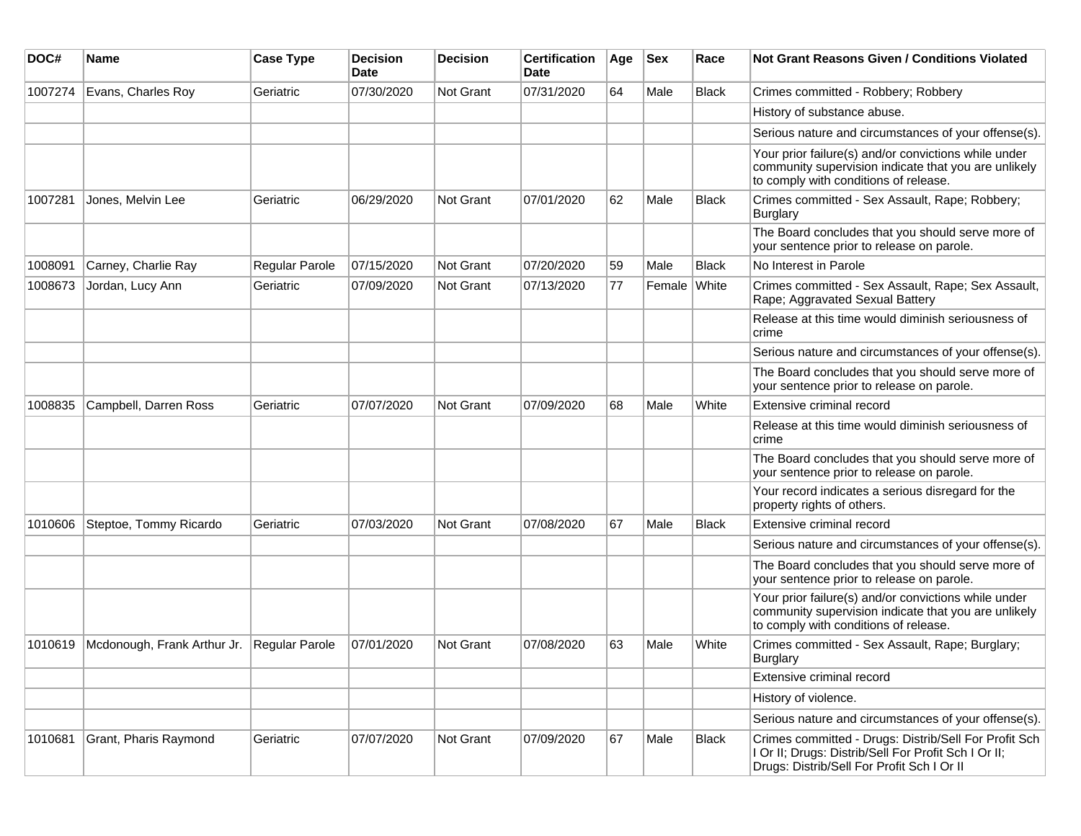| DOC#    | <b>Name</b>                                | <b>Case Type</b>      | <b>Decision</b><br><b>Date</b> | <b>Decision</b>  | <b>Certification</b><br>Date | Age | <b>Sex</b>   | Race         | <b>Not Grant Reasons Given / Conditions Violated</b>                                                                                                        |
|---------|--------------------------------------------|-----------------------|--------------------------------|------------------|------------------------------|-----|--------------|--------------|-------------------------------------------------------------------------------------------------------------------------------------------------------------|
| 1007274 | Evans, Charles Roy                         | Geriatric             | 07/30/2020                     | <b>Not Grant</b> | 07/31/2020                   | 64  | Male         | <b>Black</b> | Crimes committed - Robbery; Robbery                                                                                                                         |
|         |                                            |                       |                                |                  |                              |     |              |              | History of substance abuse.                                                                                                                                 |
|         |                                            |                       |                                |                  |                              |     |              |              | Serious nature and circumstances of your offense(s).                                                                                                        |
|         |                                            |                       |                                |                  |                              |     |              |              | Your prior failure(s) and/or convictions while under<br>community supervision indicate that you are unlikely<br>to comply with conditions of release.       |
| 1007281 | Jones, Melvin Lee                          | Geriatric             | 06/29/2020                     | <b>Not Grant</b> | 07/01/2020                   | 62  | Male         | <b>Black</b> | Crimes committed - Sex Assault, Rape; Robbery;<br>Burglary                                                                                                  |
|         |                                            |                       |                                |                  |                              |     |              |              | The Board concludes that you should serve more of<br>your sentence prior to release on parole.                                                              |
| 1008091 | Carney, Charlie Ray                        | <b>Regular Parole</b> | 07/15/2020                     | <b>Not Grant</b> | 07/20/2020                   | 59  | Male         | <b>Black</b> | No Interest in Parole                                                                                                                                       |
| 1008673 | Jordan, Lucy Ann                           | Geriatric             | 07/09/2020                     | <b>Not Grant</b> | 07/13/2020                   | 77  | Female White |              | Crimes committed - Sex Assault, Rape; Sex Assault,<br>Rape; Aggravated Sexual Battery                                                                       |
|         |                                            |                       |                                |                  |                              |     |              |              | Release at this time would diminish seriousness of<br>crime                                                                                                 |
|         |                                            |                       |                                |                  |                              |     |              |              | Serious nature and circumstances of your offense(s).                                                                                                        |
|         |                                            |                       |                                |                  |                              |     |              |              | The Board concludes that you should serve more of<br>your sentence prior to release on parole.                                                              |
| 1008835 | Campbell, Darren Ross                      | Geriatric             | 07/07/2020                     | Not Grant        | 07/09/2020                   | 68  | Male         | White        | Extensive criminal record                                                                                                                                   |
|         |                                            |                       |                                |                  |                              |     |              |              | Release at this time would diminish seriousness of<br>crime                                                                                                 |
|         |                                            |                       |                                |                  |                              |     |              |              | The Board concludes that you should serve more of<br>your sentence prior to release on parole.                                                              |
|         |                                            |                       |                                |                  |                              |     |              |              | Your record indicates a serious disregard for the<br>property rights of others.                                                                             |
| 1010606 | Steptoe, Tommy Ricardo                     | Geriatric             | 07/03/2020                     | Not Grant        | 07/08/2020                   | 67  | Male         | <b>Black</b> | Extensive criminal record                                                                                                                                   |
|         |                                            |                       |                                |                  |                              |     |              |              | Serious nature and circumstances of your offense(s).                                                                                                        |
|         |                                            |                       |                                |                  |                              |     |              |              | The Board concludes that you should serve more of<br>your sentence prior to release on parole.                                                              |
|         |                                            |                       |                                |                  |                              |     |              |              | Your prior failure(s) and/or convictions while under<br>community supervision indicate that you are unlikely<br>to comply with conditions of release.       |
| 1010619 | Mcdonough, Frank Arthur Jr. Regular Parole |                       | 07/01/2020                     | Not Grant        | 07/08/2020                   | 63  | Male         | White        | Crimes committed - Sex Assault, Rape; Burglary;<br>Burglary                                                                                                 |
|         |                                            |                       |                                |                  |                              |     |              |              | Extensive criminal record                                                                                                                                   |
|         |                                            |                       |                                |                  |                              |     |              |              | History of violence.                                                                                                                                        |
|         |                                            |                       |                                |                  |                              |     |              |              | Serious nature and circumstances of your offense(s).                                                                                                        |
| 1010681 | Grant, Pharis Raymond                      | Geriatric             | 07/07/2020                     | Not Grant        | 07/09/2020                   | 67  | Male         | Black        | Crimes committed - Drugs: Distrib/Sell For Profit Sch<br>I Or II; Drugs: Distrib/Sell For Profit Sch I Or II;<br>Drugs: Distrib/Sell For Profit Sch I Or II |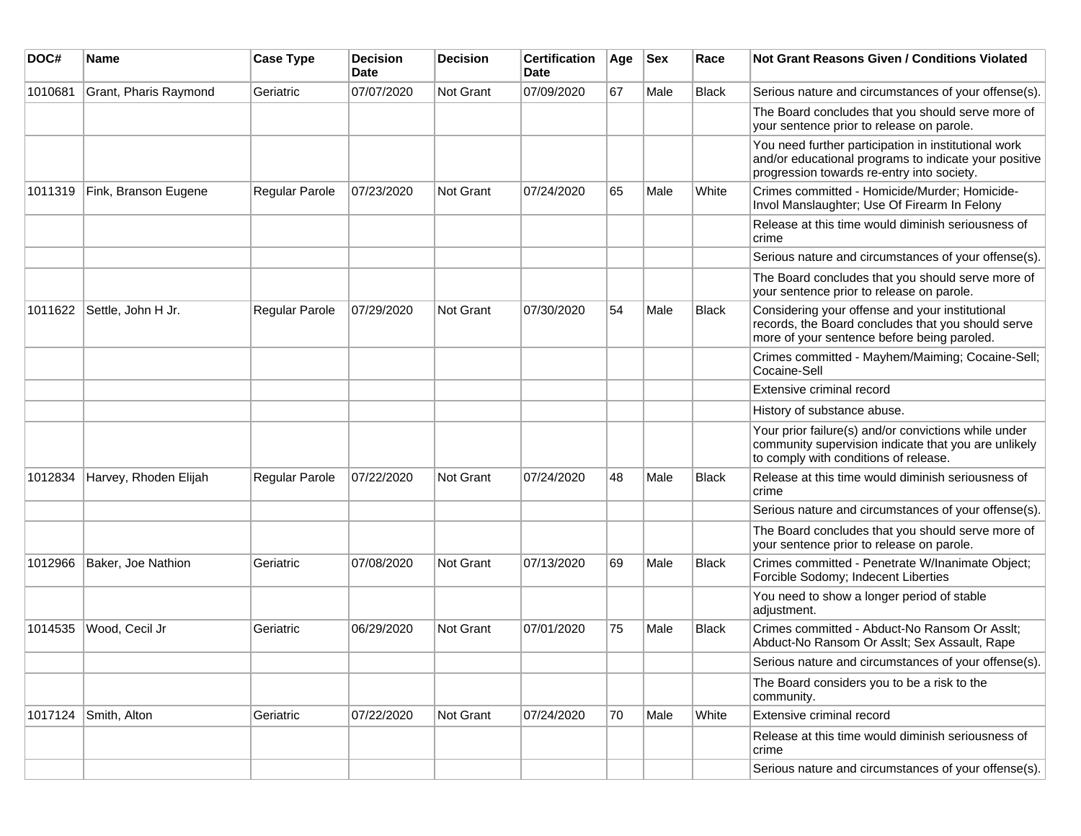| DOC#    | Name                  | <b>Case Type</b> | <b>Decision</b><br><b>Date</b> | <b>Decision</b>  | <b>Certification</b><br>Date | Age | <b>Sex</b> | Race         | Not Grant Reasons Given / Conditions Violated                                                                                                               |
|---------|-----------------------|------------------|--------------------------------|------------------|------------------------------|-----|------------|--------------|-------------------------------------------------------------------------------------------------------------------------------------------------------------|
| 1010681 | Grant, Pharis Raymond | Geriatric        | 07/07/2020                     | Not Grant        | 07/09/2020                   | 67  | Male       | <b>Black</b> | Serious nature and circumstances of your offense(s).                                                                                                        |
|         |                       |                  |                                |                  |                              |     |            |              | The Board concludes that you should serve more of<br>your sentence prior to release on parole.                                                              |
|         |                       |                  |                                |                  |                              |     |            |              | You need further participation in institutional work<br>and/or educational programs to indicate your positive<br>progression towards re-entry into society. |
| 1011319 | Fink, Branson Eugene  | Regular Parole   | 07/23/2020                     | Not Grant        | 07/24/2020                   | 65  | Male       | White        | Crimes committed - Homicide/Murder; Homicide-<br>Invol Manslaughter; Use Of Firearm In Felony                                                               |
|         |                       |                  |                                |                  |                              |     |            |              | Release at this time would diminish seriousness of<br>crime                                                                                                 |
|         |                       |                  |                                |                  |                              |     |            |              | Serious nature and circumstances of your offense(s).                                                                                                        |
|         |                       |                  |                                |                  |                              |     |            |              | The Board concludes that you should serve more of<br>your sentence prior to release on parole.                                                              |
| 1011622 | Settle, John H Jr.    | Regular Parole   | 07/29/2020                     | <b>Not Grant</b> | 07/30/2020                   | 54  | Male       | <b>Black</b> | Considering your offense and your institutional<br>records, the Board concludes that you should serve<br>more of your sentence before being paroled.        |
|         |                       |                  |                                |                  |                              |     |            |              | Crimes committed - Mayhem/Maiming; Cocaine-Sell;<br>Cocaine-Sell                                                                                            |
|         |                       |                  |                                |                  |                              |     |            |              | Extensive criminal record                                                                                                                                   |
|         |                       |                  |                                |                  |                              |     |            |              | History of substance abuse.                                                                                                                                 |
|         |                       |                  |                                |                  |                              |     |            |              | Your prior failure(s) and/or convictions while under<br>community supervision indicate that you are unlikely<br>to comply with conditions of release.       |
| 1012834 | Harvey, Rhoden Elijah | Regular Parole   | 07/22/2020                     | <b>Not Grant</b> | 07/24/2020                   | 48  | Male       | <b>Black</b> | Release at this time would diminish seriousness of<br>crime                                                                                                 |
|         |                       |                  |                                |                  |                              |     |            |              | Serious nature and circumstances of your offense(s).                                                                                                        |
|         |                       |                  |                                |                  |                              |     |            |              | The Board concludes that you should serve more of<br>your sentence prior to release on parole.                                                              |
| 1012966 | Baker, Joe Nathion    | Geriatric        | 07/08/2020                     | Not Grant        | 07/13/2020                   | 69  | Male       | <b>Black</b> | Crimes committed - Penetrate W/Inanimate Object;<br>Forcible Sodomy; Indecent Liberties                                                                     |
|         |                       |                  |                                |                  |                              |     |            |              | You need to show a longer period of stable<br>adjustment.                                                                                                   |
| 1014535 | Wood, Cecil Jr        | Geriatric        | 06/29/2020                     | Not Grant        | 07/01/2020                   | 75  | Male       | <b>Black</b> | Crimes committed - Abduct-No Ransom Or Asslt;<br>Abduct-No Ransom Or Asslt; Sex Assault, Rape                                                               |
|         |                       |                  |                                |                  |                              |     |            |              | Serious nature and circumstances of your offense(s).                                                                                                        |
|         |                       |                  |                                |                  |                              |     |            |              | The Board considers you to be a risk to the<br>community.                                                                                                   |
| 1017124 | Smith, Alton          | Geriatric        | 07/22/2020                     | Not Grant        | 07/24/2020                   | 70  | Male       | White        | Extensive criminal record                                                                                                                                   |
|         |                       |                  |                                |                  |                              |     |            |              | Release at this time would diminish seriousness of<br>crime                                                                                                 |
|         |                       |                  |                                |                  |                              |     |            |              | Serious nature and circumstances of your offense(s).                                                                                                        |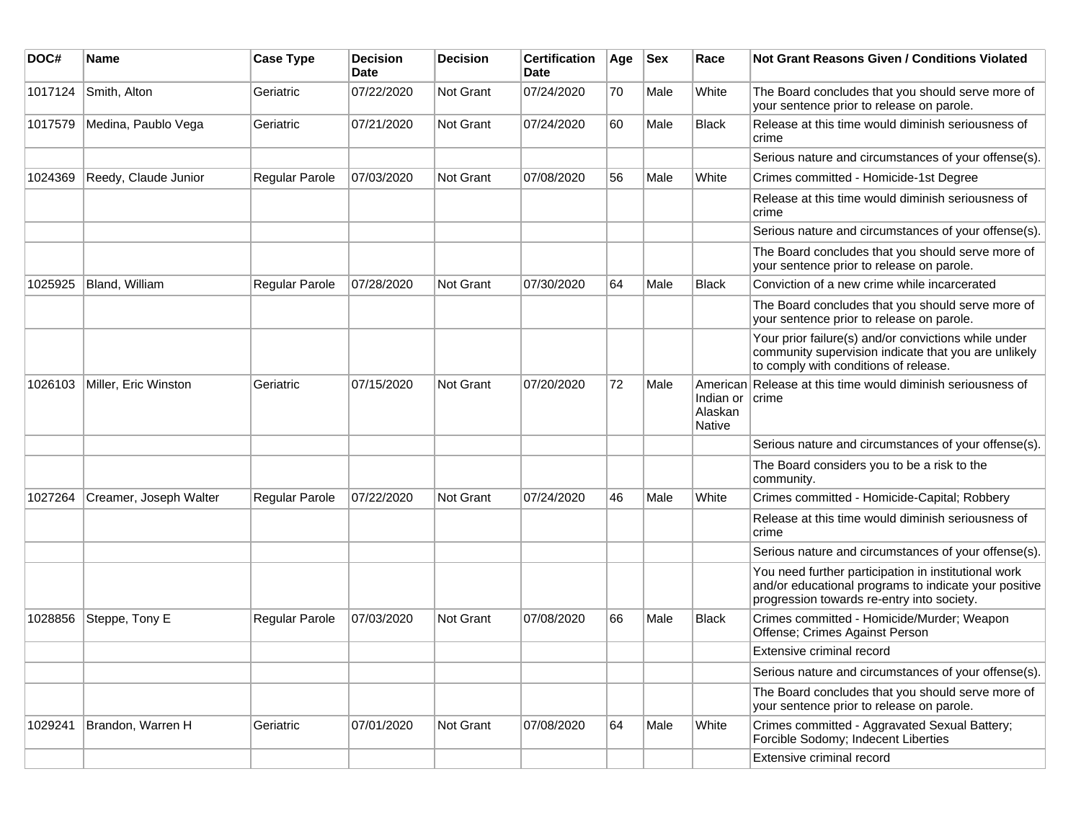| DOC#    | Name                   | <b>Case Type</b>      | <b>Decision</b><br><b>Date</b> | <b>Decision</b>  | <b>Certification</b><br>Date | Age | <b>Sex</b> | Race                                        | <b>Not Grant Reasons Given / Conditions Violated</b>                                                                                                        |
|---------|------------------------|-----------------------|--------------------------------|------------------|------------------------------|-----|------------|---------------------------------------------|-------------------------------------------------------------------------------------------------------------------------------------------------------------|
| 1017124 | Smith, Alton           | Geriatric             | 07/22/2020                     | Not Grant        | 07/24/2020                   | 70  | Male       | White                                       | The Board concludes that you should serve more of<br>your sentence prior to release on parole.                                                              |
| 1017579 | Medina, Paublo Vega    | Geriatric             | 07/21/2020                     | Not Grant        | 07/24/2020                   | 60  | Male       | <b>Black</b>                                | Release at this time would diminish seriousness of<br>crime                                                                                                 |
|         |                        |                       |                                |                  |                              |     |            |                                             | Serious nature and circumstances of your offense(s).                                                                                                        |
| 1024369 | Reedy, Claude Junior   | <b>Regular Parole</b> | 07/03/2020                     | <b>Not Grant</b> | 07/08/2020                   | 56  | Male       | White                                       | Crimes committed - Homicide-1st Degree                                                                                                                      |
|         |                        |                       |                                |                  |                              |     |            |                                             | Release at this time would diminish seriousness of<br>crime                                                                                                 |
|         |                        |                       |                                |                  |                              |     |            |                                             | Serious nature and circumstances of your offense(s).                                                                                                        |
|         |                        |                       |                                |                  |                              |     |            |                                             | The Board concludes that you should serve more of<br>your sentence prior to release on parole.                                                              |
| 1025925 | Bland, William         | Regular Parole        | 07/28/2020                     | Not Grant        | 07/30/2020                   | 64  | Male       | <b>Black</b>                                | Conviction of a new crime while incarcerated                                                                                                                |
|         |                        |                       |                                |                  |                              |     |            |                                             | The Board concludes that you should serve more of<br>your sentence prior to release on parole.                                                              |
|         |                        |                       |                                |                  |                              |     |            |                                             | Your prior failure(s) and/or convictions while under<br>community supervision indicate that you are unlikely<br>to comply with conditions of release.       |
| 1026103 | Miller, Eric Winston   | Geriatric             | 07/15/2020                     | Not Grant        | 07/20/2020                   | 72  | Male       | Indian or crime<br>Alaskan<br><b>Native</b> | American Release at this time would diminish seriousness of                                                                                                 |
|         |                        |                       |                                |                  |                              |     |            |                                             | Serious nature and circumstances of your offense(s).                                                                                                        |
|         |                        |                       |                                |                  |                              |     |            |                                             | The Board considers you to be a risk to the<br>community.                                                                                                   |
| 1027264 | Creamer, Joseph Walter | Regular Parole        | 07/22/2020                     | <b>Not Grant</b> | 07/24/2020                   | 46  | Male       | White                                       | Crimes committed - Homicide-Capital; Robbery                                                                                                                |
|         |                        |                       |                                |                  |                              |     |            |                                             | Release at this time would diminish seriousness of<br>crime                                                                                                 |
|         |                        |                       |                                |                  |                              |     |            |                                             | Serious nature and circumstances of your offense(s).                                                                                                        |
|         |                        |                       |                                |                  |                              |     |            |                                             | You need further participation in institutional work<br>and/or educational programs to indicate your positive<br>progression towards re-entry into society. |
| 1028856 | Steppe, Tony E         | Regular Parole        | 07/03/2020                     | <b>Not Grant</b> | 07/08/2020                   | 66  | Male       | Black                                       | Crimes committed - Homicide/Murder; Weapon<br>Offense; Crimes Against Person                                                                                |
|         |                        |                       |                                |                  |                              |     |            |                                             | Extensive criminal record                                                                                                                                   |
|         |                        |                       |                                |                  |                              |     |            |                                             | Serious nature and circumstances of your offense(s).                                                                                                        |
|         |                        |                       |                                |                  |                              |     |            |                                             | The Board concludes that you should serve more of<br>your sentence prior to release on parole.                                                              |
| 1029241 | Brandon, Warren H      | Geriatric             | 07/01/2020                     | Not Grant        | 07/08/2020                   | 64  | Male       | White                                       | Crimes committed - Aggravated Sexual Battery;<br>Forcible Sodomy; Indecent Liberties                                                                        |
|         |                        |                       |                                |                  |                              |     |            |                                             | Extensive criminal record                                                                                                                                   |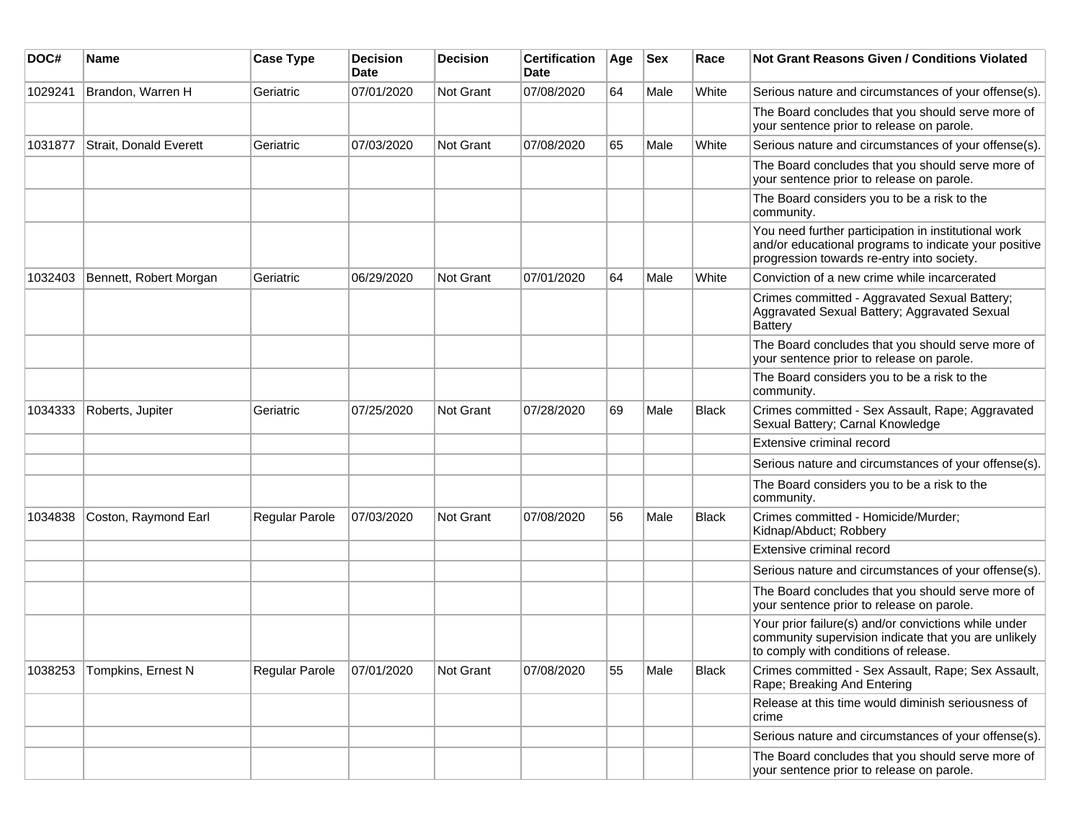| DOC#    | <b>Name</b>            | <b>Case Type</b> | <b>Decision</b><br><b>Date</b> | <b>Decision</b> | <b>Certification</b><br>Date | Age | <b>Sex</b> | Race         | Not Grant Reasons Given / Conditions Violated                                                                                                               |
|---------|------------------------|------------------|--------------------------------|-----------------|------------------------------|-----|------------|--------------|-------------------------------------------------------------------------------------------------------------------------------------------------------------|
| 1029241 | Brandon, Warren H      | Geriatric        | 07/01/2020                     | Not Grant       | 07/08/2020                   | 64  | Male       | White        | Serious nature and circumstances of your offense(s).                                                                                                        |
|         |                        |                  |                                |                 |                              |     |            |              | The Board concludes that you should serve more of<br>your sentence prior to release on parole.                                                              |
| 1031877 | Strait, Donald Everett | Geriatric        | 07/03/2020                     | Not Grant       | 07/08/2020                   | 65  | Male       | White        | Serious nature and circumstances of your offense(s).                                                                                                        |
|         |                        |                  |                                |                 |                              |     |            |              | The Board concludes that you should serve more of<br>your sentence prior to release on parole.                                                              |
|         |                        |                  |                                |                 |                              |     |            |              | The Board considers you to be a risk to the<br>community.                                                                                                   |
|         |                        |                  |                                |                 |                              |     |            |              | You need further participation in institutional work<br>and/or educational programs to indicate your positive<br>progression towards re-entry into society. |
| 1032403 | Bennett, Robert Morgan | Geriatric        | 06/29/2020                     | Not Grant       | 07/01/2020                   | 64  | Male       | White        | Conviction of a new crime while incarcerated                                                                                                                |
|         |                        |                  |                                |                 |                              |     |            |              | Crimes committed - Aggravated Sexual Battery;<br>Aggravated Sexual Battery; Aggravated Sexual<br><b>Battery</b>                                             |
|         |                        |                  |                                |                 |                              |     |            |              | The Board concludes that you should serve more of<br>your sentence prior to release on parole.                                                              |
|         |                        |                  |                                |                 |                              |     |            |              | The Board considers you to be a risk to the<br>community.                                                                                                   |
| 1034333 | Roberts, Jupiter       | Geriatric        | 07/25/2020                     | Not Grant       | 07/28/2020                   | 69  | Male       | <b>Black</b> | Crimes committed - Sex Assault, Rape; Aggravated<br>Sexual Battery; Carnal Knowledge                                                                        |
|         |                        |                  |                                |                 |                              |     |            |              | Extensive criminal record                                                                                                                                   |
|         |                        |                  |                                |                 |                              |     |            |              | Serious nature and circumstances of your offense(s).                                                                                                        |
|         |                        |                  |                                |                 |                              |     |            |              | The Board considers you to be a risk to the<br>community.                                                                                                   |
| 1034838 | Coston, Raymond Earl   | Regular Parole   | 07/03/2020                     | Not Grant       | 07/08/2020                   | 56  | Male       | <b>Black</b> | Crimes committed - Homicide/Murder;<br>Kidnap/Abduct; Robbery                                                                                               |
|         |                        |                  |                                |                 |                              |     |            |              | Extensive criminal record                                                                                                                                   |
|         |                        |                  |                                |                 |                              |     |            |              | Serious nature and circumstances of your offense(s).                                                                                                        |
|         |                        |                  |                                |                 |                              |     |            |              | The Board concludes that you should serve more of<br>your sentence prior to release on parole.                                                              |
|         |                        |                  |                                |                 |                              |     |            |              | Your prior failure(s) and/or convictions while under<br>community supervision indicate that you are unlikely<br>to comply with conditions of release.       |
| 1038253 | Tompkins, Ernest N     | Regular Parole   | 07/01/2020                     | Not Grant       | 07/08/2020                   | 55  | Male       | Black        | Crimes committed - Sex Assault, Rape; Sex Assault,<br>Rape; Breaking And Entering                                                                           |
|         |                        |                  |                                |                 |                              |     |            |              | Release at this time would diminish seriousness of<br>crime                                                                                                 |
|         |                        |                  |                                |                 |                              |     |            |              | Serious nature and circumstances of your offense(s).                                                                                                        |
|         |                        |                  |                                |                 |                              |     |            |              | The Board concludes that you should serve more of<br>your sentence prior to release on parole.                                                              |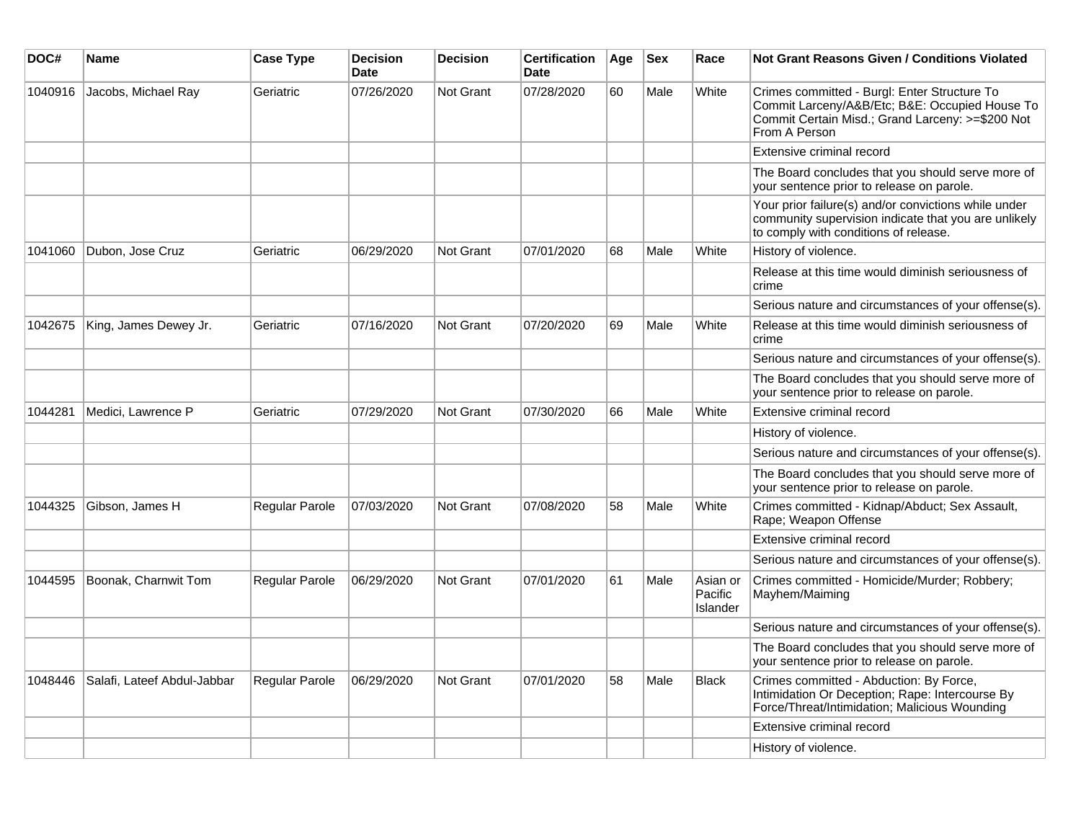| DOC#    | Name                        | <b>Case Type</b> | <b>Decision</b><br><b>Date</b> | <b>Decision</b>  | <b>Certification</b><br><b>Date</b> | Age | <b>Sex</b> | Race                            | <b>Not Grant Reasons Given / Conditions Violated</b>                                                                                                                |
|---------|-----------------------------|------------------|--------------------------------|------------------|-------------------------------------|-----|------------|---------------------------------|---------------------------------------------------------------------------------------------------------------------------------------------------------------------|
| 1040916 | Jacobs, Michael Ray         | Geriatric        | 07/26/2020                     | Not Grant        | 07/28/2020                          | 60  | Male       | White                           | Crimes committed - Burgl: Enter Structure To<br>Commit Larceny/A&B/Etc; B&E: Occupied House To<br>Commit Certain Misd.; Grand Larceny: >=\$200 Not<br>From A Person |
|         |                             |                  |                                |                  |                                     |     |            |                                 | Extensive criminal record                                                                                                                                           |
|         |                             |                  |                                |                  |                                     |     |            |                                 | The Board concludes that you should serve more of<br>your sentence prior to release on parole.                                                                      |
|         |                             |                  |                                |                  |                                     |     |            |                                 | Your prior failure(s) and/or convictions while under<br>community supervision indicate that you are unlikely<br>to comply with conditions of release.               |
| 1041060 | Dubon, Jose Cruz            | Geriatric        | 06/29/2020                     | Not Grant        | 07/01/2020                          | 68  | Male       | White                           | History of violence.                                                                                                                                                |
|         |                             |                  |                                |                  |                                     |     |            |                                 | Release at this time would diminish seriousness of<br>crime                                                                                                         |
|         |                             |                  |                                |                  |                                     |     |            |                                 | Serious nature and circumstances of your offense(s).                                                                                                                |
| 1042675 | King, James Dewey Jr.       | Geriatric        | 07/16/2020                     | <b>Not Grant</b> | 07/20/2020                          | 69  | Male       | White                           | Release at this time would diminish seriousness of<br>crime                                                                                                         |
|         |                             |                  |                                |                  |                                     |     |            |                                 | Serious nature and circumstances of your offense(s).                                                                                                                |
|         |                             |                  |                                |                  |                                     |     |            |                                 | The Board concludes that you should serve more of<br>your sentence prior to release on parole.                                                                      |
| 1044281 | Medici, Lawrence P          | Geriatric        | 07/29/2020                     | <b>Not Grant</b> | 07/30/2020                          | 66  | Male       | White                           | Extensive criminal record                                                                                                                                           |
|         |                             |                  |                                |                  |                                     |     |            |                                 | History of violence.                                                                                                                                                |
|         |                             |                  |                                |                  |                                     |     |            |                                 | Serious nature and circumstances of your offense(s).                                                                                                                |
|         |                             |                  |                                |                  |                                     |     |            |                                 | The Board concludes that you should serve more of<br>your sentence prior to release on parole.                                                                      |
| 1044325 | Gibson, James H             | Regular Parole   | 07/03/2020                     | <b>Not Grant</b> | 07/08/2020                          | 58  | Male       | White                           | Crimes committed - Kidnap/Abduct; Sex Assault,<br>Rape; Weapon Offense                                                                                              |
|         |                             |                  |                                |                  |                                     |     |            |                                 | Extensive criminal record                                                                                                                                           |
|         |                             |                  |                                |                  |                                     |     |            |                                 | Serious nature and circumstances of your offense(s).                                                                                                                |
| 1044595 | Boonak, Charnwit Tom        | Regular Parole   | 06/29/2020                     | Not Grant        | 07/01/2020                          | 61  | Male       | Asian or<br>Pacific<br>Islander | Crimes committed - Homicide/Murder; Robbery;<br>Mayhem/Maiming                                                                                                      |
|         |                             |                  |                                |                  |                                     |     |            |                                 | Serious nature and circumstances of your offense(s).                                                                                                                |
|         |                             |                  |                                |                  |                                     |     |            |                                 | The Board concludes that you should serve more of<br>your sentence prior to release on parole.                                                                      |
| 1048446 | Salafi, Lateef Abdul-Jabbar | Regular Parole   | 06/29/2020                     | <b>Not Grant</b> | 07/01/2020                          | 58  | Male       | <b>Black</b>                    | Crimes committed - Abduction: By Force,<br>Intimidation Or Deception; Rape: Intercourse By<br>Force/Threat/Intimidation; Malicious Wounding                         |
|         |                             |                  |                                |                  |                                     |     |            |                                 | Extensive criminal record                                                                                                                                           |
|         |                             |                  |                                |                  |                                     |     |            |                                 | History of violence.                                                                                                                                                |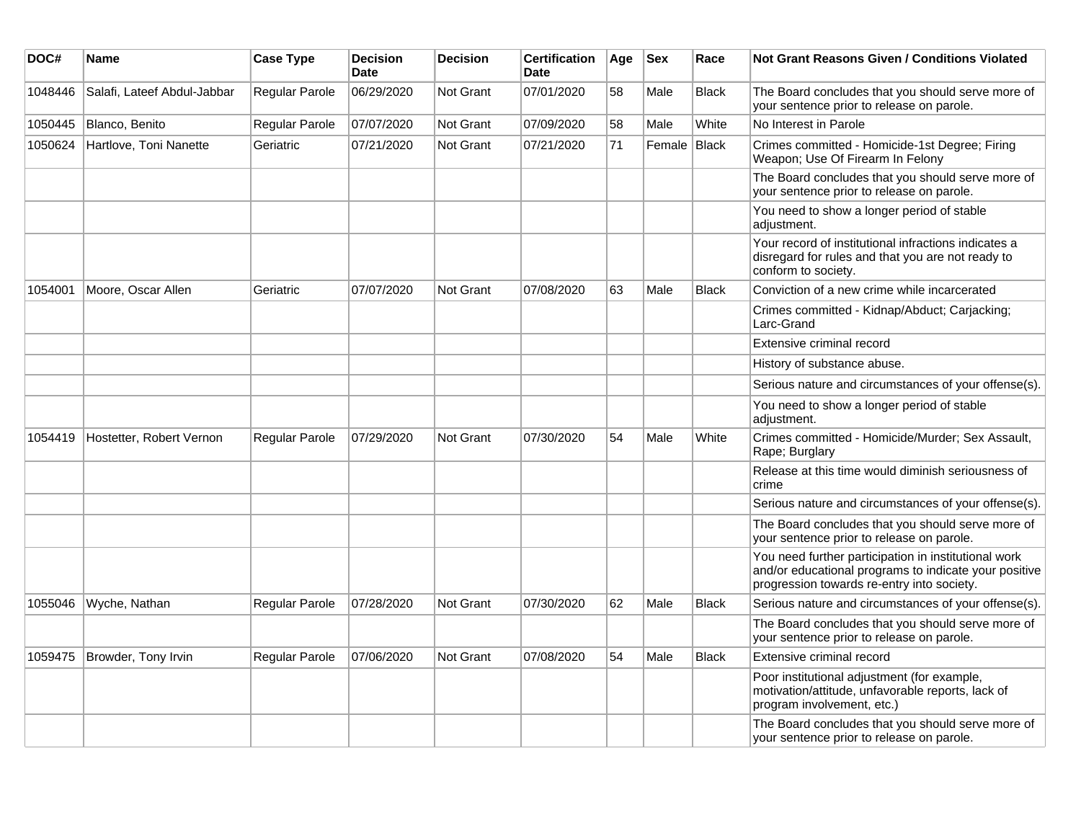| DOC#    | Name                        | <b>Case Type</b>      | <b>Decision</b><br>Date | <b>Decision</b>  | <b>Certification</b><br>Date | Age | <b>Sex</b>   | Race         | <b>Not Grant Reasons Given / Conditions Violated</b>                                                                                                        |
|---------|-----------------------------|-----------------------|-------------------------|------------------|------------------------------|-----|--------------|--------------|-------------------------------------------------------------------------------------------------------------------------------------------------------------|
| 1048446 | Salafi, Lateef Abdul-Jabbar | Regular Parole        | 06/29/2020              | Not Grant        | 07/01/2020                   | 58  | Male         | <b>Black</b> | The Board concludes that you should serve more of<br>your sentence prior to release on parole.                                                              |
| 1050445 | Blanco, Benito              | Regular Parole        | 07/07/2020              | Not Grant        | 07/09/2020                   | 58  | Male         | White        | No Interest in Parole                                                                                                                                       |
| 1050624 | Hartlove, Toni Nanette      | Geriatric             | 07/21/2020              | Not Grant        | 07/21/2020                   | 71  | Female Black |              | Crimes committed - Homicide-1st Degree; Firing<br>Weapon; Use Of Firearm In Felony                                                                          |
|         |                             |                       |                         |                  |                              |     |              |              | The Board concludes that you should serve more of<br>your sentence prior to release on parole.                                                              |
|         |                             |                       |                         |                  |                              |     |              |              | You need to show a longer period of stable<br>adjustment.                                                                                                   |
|         |                             |                       |                         |                  |                              |     |              |              | Your record of institutional infractions indicates a<br>disregard for rules and that you are not ready to<br>conform to society.                            |
| 1054001 | Moore, Oscar Allen          | Geriatric             | 07/07/2020              | <b>Not Grant</b> | 07/08/2020                   | 63  | Male         | <b>Black</b> | Conviction of a new crime while incarcerated                                                                                                                |
|         |                             |                       |                         |                  |                              |     |              |              | Crimes committed - Kidnap/Abduct; Carjacking;<br>Larc-Grand                                                                                                 |
|         |                             |                       |                         |                  |                              |     |              |              | Extensive criminal record                                                                                                                                   |
|         |                             |                       |                         |                  |                              |     |              |              | History of substance abuse.                                                                                                                                 |
|         |                             |                       |                         |                  |                              |     |              |              | Serious nature and circumstances of your offense(s).                                                                                                        |
|         |                             |                       |                         |                  |                              |     |              |              | You need to show a longer period of stable<br>adjustment.                                                                                                   |
| 1054419 | Hostetter, Robert Vernon    | <b>Regular Parole</b> | 07/29/2020              | Not Grant        | 07/30/2020                   | 54  | Male         | White        | Crimes committed - Homicide/Murder; Sex Assault,<br>Rape; Burglary                                                                                          |
|         |                             |                       |                         |                  |                              |     |              |              | Release at this time would diminish seriousness of<br>crime                                                                                                 |
|         |                             |                       |                         |                  |                              |     |              |              | Serious nature and circumstances of your offense(s).                                                                                                        |
|         |                             |                       |                         |                  |                              |     |              |              | The Board concludes that you should serve more of<br>your sentence prior to release on parole.                                                              |
|         |                             |                       |                         |                  |                              |     |              |              | You need further participation in institutional work<br>and/or educational programs to indicate your positive<br>progression towards re-entry into society. |
| 1055046 | Wyche, Nathan               | Regular Parole        | 07/28/2020              | <b>Not Grant</b> | 07/30/2020                   | 62  | Male         | <b>Black</b> | Serious nature and circumstances of your offense(s).                                                                                                        |
|         |                             |                       |                         |                  |                              |     |              |              | The Board concludes that you should serve more of<br>your sentence prior to release on parole.                                                              |
| 1059475 | Browder, Tony Irvin         | Regular Parole        | 07/06/2020              | Not Grant        | 07/08/2020                   | 54  | Male         | <b>Black</b> | Extensive criminal record                                                                                                                                   |
|         |                             |                       |                         |                  |                              |     |              |              | Poor institutional adjustment (for example,<br>motivation/attitude, unfavorable reports, lack of<br>program involvement, etc.)                              |
|         |                             |                       |                         |                  |                              |     |              |              | The Board concludes that you should serve more of<br>your sentence prior to release on parole.                                                              |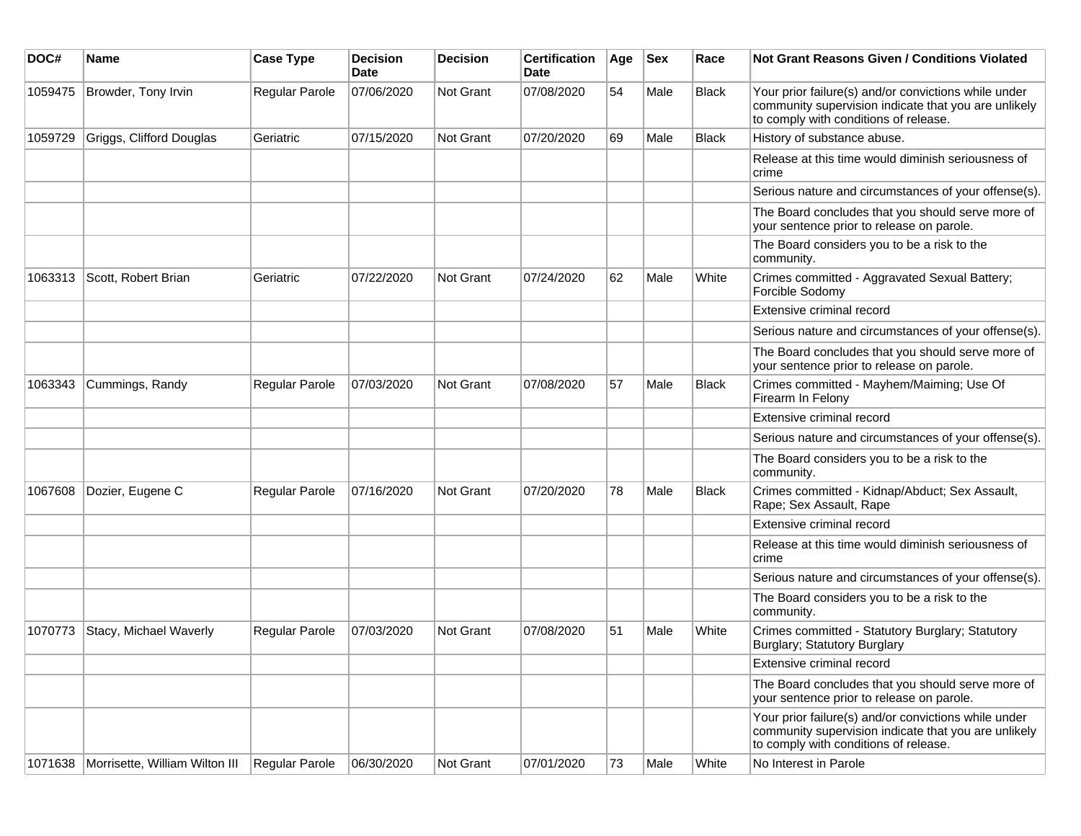| DOC#    | Name                           | <b>Case Type</b> | <b>Decision</b><br><b>Date</b> | <b>Decision</b>  | <b>Certification</b><br>Date | Age | <b>Sex</b> | Race         | Not Grant Reasons Given / Conditions Violated                                                                                                         |
|---------|--------------------------------|------------------|--------------------------------|------------------|------------------------------|-----|------------|--------------|-------------------------------------------------------------------------------------------------------------------------------------------------------|
| 1059475 | Browder, Tony Irvin            | Regular Parole   | 07/06/2020                     | Not Grant        | 07/08/2020                   | 54  | Male       | <b>Black</b> | Your prior failure(s) and/or convictions while under<br>community supervision indicate that you are unlikely<br>to comply with conditions of release. |
| 1059729 | Griggs, Clifford Douglas       | Geriatric        | 07/15/2020                     | Not Grant        | 07/20/2020                   | 69  | Male       | <b>Black</b> | History of substance abuse.                                                                                                                           |
|         |                                |                  |                                |                  |                              |     |            |              | Release at this time would diminish seriousness of<br>crime                                                                                           |
|         |                                |                  |                                |                  |                              |     |            |              | Serious nature and circumstances of your offense(s).                                                                                                  |
|         |                                |                  |                                |                  |                              |     |            |              | The Board concludes that you should serve more of<br>your sentence prior to release on parole.                                                        |
|         |                                |                  |                                |                  |                              |     |            |              | The Board considers you to be a risk to the<br>community.                                                                                             |
| 1063313 | Scott, Robert Brian            | Geriatric        | 07/22/2020                     | <b>Not Grant</b> | 07/24/2020                   | 62  | Male       | White        | Crimes committed - Aggravated Sexual Battery;<br>Forcible Sodomy                                                                                      |
|         |                                |                  |                                |                  |                              |     |            |              | Extensive criminal record                                                                                                                             |
|         |                                |                  |                                |                  |                              |     |            |              | Serious nature and circumstances of your offense(s).                                                                                                  |
|         |                                |                  |                                |                  |                              |     |            |              | The Board concludes that you should serve more of<br>your sentence prior to release on parole.                                                        |
| 1063343 | Cummings, Randy                | Regular Parole   | 07/03/2020                     | Not Grant        | 07/08/2020                   | 57  | Male       | <b>Black</b> | Crimes committed - Mayhem/Maiming; Use Of<br>Firearm In Felony                                                                                        |
|         |                                |                  |                                |                  |                              |     |            |              | Extensive criminal record                                                                                                                             |
|         |                                |                  |                                |                  |                              |     |            |              | Serious nature and circumstances of your offense(s).                                                                                                  |
|         |                                |                  |                                |                  |                              |     |            |              | The Board considers you to be a risk to the<br>community.                                                                                             |
| 1067608 | Dozier, Eugene C               | Regular Parole   | 07/16/2020                     | Not Grant        | 07/20/2020                   | 78  | Male       | <b>Black</b> | Crimes committed - Kidnap/Abduct; Sex Assault,<br>Rape; Sex Assault, Rape                                                                             |
|         |                                |                  |                                |                  |                              |     |            |              | Extensive criminal record                                                                                                                             |
|         |                                |                  |                                |                  |                              |     |            |              | Release at this time would diminish seriousness of<br>crime                                                                                           |
|         |                                |                  |                                |                  |                              |     |            |              | Serious nature and circumstances of your offense(s).                                                                                                  |
|         |                                |                  |                                |                  |                              |     |            |              | The Board considers you to be a risk to the<br>community.                                                                                             |
| 1070773 | Stacy, Michael Waverly         | Regular Parole   | 07/03/2020                     | Not Grant        | 07/08/2020                   | 51  | Male       | White        | Crimes committed - Statutory Burglary; Statutory<br>Burglary; Statutory Burglary                                                                      |
|         |                                |                  |                                |                  |                              |     |            |              | Extensive criminal record                                                                                                                             |
|         |                                |                  |                                |                  |                              |     |            |              | The Board concludes that you should serve more of<br>your sentence prior to release on parole.                                                        |
|         |                                |                  |                                |                  |                              |     |            |              | Your prior failure(s) and/or convictions while under<br>community supervision indicate that you are unlikely<br>to comply with conditions of release. |
| 1071638 | Morrisette, William Wilton III | Regular Parole   | 06/30/2020                     | Not Grant        | 07/01/2020                   | 73  | Male       | White        | No Interest in Parole                                                                                                                                 |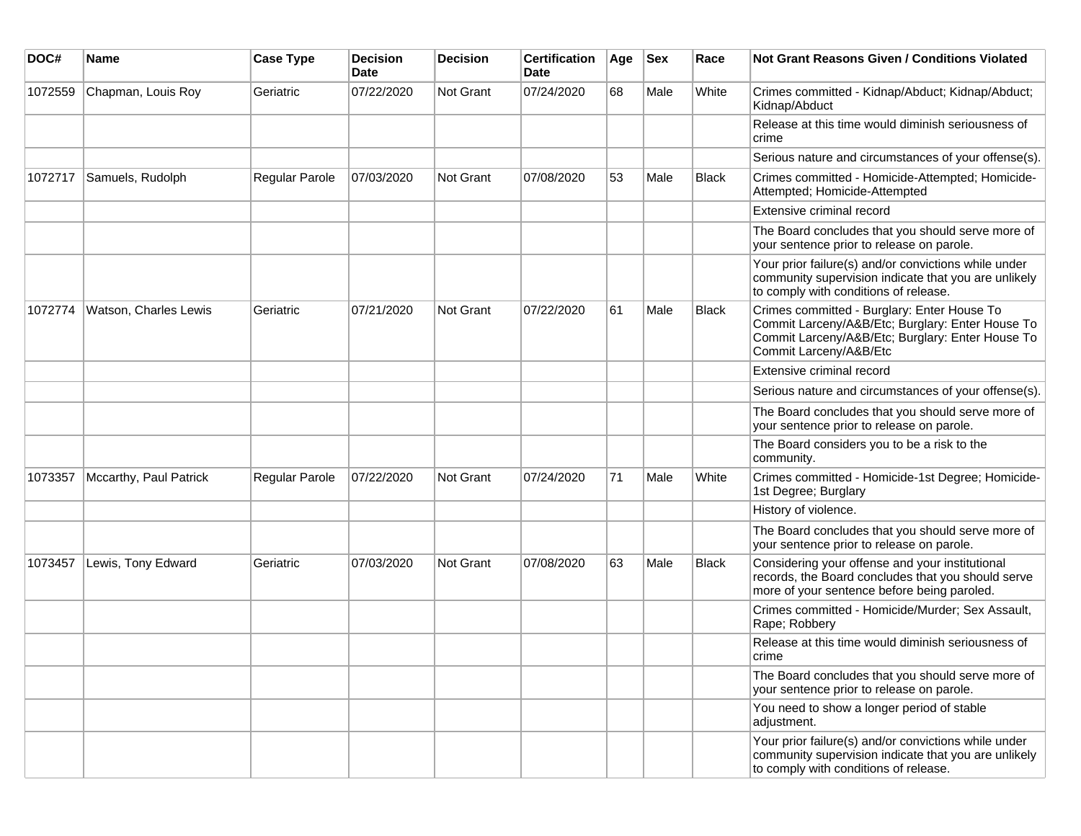| DOC#    | <b>Name</b>            | <b>Case Type</b> | <b>Decision</b><br><b>Date</b> | <b>Decision</b>  | <b>Certification</b><br><b>Date</b> | Age | <b>Sex</b> | Race         | <b>Not Grant Reasons Given / Conditions Violated</b>                                                                                                                          |
|---------|------------------------|------------------|--------------------------------|------------------|-------------------------------------|-----|------------|--------------|-------------------------------------------------------------------------------------------------------------------------------------------------------------------------------|
| 1072559 | Chapman, Louis Roy     | Geriatric        | 07/22/2020                     | Not Grant        | 07/24/2020                          | 68  | Male       | White        | Crimes committed - Kidnap/Abduct; Kidnap/Abduct;<br>Kidnap/Abduct                                                                                                             |
|         |                        |                  |                                |                  |                                     |     |            |              | Release at this time would diminish seriousness of<br>crime                                                                                                                   |
|         |                        |                  |                                |                  |                                     |     |            |              | Serious nature and circumstances of your offense(s).                                                                                                                          |
| 1072717 | Samuels, Rudolph       | Regular Parole   | 07/03/2020                     | <b>Not Grant</b> | 07/08/2020                          | 53  | Male       | <b>Black</b> | Crimes committed - Homicide-Attempted; Homicide-<br>Attempted; Homicide-Attempted                                                                                             |
|         |                        |                  |                                |                  |                                     |     |            |              | Extensive criminal record                                                                                                                                                     |
|         |                        |                  |                                |                  |                                     |     |            |              | The Board concludes that you should serve more of<br>your sentence prior to release on parole.                                                                                |
|         |                        |                  |                                |                  |                                     |     |            |              | Your prior failure(s) and/or convictions while under<br>community supervision indicate that you are unlikely<br>to comply with conditions of release.                         |
| 1072774 | Watson, Charles Lewis  | Geriatric        | 07/21/2020                     | <b>Not Grant</b> | 07/22/2020                          | 61  | Male       | <b>Black</b> | Crimes committed - Burglary: Enter House To<br>Commit Larceny/A&B/Etc; Burglary: Enter House To<br>Commit Larceny/A&B/Etc; Burglary: Enter House To<br>Commit Larceny/A&B/Etc |
|         |                        |                  |                                |                  |                                     |     |            |              | Extensive criminal record                                                                                                                                                     |
|         |                        |                  |                                |                  |                                     |     |            |              | Serious nature and circumstances of your offense(s).                                                                                                                          |
|         |                        |                  |                                |                  |                                     |     |            |              | The Board concludes that you should serve more of<br>your sentence prior to release on parole.                                                                                |
|         |                        |                  |                                |                  |                                     |     |            |              | The Board considers you to be a risk to the<br>community.                                                                                                                     |
| 1073357 | Mccarthy, Paul Patrick | Regular Parole   | 07/22/2020                     | Not Grant        | 07/24/2020                          | 71  | Male       | White        | Crimes committed - Homicide-1st Degree; Homicide-<br>1st Degree; Burglary                                                                                                     |
|         |                        |                  |                                |                  |                                     |     |            |              | History of violence.                                                                                                                                                          |
|         |                        |                  |                                |                  |                                     |     |            |              | The Board concludes that you should serve more of<br>your sentence prior to release on parole.                                                                                |
| 1073457 | Lewis, Tony Edward     | Geriatric        | 07/03/2020                     | Not Grant        | 07/08/2020                          | 63  | Male       | <b>Black</b> | Considering your offense and your institutional<br>records, the Board concludes that you should serve<br>more of your sentence before being paroled.                          |
|         |                        |                  |                                |                  |                                     |     |            |              | Crimes committed - Homicide/Murder; Sex Assault,<br>Rape; Robbery                                                                                                             |
|         |                        |                  |                                |                  |                                     |     |            |              | Release at this time would diminish seriousness of<br>crime                                                                                                                   |
|         |                        |                  |                                |                  |                                     |     |            |              | The Board concludes that you should serve more of<br>your sentence prior to release on parole.                                                                                |
|         |                        |                  |                                |                  |                                     |     |            |              | You need to show a longer period of stable<br>adjustment.                                                                                                                     |
|         |                        |                  |                                |                  |                                     |     |            |              | Your prior failure(s) and/or convictions while under<br>community supervision indicate that you are unlikely<br>to comply with conditions of release.                         |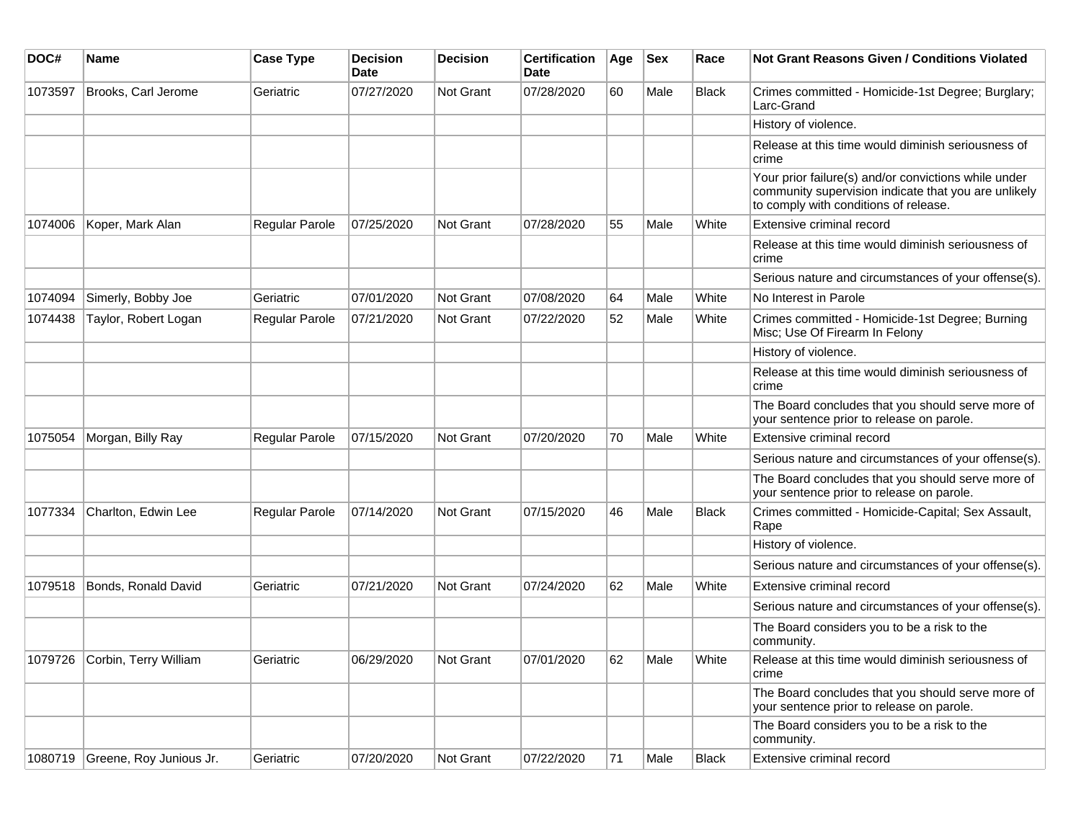| DOC#    | <b>Name</b>                     | <b>Case Type</b>      | <b>Decision</b><br>Date | <b>Decision</b> | <b>Certification</b><br>Date | Age | <b>Sex</b> | Race         | Not Grant Reasons Given / Conditions Violated                                                                                                         |
|---------|---------------------------------|-----------------------|-------------------------|-----------------|------------------------------|-----|------------|--------------|-------------------------------------------------------------------------------------------------------------------------------------------------------|
| 1073597 | Brooks, Carl Jerome             | Geriatric             | 07/27/2020              | Not Grant       | 07/28/2020                   | 60  | Male       | <b>Black</b> | Crimes committed - Homicide-1st Degree; Burglary;<br>Larc-Grand                                                                                       |
|         |                                 |                       |                         |                 |                              |     |            |              | History of violence.                                                                                                                                  |
|         |                                 |                       |                         |                 |                              |     |            |              | Release at this time would diminish seriousness of<br>crime                                                                                           |
|         |                                 |                       |                         |                 |                              |     |            |              | Your prior failure(s) and/or convictions while under<br>community supervision indicate that you are unlikely<br>to comply with conditions of release. |
| 1074006 | Koper, Mark Alan                | <b>Regular Parole</b> | 07/25/2020              | Not Grant       | 07/28/2020                   | 55  | Male       | White        | Extensive criminal record                                                                                                                             |
|         |                                 |                       |                         |                 |                              |     |            |              | Release at this time would diminish seriousness of<br>crime                                                                                           |
|         |                                 |                       |                         |                 |                              |     |            |              | Serious nature and circumstances of your offense(s).                                                                                                  |
| 1074094 | Simerly, Bobby Joe              | Geriatric             | 07/01/2020              | Not Grant       | 07/08/2020                   | 64  | Male       | White        | No Interest in Parole                                                                                                                                 |
| 1074438 | Taylor, Robert Logan            | <b>Regular Parole</b> | 07/21/2020              | Not Grant       | 07/22/2020                   | 52  | Male       | White        | Crimes committed - Homicide-1st Degree; Burning<br>Misc; Use Of Firearm In Felony                                                                     |
|         |                                 |                       |                         |                 |                              |     |            |              | History of violence.                                                                                                                                  |
|         |                                 |                       |                         |                 |                              |     |            |              | Release at this time would diminish seriousness of<br>crime                                                                                           |
|         |                                 |                       |                         |                 |                              |     |            |              | The Board concludes that you should serve more of<br>your sentence prior to release on parole.                                                        |
| 1075054 | Morgan, Billy Ray               | Regular Parole        | 07/15/2020              | Not Grant       | 07/20/2020                   | 70  | Male       | White        | Extensive criminal record                                                                                                                             |
|         |                                 |                       |                         |                 |                              |     |            |              | Serious nature and circumstances of your offense(s).                                                                                                  |
|         |                                 |                       |                         |                 |                              |     |            |              | The Board concludes that you should serve more of<br>your sentence prior to release on parole.                                                        |
| 1077334 | Charlton, Edwin Lee             | <b>Regular Parole</b> | 07/14/2020              | Not Grant       | 07/15/2020                   | 46  | Male       | <b>Black</b> | Crimes committed - Homicide-Capital; Sex Assault,<br>Rape                                                                                             |
|         |                                 |                       |                         |                 |                              |     |            |              | History of violence.                                                                                                                                  |
|         |                                 |                       |                         |                 |                              |     |            |              | Serious nature and circumstances of your offense(s).                                                                                                  |
| 1079518 | Bonds, Ronald David             | Geriatric             | 07/21/2020              | Not Grant       | 07/24/2020                   | 62  | Male       | White        | Extensive criminal record                                                                                                                             |
|         |                                 |                       |                         |                 |                              |     |            |              | Serious nature and circumstances of your offense(s).                                                                                                  |
|         |                                 |                       |                         |                 |                              |     |            |              | The Board considers you to be a risk to the<br>community.                                                                                             |
|         | 1079726 Corbin, Terry William   | Geriatric             | 06/29/2020              | Not Grant       | 07/01/2020                   | 62  | Male       | White        | Release at this time would diminish seriousness of<br>crime                                                                                           |
|         |                                 |                       |                         |                 |                              |     |            |              | The Board concludes that you should serve more of<br>your sentence prior to release on parole.                                                        |
|         |                                 |                       |                         |                 |                              |     |            |              | The Board considers you to be a risk to the<br>community.                                                                                             |
|         | 1080719 Greene, Roy Junious Jr. | Geriatric             | 07/20/2020              | Not Grant       | 07/22/2020                   | 71  | Male       | Black        | Extensive criminal record                                                                                                                             |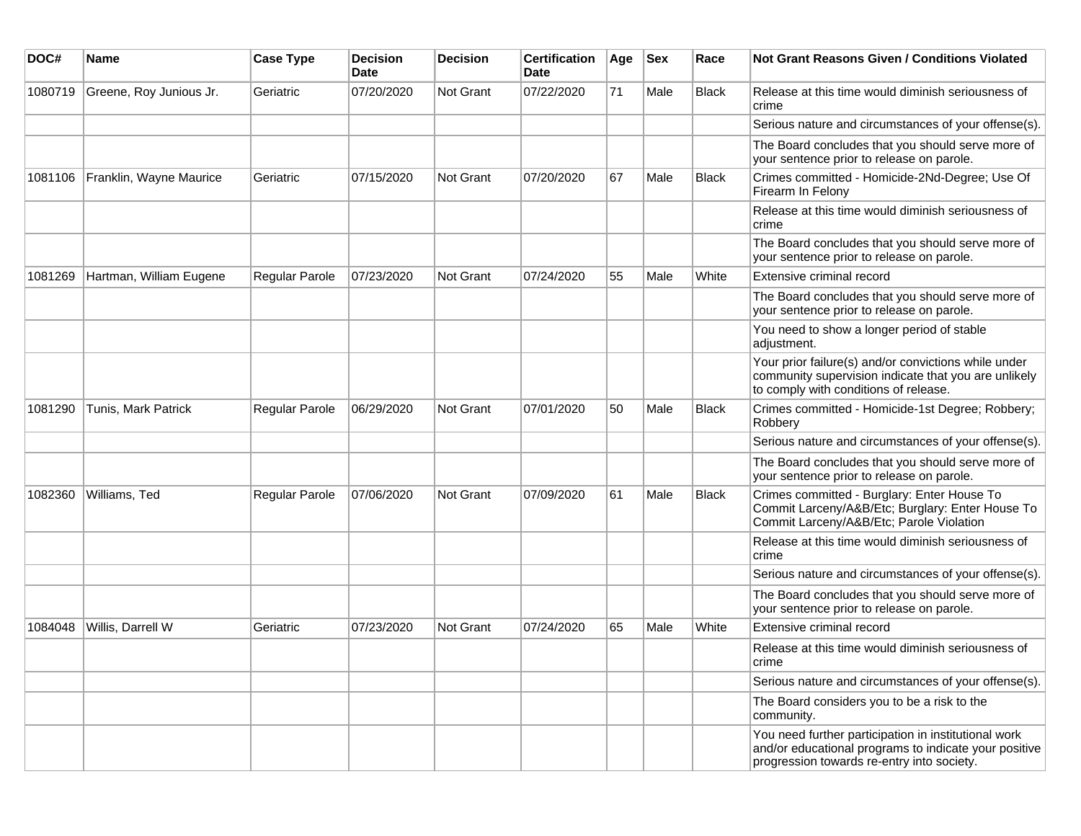| DOC#    | <b>Name</b>             | <b>Case Type</b> | <b>Decision</b><br><b>Date</b> | <b>Decision</b> | <b>Certification</b><br>Date | Age | <b>Sex</b> | Race         | <b>Not Grant Reasons Given / Conditions Violated</b>                                                                                                        |
|---------|-------------------------|------------------|--------------------------------|-----------------|------------------------------|-----|------------|--------------|-------------------------------------------------------------------------------------------------------------------------------------------------------------|
| 1080719 | Greene, Roy Junious Jr. | Geriatric        | 07/20/2020                     | Not Grant       | 07/22/2020                   | 71  | Male       | <b>Black</b> | Release at this time would diminish seriousness of<br>crime                                                                                                 |
|         |                         |                  |                                |                 |                              |     |            |              | Serious nature and circumstances of your offense(s).                                                                                                        |
|         |                         |                  |                                |                 |                              |     |            |              | The Board concludes that you should serve more of<br>your sentence prior to release on parole.                                                              |
| 1081106 | Franklin, Wayne Maurice | Geriatric        | 07/15/2020                     | Not Grant       | 07/20/2020                   | 67  | Male       | Black        | Crimes committed - Homicide-2Nd-Degree; Use Of<br>Firearm In Felony                                                                                         |
|         |                         |                  |                                |                 |                              |     |            |              | Release at this time would diminish seriousness of<br>crime                                                                                                 |
|         |                         |                  |                                |                 |                              |     |            |              | The Board concludes that you should serve more of<br>your sentence prior to release on parole.                                                              |
| 1081269 | Hartman, William Eugene | Regular Parole   | 07/23/2020                     | Not Grant       | 07/24/2020                   | 55  | Male       | White        | Extensive criminal record                                                                                                                                   |
|         |                         |                  |                                |                 |                              |     |            |              | The Board concludes that you should serve more of<br>your sentence prior to release on parole.                                                              |
|         |                         |                  |                                |                 |                              |     |            |              | You need to show a longer period of stable<br>adjustment.                                                                                                   |
|         |                         |                  |                                |                 |                              |     |            |              | Your prior failure(s) and/or convictions while under<br>community supervision indicate that you are unlikely<br>to comply with conditions of release.       |
| 1081290 | Tunis, Mark Patrick     | Regular Parole   | 06/29/2020                     | Not Grant       | 07/01/2020                   | 50  | Male       | <b>Black</b> | Crimes committed - Homicide-1st Degree; Robbery;<br>Robbery                                                                                                 |
|         |                         |                  |                                |                 |                              |     |            |              | Serious nature and circumstances of your offense(s).                                                                                                        |
|         |                         |                  |                                |                 |                              |     |            |              | The Board concludes that you should serve more of<br>your sentence prior to release on parole.                                                              |
| 1082360 | Williams, Ted           | Regular Parole   | 07/06/2020                     | Not Grant       | 07/09/2020                   | 61  | Male       | <b>Black</b> | Crimes committed - Burglary: Enter House To<br>Commit Larceny/A&B/Etc; Burglary: Enter House To<br>Commit Larceny/A&B/Etc; Parole Violation                 |
|         |                         |                  |                                |                 |                              |     |            |              | Release at this time would diminish seriousness of<br>crime                                                                                                 |
|         |                         |                  |                                |                 |                              |     |            |              | Serious nature and circumstances of your offense(s).                                                                                                        |
|         |                         |                  |                                |                 |                              |     |            |              | The Board concludes that you should serve more of<br>your sentence prior to release on parole.                                                              |
| 1084048 | Willis, Darrell W       | Geriatric        | 07/23/2020                     | Not Grant       | 07/24/2020                   | 65  | Male       | White        | Extensive criminal record                                                                                                                                   |
|         |                         |                  |                                |                 |                              |     |            |              | Release at this time would diminish seriousness of<br>crime                                                                                                 |
|         |                         |                  |                                |                 |                              |     |            |              | Serious nature and circumstances of your offense(s).                                                                                                        |
|         |                         |                  |                                |                 |                              |     |            |              | The Board considers you to be a risk to the<br>community.                                                                                                   |
|         |                         |                  |                                |                 |                              |     |            |              | You need further participation in institutional work<br>and/or educational programs to indicate your positive<br>progression towards re-entry into society. |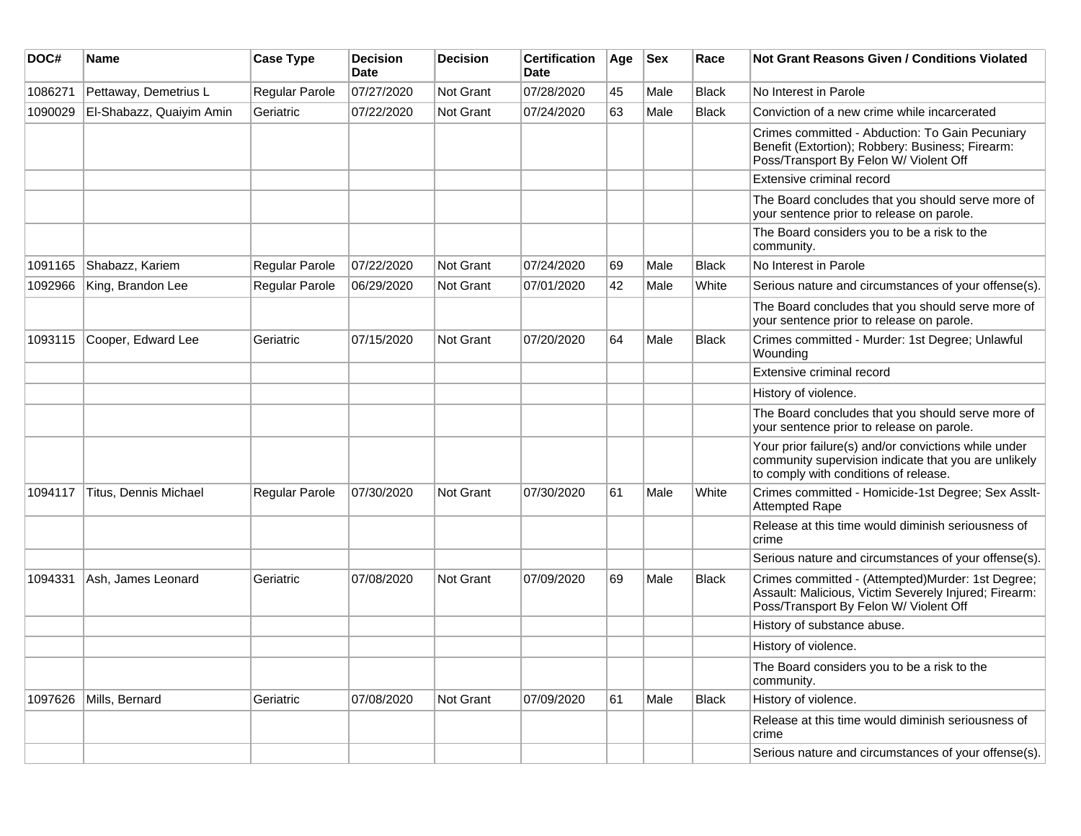| DOC#    | <b>Name</b>              | <b>Case Type</b>      | <b>Decision</b><br>Date | <b>Decision</b>  | <b>Certification</b><br>Date | Age | <b>Sex</b> | Race         | Not Grant Reasons Given / Conditions Violated                                                                                                         |
|---------|--------------------------|-----------------------|-------------------------|------------------|------------------------------|-----|------------|--------------|-------------------------------------------------------------------------------------------------------------------------------------------------------|
| 1086271 | Pettaway, Demetrius L    | Regular Parole        | 07/27/2020              | Not Grant        | 07/28/2020                   | 45  | Male       | <b>Black</b> | No Interest in Parole                                                                                                                                 |
| 1090029 | El-Shabazz, Quaiyim Amin | Geriatric             | 07/22/2020              | <b>Not Grant</b> | 07/24/2020                   | 63  | Male       | Black        | Conviction of a new crime while incarcerated                                                                                                          |
|         |                          |                       |                         |                  |                              |     |            |              | Crimes committed - Abduction: To Gain Pecuniary<br>Benefit (Extortion); Robbery: Business; Firearm:<br>Poss/Transport By Felon W/ Violent Off         |
|         |                          |                       |                         |                  |                              |     |            |              | Extensive criminal record                                                                                                                             |
|         |                          |                       |                         |                  |                              |     |            |              | The Board concludes that you should serve more of<br>your sentence prior to release on parole.                                                        |
|         |                          |                       |                         |                  |                              |     |            |              | The Board considers you to be a risk to the<br>community.                                                                                             |
| 1091165 | Shabazz, Kariem          | Regular Parole        | 07/22/2020              | Not Grant        | 07/24/2020                   | 69  | Male       | <b>Black</b> | No Interest in Parole                                                                                                                                 |
| 1092966 | King, Brandon Lee        | Regular Parole        | 06/29/2020              | Not Grant        | 07/01/2020                   | 42  | Male       | White        | Serious nature and circumstances of your offense(s).                                                                                                  |
|         |                          |                       |                         |                  |                              |     |            |              | The Board concludes that you should serve more of<br>your sentence prior to release on parole.                                                        |
| 1093115 | Cooper, Edward Lee       | Geriatric             | 07/15/2020              | <b>Not Grant</b> | 07/20/2020                   | 64  | Male       | Black        | Crimes committed - Murder: 1st Degree; Unlawful<br>Wounding                                                                                           |
|         |                          |                       |                         |                  |                              |     |            |              | Extensive criminal record                                                                                                                             |
|         |                          |                       |                         |                  |                              |     |            |              | History of violence.                                                                                                                                  |
|         |                          |                       |                         |                  |                              |     |            |              | The Board concludes that you should serve more of<br>your sentence prior to release on parole.                                                        |
|         |                          |                       |                         |                  |                              |     |            |              | Your prior failure(s) and/or convictions while under<br>community supervision indicate that you are unlikely<br>to comply with conditions of release. |
| 1094117 | Titus, Dennis Michael    | <b>Regular Parole</b> | 07/30/2020              | Not Grant        | 07/30/2020                   | 61  | Male       | White        | Crimes committed - Homicide-1st Degree; Sex Asslt-<br><b>Attempted Rape</b>                                                                           |
|         |                          |                       |                         |                  |                              |     |            |              | Release at this time would diminish seriousness of<br>crime                                                                                           |
|         |                          |                       |                         |                  |                              |     |            |              | Serious nature and circumstances of your offense(s).                                                                                                  |
| 1094331 | Ash, James Leonard       | Geriatric             | 07/08/2020              | <b>Not Grant</b> | 07/09/2020                   | 69  | Male       | Black        | Crimes committed - (Attempted)Murder: 1st Degree;<br>Assault: Malicious, Victim Severely Injured; Firearm:<br>Poss/Transport By Felon W/ Violent Off  |
|         |                          |                       |                         |                  |                              |     |            |              | History of substance abuse.                                                                                                                           |
|         |                          |                       |                         |                  |                              |     |            |              | History of violence.                                                                                                                                  |
|         |                          |                       |                         |                  |                              |     |            |              | The Board considers you to be a risk to the<br>community.                                                                                             |
| 1097626 | Mills, Bernard           | Geriatric             | 07/08/2020              | Not Grant        | 07/09/2020                   | 61  | Male       | <b>Black</b> | History of violence.                                                                                                                                  |
|         |                          |                       |                         |                  |                              |     |            |              | Release at this time would diminish seriousness of<br>crime                                                                                           |
|         |                          |                       |                         |                  |                              |     |            |              | Serious nature and circumstances of your offense(s).                                                                                                  |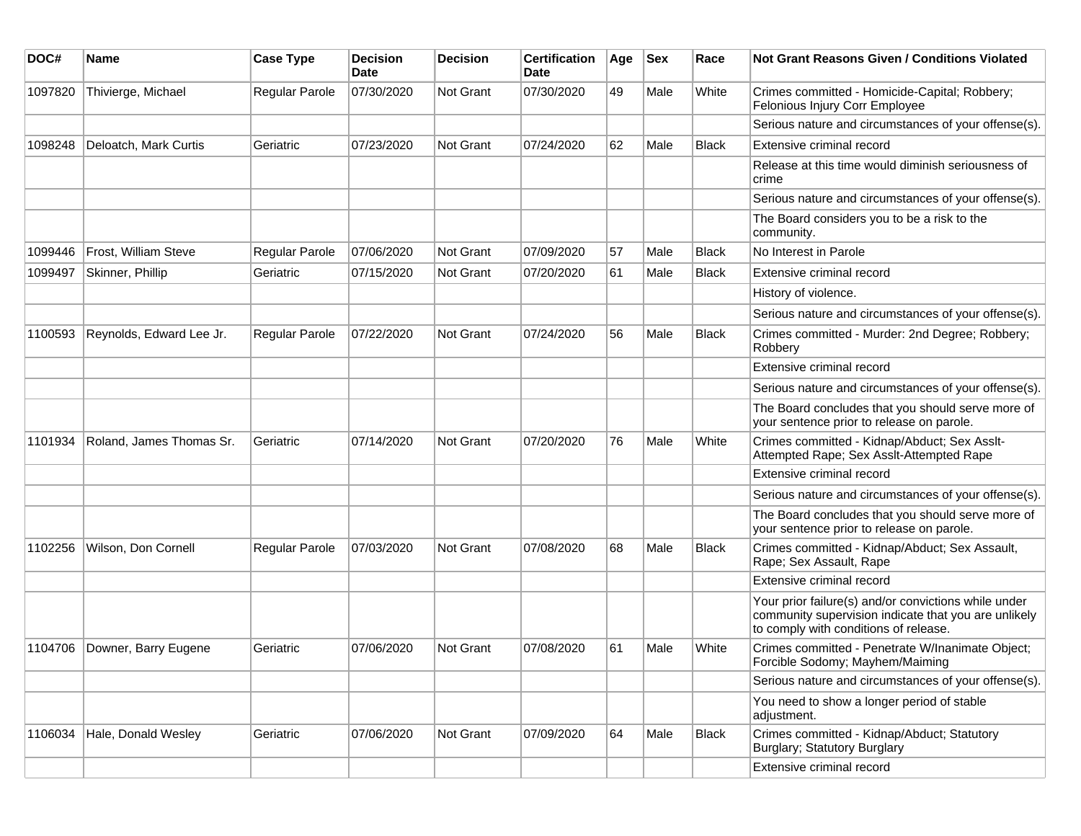| DOC#    | <b>Name</b>              | <b>Case Type</b>      | <b>Decision</b><br>Date | <b>Decision</b>  | <b>Certification</b><br>Date | Age | $ $ Sex | Race         | Not Grant Reasons Given / Conditions Violated                                                                                                         |
|---------|--------------------------|-----------------------|-------------------------|------------------|------------------------------|-----|---------|--------------|-------------------------------------------------------------------------------------------------------------------------------------------------------|
| 1097820 | Thivierge, Michael       | <b>Regular Parole</b> | 07/30/2020              | Not Grant        | 07/30/2020                   | 49  | Male    | White        | Crimes committed - Homicide-Capital; Robbery;<br>Felonious Injury Corr Employee                                                                       |
|         |                          |                       |                         |                  |                              |     |         |              | Serious nature and circumstances of your offense(s).                                                                                                  |
| 1098248 | Deloatch, Mark Curtis    | Geriatric             | 07/23/2020              | Not Grant        | 07/24/2020                   | 62  | Male    | <b>Black</b> | Extensive criminal record                                                                                                                             |
|         |                          |                       |                         |                  |                              |     |         |              | Release at this time would diminish seriousness of<br>crime                                                                                           |
|         |                          |                       |                         |                  |                              |     |         |              | Serious nature and circumstances of your offense(s).                                                                                                  |
|         |                          |                       |                         |                  |                              |     |         |              | The Board considers you to be a risk to the<br>community.                                                                                             |
| 1099446 | Frost, William Steve     | Regular Parole        | 07/06/2020              | Not Grant        | 07/09/2020                   | 57  | Male    | <b>Black</b> | No Interest in Parole                                                                                                                                 |
| 1099497 | Skinner, Phillip         | Geriatric             | 07/15/2020              | <b>Not Grant</b> | 07/20/2020                   | 61  | Male    | <b>Black</b> | Extensive criminal record                                                                                                                             |
|         |                          |                       |                         |                  |                              |     |         |              | History of violence.                                                                                                                                  |
|         |                          |                       |                         |                  |                              |     |         |              | Serious nature and circumstances of your offense(s).                                                                                                  |
| 1100593 | Reynolds, Edward Lee Jr. | <b>Regular Parole</b> | 07/22/2020              | Not Grant        | 07/24/2020                   | 56  | Male    | <b>Black</b> | Crimes committed - Murder: 2nd Degree; Robbery;<br>Robbery                                                                                            |
|         |                          |                       |                         |                  |                              |     |         |              | Extensive criminal record                                                                                                                             |
|         |                          |                       |                         |                  |                              |     |         |              | Serious nature and circumstances of your offense(s).                                                                                                  |
|         |                          |                       |                         |                  |                              |     |         |              | The Board concludes that you should serve more of<br>your sentence prior to release on parole.                                                        |
| 1101934 | Roland, James Thomas Sr. | Geriatric             | 07/14/2020              | Not Grant        | 07/20/2020                   | 76  | Male    | White        | Crimes committed - Kidnap/Abduct; Sex Asslt-<br>Attempted Rape; Sex Asslt-Attempted Rape                                                              |
|         |                          |                       |                         |                  |                              |     |         |              | Extensive criminal record                                                                                                                             |
|         |                          |                       |                         |                  |                              |     |         |              | Serious nature and circumstances of your offense(s).                                                                                                  |
|         |                          |                       |                         |                  |                              |     |         |              | The Board concludes that you should serve more of<br>your sentence prior to release on parole.                                                        |
| 1102256 | Wilson, Don Cornell      | Regular Parole        | 07/03/2020              | Not Grant        | 07/08/2020                   | 68  | Male    | <b>Black</b> | Crimes committed - Kidnap/Abduct; Sex Assault,<br>Rape; Sex Assault, Rape                                                                             |
|         |                          |                       |                         |                  |                              |     |         |              | Extensive criminal record                                                                                                                             |
|         |                          |                       |                         |                  |                              |     |         |              | Your prior failure(s) and/or convictions while under<br>community supervision indicate that you are unlikely<br>to comply with conditions of release. |
| 1104706 | Downer, Barry Eugene     | Geriatric             | 07/06/2020              | Not Grant        | 07/08/2020                   | 61  | Male    | White        | Crimes committed - Penetrate W/Inanimate Object;<br>Forcible Sodomy; Mayhem/Maiming                                                                   |
|         |                          |                       |                         |                  |                              |     |         |              | Serious nature and circumstances of your offense(s).                                                                                                  |
|         |                          |                       |                         |                  |                              |     |         |              | You need to show a longer period of stable<br>adjustment.                                                                                             |
| 1106034 | Hale, Donald Wesley      | Geriatric             | 07/06/2020              | Not Grant        | 07/09/2020                   | 64  | Male    | <b>Black</b> | Crimes committed - Kidnap/Abduct; Statutory<br>Burglary; Statutory Burglary                                                                           |
|         |                          |                       |                         |                  |                              |     |         |              | Extensive criminal record                                                                                                                             |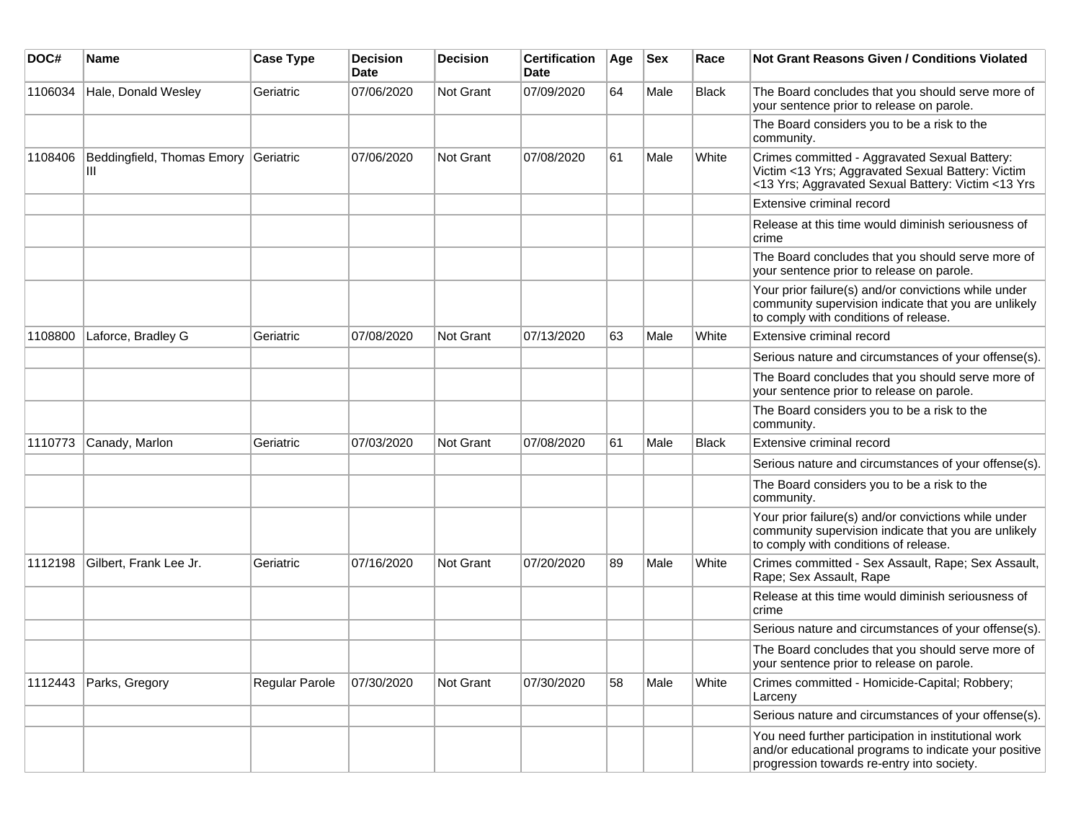| DOC#    | Name                            | <b>Case Type</b> | <b>Decision</b><br><b>Date</b> | Decision         | <b>Certification</b><br><b>Date</b> | Age | <b>Sex</b> | Race         | <b>Not Grant Reasons Given / Conditions Violated</b>                                                                                                        |
|---------|---------------------------------|------------------|--------------------------------|------------------|-------------------------------------|-----|------------|--------------|-------------------------------------------------------------------------------------------------------------------------------------------------------------|
| 1106034 | Hale, Donald Wesley             | Geriatric        | 07/06/2020                     | Not Grant        | 07/09/2020                          | 64  | Male       | Black        | The Board concludes that you should serve more of<br>your sentence prior to release on parole.                                                              |
|         |                                 |                  |                                |                  |                                     |     |            |              | The Board considers you to be a risk to the<br>community.                                                                                                   |
| 1108406 | Beddingfield, Thomas Emory<br>Ш | Geriatric        | 07/06/2020                     | Not Grant        | 07/08/2020                          | 61  | Male       | White        | Crimes committed - Aggravated Sexual Battery:<br>Victim <13 Yrs; Aggravated Sexual Battery: Victim<br><13 Yrs; Aggravated Sexual Battery: Victim <13 Yrs    |
|         |                                 |                  |                                |                  |                                     |     |            |              | Extensive criminal record                                                                                                                                   |
|         |                                 |                  |                                |                  |                                     |     |            |              | Release at this time would diminish seriousness of<br>crime                                                                                                 |
|         |                                 |                  |                                |                  |                                     |     |            |              | The Board concludes that you should serve more of<br>your sentence prior to release on parole.                                                              |
|         |                                 |                  |                                |                  |                                     |     |            |              | Your prior failure(s) and/or convictions while under<br>community supervision indicate that you are unlikely<br>to comply with conditions of release.       |
| 1108800 | Laforce, Bradley G              | Geriatric        | 07/08/2020                     | Not Grant        | 07/13/2020                          | 63  | Male       | White        | Extensive criminal record                                                                                                                                   |
|         |                                 |                  |                                |                  |                                     |     |            |              | Serious nature and circumstances of your offense(s).                                                                                                        |
|         |                                 |                  |                                |                  |                                     |     |            |              | The Board concludes that you should serve more of<br>your sentence prior to release on parole.                                                              |
|         |                                 |                  |                                |                  |                                     |     |            |              | The Board considers you to be a risk to the<br>community.                                                                                                   |
| 1110773 | Canady, Marlon                  | Geriatric        | 07/03/2020                     | <b>Not Grant</b> | 07/08/2020                          | 61  | Male       | <b>Black</b> | Extensive criminal record                                                                                                                                   |
|         |                                 |                  |                                |                  |                                     |     |            |              | Serious nature and circumstances of your offense(s).                                                                                                        |
|         |                                 |                  |                                |                  |                                     |     |            |              | The Board considers you to be a risk to the<br>community.                                                                                                   |
|         |                                 |                  |                                |                  |                                     |     |            |              | Your prior failure(s) and/or convictions while under<br>community supervision indicate that you are unlikely<br>to comply with conditions of release.       |
| 1112198 | Gilbert, Frank Lee Jr.          | Geriatric        | 07/16/2020                     | Not Grant        | 07/20/2020                          | 89  | Male       | White        | Crimes committed - Sex Assault, Rape; Sex Assault,<br>Rape; Sex Assault, Rape                                                                               |
|         |                                 |                  |                                |                  |                                     |     |            |              | Release at this time would diminish seriousness of<br>crime                                                                                                 |
|         |                                 |                  |                                |                  |                                     |     |            |              | Serious nature and circumstances of your offense(s).                                                                                                        |
|         |                                 |                  |                                |                  |                                     |     |            |              | The Board concludes that you should serve more of<br>your sentence prior to release on parole.                                                              |
| 1112443 | Parks, Gregory                  | Regular Parole   | 07/30/2020                     | Not Grant        | 07/30/2020                          | 58  | Male       | White        | Crimes committed - Homicide-Capital; Robbery;<br>Larceny                                                                                                    |
|         |                                 |                  |                                |                  |                                     |     |            |              | Serious nature and circumstances of your offense(s).                                                                                                        |
|         |                                 |                  |                                |                  |                                     |     |            |              | You need further participation in institutional work<br>and/or educational programs to indicate your positive<br>progression towards re-entry into society. |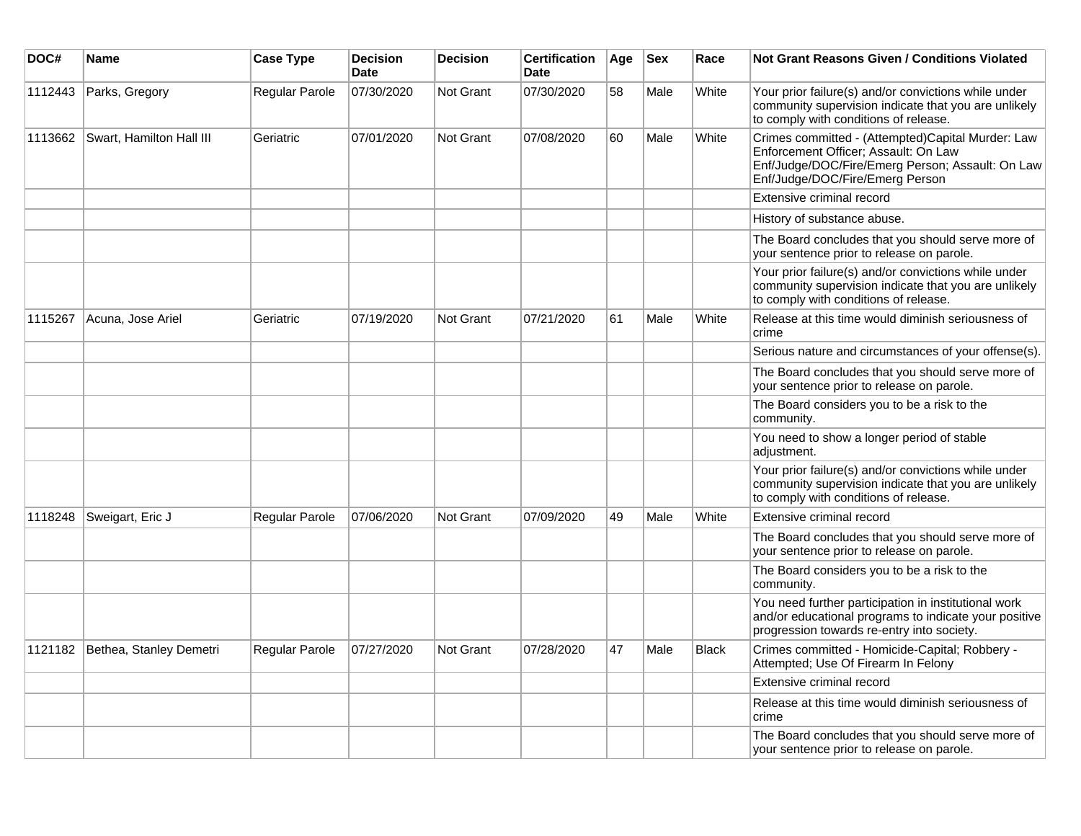| DOC#    | Name                              | <b>Case Type</b> | <b>Decision</b><br><b>Date</b> | <b>Decision</b> | Certification<br><b>Date</b> | Age | <b>Sex</b> | Race  | <b>Not Grant Reasons Given / Conditions Violated</b>                                                                                                                             |
|---------|-----------------------------------|------------------|--------------------------------|-----------------|------------------------------|-----|------------|-------|----------------------------------------------------------------------------------------------------------------------------------------------------------------------------------|
| 1112443 | Parks, Gregory                    | Regular Parole   | 07/30/2020                     | Not Grant       | 07/30/2020                   | 58  | Male       | White | Your prior failure(s) and/or convictions while under<br>community supervision indicate that you are unlikely<br>to comply with conditions of release.                            |
| 1113662 | Swart, Hamilton Hall III          | Geriatric        | 07/01/2020                     | Not Grant       | 07/08/2020                   | 60  | Male       | White | Crimes committed - (Attempted)Capital Murder: Law<br>Enforcement Officer; Assault: On Law<br>Enf/Judge/DOC/Fire/Emerg Person; Assault: On Law<br>Enf/Judge/DOC/Fire/Emerg Person |
|         |                                   |                  |                                |                 |                              |     |            |       | Extensive criminal record                                                                                                                                                        |
|         |                                   |                  |                                |                 |                              |     |            |       | History of substance abuse.                                                                                                                                                      |
|         |                                   |                  |                                |                 |                              |     |            |       | The Board concludes that you should serve more of<br>your sentence prior to release on parole.                                                                                   |
|         |                                   |                  |                                |                 |                              |     |            |       | Your prior failure(s) and/or convictions while under<br>community supervision indicate that you are unlikely<br>to comply with conditions of release.                            |
| 1115267 | Acuna, Jose Ariel                 | Geriatric        | 07/19/2020                     | Not Grant       | 07/21/2020                   | 61  | Male       | White | Release at this time would diminish seriousness of<br>crime                                                                                                                      |
|         |                                   |                  |                                |                 |                              |     |            |       | Serious nature and circumstances of your offense(s).                                                                                                                             |
|         |                                   |                  |                                |                 |                              |     |            |       | The Board concludes that you should serve more of<br>your sentence prior to release on parole.                                                                                   |
|         |                                   |                  |                                |                 |                              |     |            |       | The Board considers you to be a risk to the<br>community.                                                                                                                        |
|         |                                   |                  |                                |                 |                              |     |            |       | You need to show a longer period of stable<br>adjustment.                                                                                                                        |
|         |                                   |                  |                                |                 |                              |     |            |       | Your prior failure(s) and/or convictions while under<br>community supervision indicate that you are unlikely<br>to comply with conditions of release.                            |
| 1118248 | Sweigart, Eric J                  | Regular Parole   | 07/06/2020                     | Not Grant       | 07/09/2020                   | 49  | Male       | White | Extensive criminal record                                                                                                                                                        |
|         |                                   |                  |                                |                 |                              |     |            |       | The Board concludes that you should serve more of<br>your sentence prior to release on parole.                                                                                   |
|         |                                   |                  |                                |                 |                              |     |            |       | The Board considers you to be a risk to the<br>community.                                                                                                                        |
|         |                                   |                  |                                |                 |                              |     |            |       | You need further participation in institutional work<br>and/or educational programs to indicate your positive<br>progression towards re-entry into society.                      |
|         | 1121182   Bethea, Stanley Demetri | Regular Parole   | 07/27/2020                     | Not Grant       | 07/28/2020                   | 47  | Male       | Black | Crimes committed - Homicide-Capital; Robbery -<br>Attempted; Use Of Firearm In Felony                                                                                            |
|         |                                   |                  |                                |                 |                              |     |            |       | Extensive criminal record                                                                                                                                                        |
|         |                                   |                  |                                |                 |                              |     |            |       | Release at this time would diminish seriousness of<br>crime                                                                                                                      |
|         |                                   |                  |                                |                 |                              |     |            |       | The Board concludes that you should serve more of<br>your sentence prior to release on parole.                                                                                   |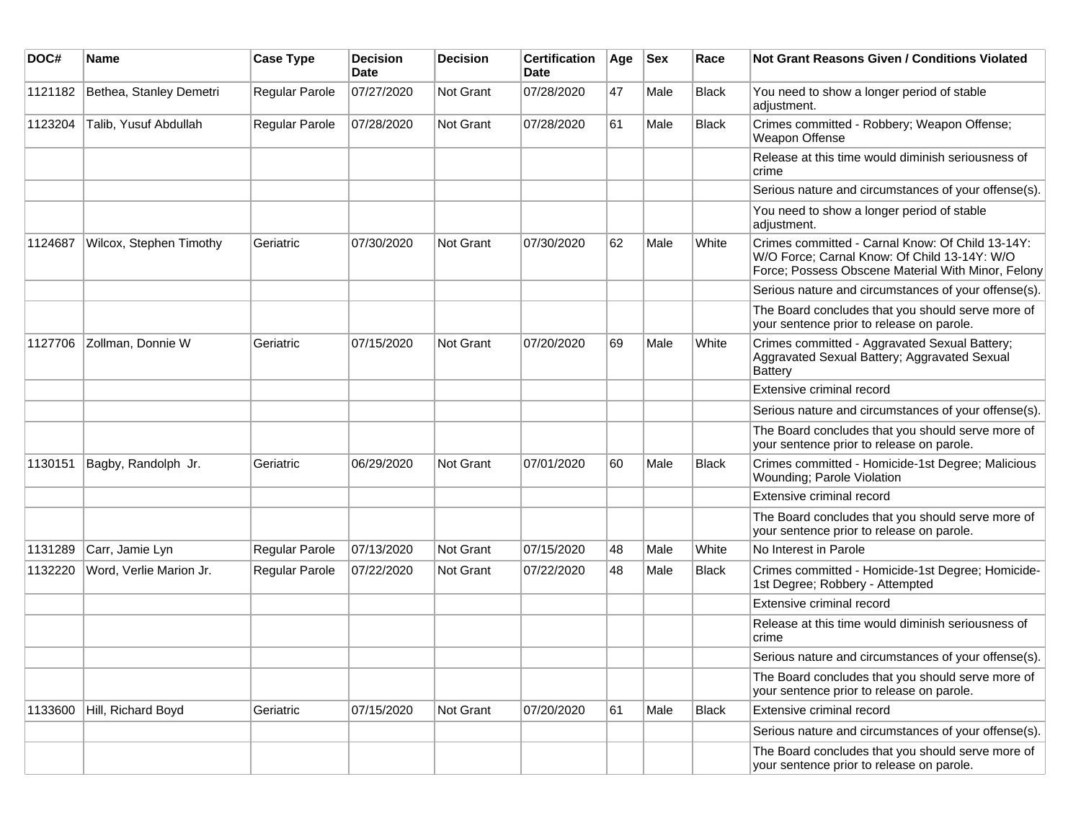| DOC#    | <b>Name</b>             | <b>Case Type</b> | <b>Decision</b><br><b>Date</b> | <b>Decision</b> | <b>Certification</b><br>Date | Age | <b>Sex</b> | Race         | Not Grant Reasons Given / Conditions Violated                                                                                                          |
|---------|-------------------------|------------------|--------------------------------|-----------------|------------------------------|-----|------------|--------------|--------------------------------------------------------------------------------------------------------------------------------------------------------|
| 1121182 | Bethea, Stanley Demetri | Regular Parole   | 07/27/2020                     | Not Grant       | 07/28/2020                   | 47  | Male       | <b>Black</b> | You need to show a longer period of stable<br>adjustment.                                                                                              |
| 1123204 | Talib, Yusuf Abdullah   | Regular Parole   | 07/28/2020                     | Not Grant       | 07/28/2020                   | 61  | Male       | <b>Black</b> | Crimes committed - Robbery; Weapon Offense;<br>Weapon Offense                                                                                          |
|         |                         |                  |                                |                 |                              |     |            |              | Release at this time would diminish seriousness of<br>crime                                                                                            |
|         |                         |                  |                                |                 |                              |     |            |              | Serious nature and circumstances of your offense(s).                                                                                                   |
|         |                         |                  |                                |                 |                              |     |            |              | You need to show a longer period of stable<br>adjustment.                                                                                              |
| 1124687 | Wilcox, Stephen Timothy | Geriatric        | 07/30/2020                     | Not Grant       | 07/30/2020                   | 62  | Male       | White        | Crimes committed - Carnal Know: Of Child 13-14Y:<br>W/O Force; Carnal Know: Of Child 13-14Y: W/O<br>Force; Possess Obscene Material With Minor, Felony |
|         |                         |                  |                                |                 |                              |     |            |              | Serious nature and circumstances of your offense(s).                                                                                                   |
|         |                         |                  |                                |                 |                              |     |            |              | The Board concludes that you should serve more of<br>your sentence prior to release on parole.                                                         |
| 1127706 | Zollman, Donnie W       | Geriatric        | 07/15/2020                     | Not Grant       | 07/20/2020                   | 69  | Male       | White        | Crimes committed - Aggravated Sexual Battery;<br>Aggravated Sexual Battery; Aggravated Sexual<br><b>Battery</b>                                        |
|         |                         |                  |                                |                 |                              |     |            |              | Extensive criminal record                                                                                                                              |
|         |                         |                  |                                |                 |                              |     |            |              | Serious nature and circumstances of your offense(s).                                                                                                   |
|         |                         |                  |                                |                 |                              |     |            |              | The Board concludes that you should serve more of<br>your sentence prior to release on parole.                                                         |
| 1130151 | Bagby, Randolph Jr.     | Geriatric        | 06/29/2020                     | Not Grant       | 07/01/2020                   | 60  | Male       | <b>Black</b> | Crimes committed - Homicide-1st Degree; Malicious<br>Wounding; Parole Violation                                                                        |
|         |                         |                  |                                |                 |                              |     |            |              | Extensive criminal record                                                                                                                              |
|         |                         |                  |                                |                 |                              |     |            |              | The Board concludes that you should serve more of<br>your sentence prior to release on parole.                                                         |
| 1131289 | Carr, Jamie Lyn         | Regular Parole   | 07/13/2020                     | Not Grant       | 07/15/2020                   | 48  | Male       | White        | No Interest in Parole                                                                                                                                  |
| 1132220 | Word, Verlie Marion Jr. | Regular Parole   | 07/22/2020                     | Not Grant       | 07/22/2020                   | 48  | Male       | <b>Black</b> | Crimes committed - Homicide-1st Degree; Homicide-<br>1st Degree; Robbery - Attempted                                                                   |
|         |                         |                  |                                |                 |                              |     |            |              | Extensive criminal record                                                                                                                              |
|         |                         |                  |                                |                 |                              |     |            |              | Release at this time would diminish seriousness of<br>crime                                                                                            |
|         |                         |                  |                                |                 |                              |     |            |              | Serious nature and circumstances of your offense(s).                                                                                                   |
|         |                         |                  |                                |                 |                              |     |            |              | The Board concludes that you should serve more of<br>your sentence prior to release on parole.                                                         |
| 1133600 | Hill, Richard Boyd      | Geriatric        | 07/15/2020                     | Not Grant       | 07/20/2020                   | 61  | Male       | <b>Black</b> | Extensive criminal record                                                                                                                              |
|         |                         |                  |                                |                 |                              |     |            |              | Serious nature and circumstances of your offense(s).                                                                                                   |
|         |                         |                  |                                |                 |                              |     |            |              | The Board concludes that you should serve more of<br>your sentence prior to release on parole.                                                         |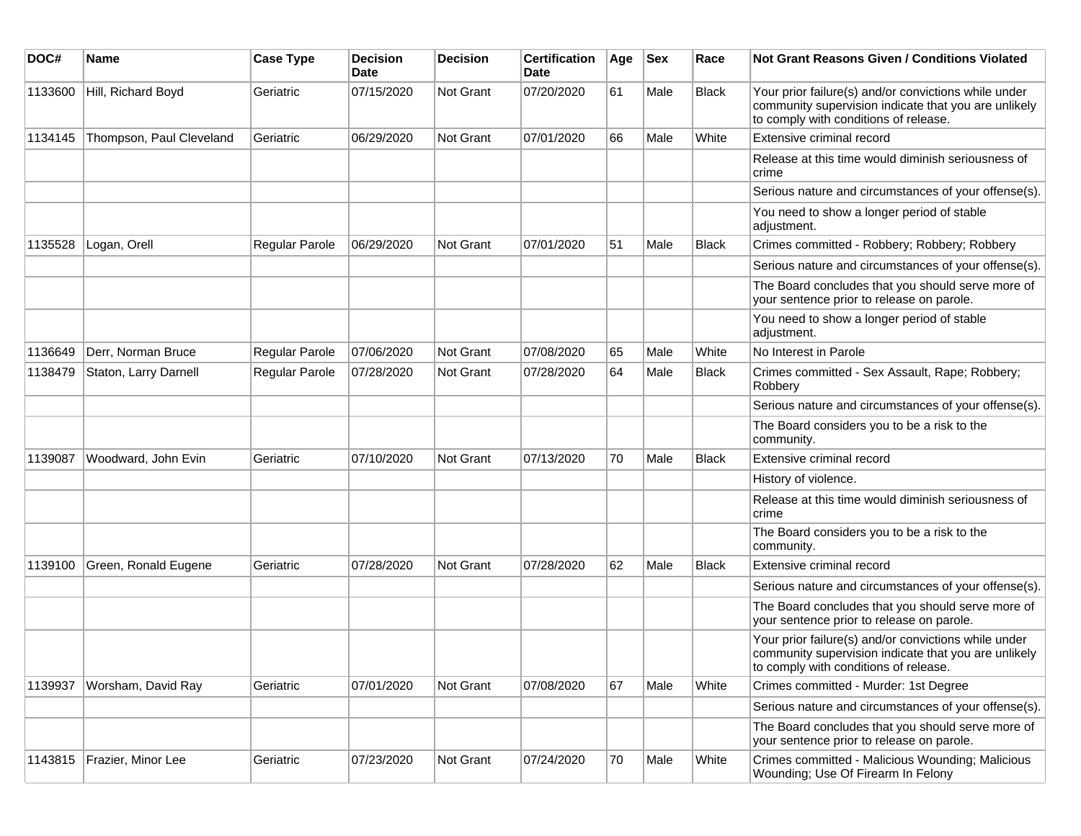| DOC#    | <b>Name</b>              | <b>Case Type</b> | <b>Decision</b><br>Date | <b>Decision</b>  | <b>Certification</b><br>Date | Age | <b>Sex</b> | Race         | <b>Not Grant Reasons Given / Conditions Violated</b>                                                                                                  |
|---------|--------------------------|------------------|-------------------------|------------------|------------------------------|-----|------------|--------------|-------------------------------------------------------------------------------------------------------------------------------------------------------|
| 1133600 | Hill, Richard Boyd       | Geriatric        | 07/15/2020              | Not Grant        | 07/20/2020                   | 61  | Male       | Black        | Your prior failure(s) and/or convictions while under<br>community supervision indicate that you are unlikely<br>to comply with conditions of release. |
| 1134145 | Thompson, Paul Cleveland | Geriatric        | 06/29/2020              | Not Grant        | 07/01/2020                   | 66  | Male       | White        | Extensive criminal record                                                                                                                             |
|         |                          |                  |                         |                  |                              |     |            |              | Release at this time would diminish seriousness of<br>crime                                                                                           |
|         |                          |                  |                         |                  |                              |     |            |              | Serious nature and circumstances of your offense(s).                                                                                                  |
|         |                          |                  |                         |                  |                              |     |            |              | You need to show a longer period of stable<br>adjustment.                                                                                             |
| 1135528 | Logan, Orell             | Regular Parole   | 06/29/2020              | <b>Not Grant</b> | 07/01/2020                   | 51  | Male       | <b>Black</b> | Crimes committed - Robbery; Robbery; Robbery                                                                                                          |
|         |                          |                  |                         |                  |                              |     |            |              | Serious nature and circumstances of your offense(s).                                                                                                  |
|         |                          |                  |                         |                  |                              |     |            |              | The Board concludes that you should serve more of<br>your sentence prior to release on parole.                                                        |
|         |                          |                  |                         |                  |                              |     |            |              | You need to show a longer period of stable<br>adjustment.                                                                                             |
| 1136649 | Derr, Norman Bruce       | Regular Parole   | 07/06/2020              | Not Grant        | 07/08/2020                   | 65  | Male       | White        | No Interest in Parole                                                                                                                                 |
| 1138479 | Staton, Larry Darnell    | Regular Parole   | 07/28/2020              | Not Grant        | 07/28/2020                   | 64  | Male       | <b>Black</b> | Crimes committed - Sex Assault, Rape; Robbery;<br>Robbery                                                                                             |
|         |                          |                  |                         |                  |                              |     |            |              | Serious nature and circumstances of your offense(s).                                                                                                  |
|         |                          |                  |                         |                  |                              |     |            |              | The Board considers you to be a risk to the<br>community.                                                                                             |
| 1139087 | Woodward, John Evin      | Geriatric        | 07/10/2020              | Not Grant        | 07/13/2020                   | 70  | Male       | <b>Black</b> | Extensive criminal record                                                                                                                             |
|         |                          |                  |                         |                  |                              |     |            |              | History of violence.                                                                                                                                  |
|         |                          |                  |                         |                  |                              |     |            |              | Release at this time would diminish seriousness of<br>crime                                                                                           |
|         |                          |                  |                         |                  |                              |     |            |              | The Board considers you to be a risk to the<br>community.                                                                                             |
| 1139100 | Green, Ronald Eugene     | Geriatric        | 07/28/2020              | <b>Not Grant</b> | 07/28/2020                   | 62  | Male       | Black        | Extensive criminal record                                                                                                                             |
|         |                          |                  |                         |                  |                              |     |            |              | Serious nature and circumstances of your offense(s).                                                                                                  |
|         |                          |                  |                         |                  |                              |     |            |              | The Board concludes that you should serve more of<br>your sentence prior to release on parole.                                                        |
|         |                          |                  |                         |                  |                              |     |            |              | Your prior failure(s) and/or convictions while under<br>community supervision indicate that you are unlikely<br>to comply with conditions of release. |
| 1139937 | Worsham, David Ray       | Geriatric        | 07/01/2020              | Not Grant        | 07/08/2020                   | 67  | Male       | White        | Crimes committed - Murder: 1st Degree                                                                                                                 |
|         |                          |                  |                         |                  |                              |     |            |              | Serious nature and circumstances of your offense(s).                                                                                                  |
|         |                          |                  |                         |                  |                              |     |            |              | The Board concludes that you should serve more of<br>your sentence prior to release on parole.                                                        |
| 1143815 | Frazier, Minor Lee       | Geriatric        | 07/23/2020              | Not Grant        | 07/24/2020                   | 70  | Male       | White        | Crimes committed - Malicious Wounding; Malicious<br>Wounding; Use Of Firearm In Felony                                                                |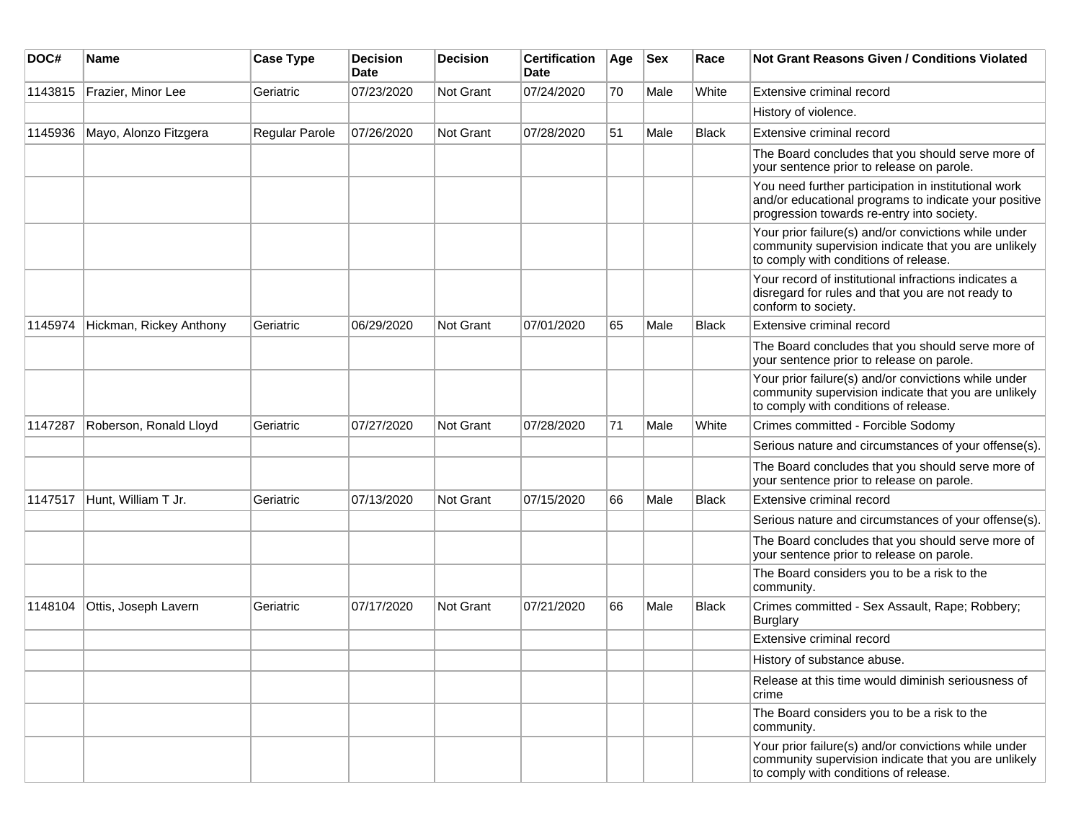| DOC#    | <b>Name</b>             | <b>Case Type</b> | <b>Decision</b><br><b>Date</b> | <b>Decision</b> | <b>Certification</b><br>Date | Age | <b>Sex</b> | Race         | <b>Not Grant Reasons Given / Conditions Violated</b>                                                                                                        |
|---------|-------------------------|------------------|--------------------------------|-----------------|------------------------------|-----|------------|--------------|-------------------------------------------------------------------------------------------------------------------------------------------------------------|
| 1143815 | Frazier, Minor Lee      | Geriatric        | 07/23/2020                     | Not Grant       | 07/24/2020                   | 70  | Male       | White        | Extensive criminal record                                                                                                                                   |
|         |                         |                  |                                |                 |                              |     |            |              | History of violence.                                                                                                                                        |
| 1145936 | Mayo, Alonzo Fitzgera   | Regular Parole   | 07/26/2020                     | Not Grant       | 07/28/2020                   | 51  | Male       | <b>Black</b> | Extensive criminal record                                                                                                                                   |
|         |                         |                  |                                |                 |                              |     |            |              | The Board concludes that you should serve more of<br>your sentence prior to release on parole.                                                              |
|         |                         |                  |                                |                 |                              |     |            |              | You need further participation in institutional work<br>and/or educational programs to indicate your positive<br>progression towards re-entry into society. |
|         |                         |                  |                                |                 |                              |     |            |              | Your prior failure(s) and/or convictions while under<br>community supervision indicate that you are unlikely<br>to comply with conditions of release.       |
|         |                         |                  |                                |                 |                              |     |            |              | Your record of institutional infractions indicates a<br>disregard for rules and that you are not ready to<br>conform to society.                            |
| 1145974 | Hickman, Rickey Anthony | Geriatric        | 06/29/2020                     | Not Grant       | 07/01/2020                   | 65  | Male       | <b>Black</b> | Extensive criminal record                                                                                                                                   |
|         |                         |                  |                                |                 |                              |     |            |              | The Board concludes that you should serve more of<br>your sentence prior to release on parole.                                                              |
|         |                         |                  |                                |                 |                              |     |            |              | Your prior failure(s) and/or convictions while under<br>community supervision indicate that you are unlikely<br>to comply with conditions of release.       |
| 1147287 | Roberson, Ronald Lloyd  | Geriatric        | 07/27/2020                     | Not Grant       | 07/28/2020                   | 71  | Male       | White        | Crimes committed - Forcible Sodomy                                                                                                                          |
|         |                         |                  |                                |                 |                              |     |            |              | Serious nature and circumstances of your offense(s).                                                                                                        |
|         |                         |                  |                                |                 |                              |     |            |              | The Board concludes that you should serve more of<br>your sentence prior to release on parole.                                                              |
| 1147517 | Hunt, William T Jr.     | Geriatric        | 07/13/2020                     | Not Grant       | 07/15/2020                   | 66  | Male       | Black        | Extensive criminal record                                                                                                                                   |
|         |                         |                  |                                |                 |                              |     |            |              | Serious nature and circumstances of your offense(s).                                                                                                        |
|         |                         |                  |                                |                 |                              |     |            |              | The Board concludes that you should serve more of<br>your sentence prior to release on parole.                                                              |
|         |                         |                  |                                |                 |                              |     |            |              | The Board considers you to be a risk to the<br>community.                                                                                                   |
| 1148104 | Ottis, Joseph Lavern    | Geriatric        | 07/17/2020                     | Not Grant       | 07/21/2020                   | 66  | Male       | Black        | Crimes committed - Sex Assault, Rape; Robbery;<br><b>Burglary</b>                                                                                           |
|         |                         |                  |                                |                 |                              |     |            |              | Extensive criminal record                                                                                                                                   |
|         |                         |                  |                                |                 |                              |     |            |              | History of substance abuse.                                                                                                                                 |
|         |                         |                  |                                |                 |                              |     |            |              | Release at this time would diminish seriousness of<br>crime                                                                                                 |
|         |                         |                  |                                |                 |                              |     |            |              | The Board considers you to be a risk to the<br>community.                                                                                                   |
|         |                         |                  |                                |                 |                              |     |            |              | Your prior failure(s) and/or convictions while under<br>community supervision indicate that you are unlikely<br>to comply with conditions of release.       |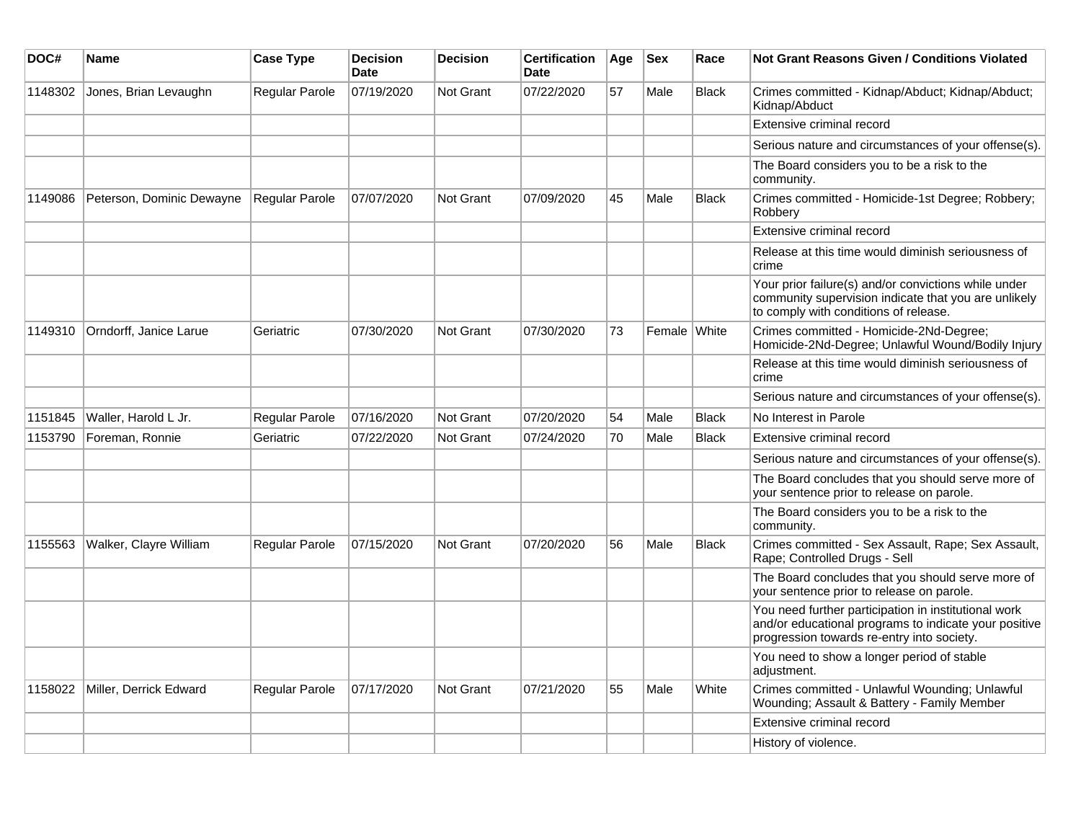| DOC#    | Name                      | <b>Case Type</b>      | <b>Decision</b><br><b>Date</b> | <b>Decision</b>  | <b>Certification</b><br>Date | Age | <b>Sex</b>   | Race         | Not Grant Reasons Given / Conditions Violated                                                                                                               |
|---------|---------------------------|-----------------------|--------------------------------|------------------|------------------------------|-----|--------------|--------------|-------------------------------------------------------------------------------------------------------------------------------------------------------------|
| 1148302 | Jones, Brian Levaughn     | Regular Parole        | 07/19/2020                     | Not Grant        | 07/22/2020                   | 57  | Male         | <b>Black</b> | Crimes committed - Kidnap/Abduct; Kidnap/Abduct;<br>Kidnap/Abduct                                                                                           |
|         |                           |                       |                                |                  |                              |     |              |              | Extensive criminal record                                                                                                                                   |
|         |                           |                       |                                |                  |                              |     |              |              | Serious nature and circumstances of your offense(s).                                                                                                        |
|         |                           |                       |                                |                  |                              |     |              |              | The Board considers you to be a risk to the<br>community.                                                                                                   |
| 1149086 | Peterson, Dominic Dewayne | Regular Parole        | 07/07/2020                     | <b>Not Grant</b> | 07/09/2020                   | 45  | Male         | <b>Black</b> | Crimes committed - Homicide-1st Degree; Robbery;<br>Robbery                                                                                                 |
|         |                           |                       |                                |                  |                              |     |              |              | Extensive criminal record                                                                                                                                   |
|         |                           |                       |                                |                  |                              |     |              |              | Release at this time would diminish seriousness of<br>crime                                                                                                 |
|         |                           |                       |                                |                  |                              |     |              |              | Your prior failure(s) and/or convictions while under<br>community supervision indicate that you are unlikely<br>to comply with conditions of release.       |
| 1149310 | Orndorff, Janice Larue    | Geriatric             | 07/30/2020                     | Not Grant        | 07/30/2020                   | 73  | Female White |              | Crimes committed - Homicide-2Nd-Degree;<br>Homicide-2Nd-Degree; Unlawful Wound/Bodily Injury                                                                |
|         |                           |                       |                                |                  |                              |     |              |              | Release at this time would diminish seriousness of<br>crime                                                                                                 |
|         |                           |                       |                                |                  |                              |     |              |              | Serious nature and circumstances of your offense(s).                                                                                                        |
| 1151845 | Waller, Harold L Jr.      | Regular Parole        | 07/16/2020                     | <b>Not Grant</b> | 07/20/2020                   | 54  | Male         | <b>Black</b> | No Interest in Parole                                                                                                                                       |
| 1153790 | Foreman, Ronnie           | Geriatric             | 07/22/2020                     | <b>Not Grant</b> | 07/24/2020                   | 70  | Male         | <b>Black</b> | Extensive criminal record                                                                                                                                   |
|         |                           |                       |                                |                  |                              |     |              |              | Serious nature and circumstances of your offense(s).                                                                                                        |
|         |                           |                       |                                |                  |                              |     |              |              | The Board concludes that you should serve more of<br>your sentence prior to release on parole.                                                              |
|         |                           |                       |                                |                  |                              |     |              |              | The Board considers you to be a risk to the<br>community.                                                                                                   |
| 1155563 | Walker, Clayre William    | <b>Regular Parole</b> | 07/15/2020                     | <b>Not Grant</b> | 07/20/2020                   | 56  | Male         | <b>Black</b> | Crimes committed - Sex Assault, Rape; Sex Assault,<br>Rape; Controlled Drugs - Sell                                                                         |
|         |                           |                       |                                |                  |                              |     |              |              | The Board concludes that you should serve more of<br>your sentence prior to release on parole.                                                              |
|         |                           |                       |                                |                  |                              |     |              |              | You need further participation in institutional work<br>and/or educational programs to indicate your positive<br>progression towards re-entry into society. |
|         |                           |                       |                                |                  |                              |     |              |              | You need to show a longer period of stable<br>adjustment.                                                                                                   |
| 1158022 | Miller, Derrick Edward    | Regular Parole        | 07/17/2020                     | <b>Not Grant</b> | 07/21/2020                   | 55  | Male         | White        | Crimes committed - Unlawful Wounding; Unlawful<br>Wounding; Assault & Battery - Family Member                                                               |
|         |                           |                       |                                |                  |                              |     |              |              | Extensive criminal record                                                                                                                                   |
|         |                           |                       |                                |                  |                              |     |              |              | History of violence.                                                                                                                                        |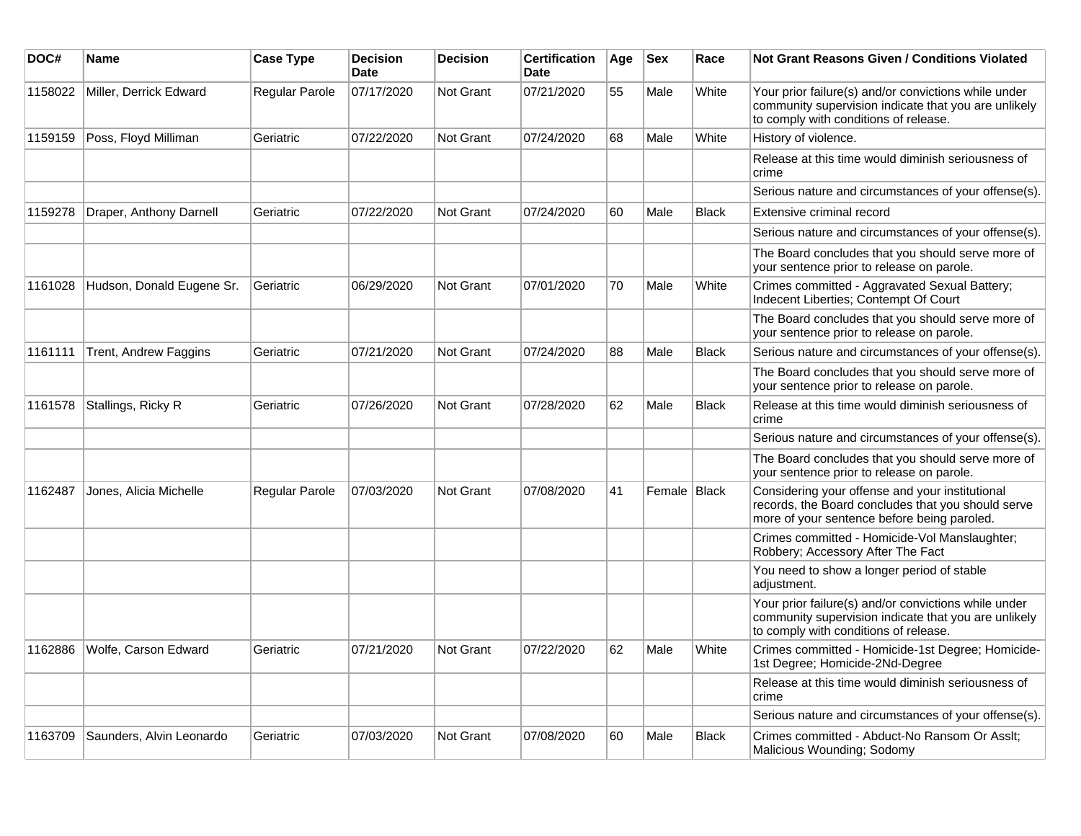| DOC#    | Name                      | <b>Case Type</b> | <b>Decision</b><br><b>Date</b> | <b>Decision</b>  | <b>Certification</b><br><b>Date</b> | Age | <b>Sex</b>     | Race         | Not Grant Reasons Given / Conditions Violated                                                                                                         |
|---------|---------------------------|------------------|--------------------------------|------------------|-------------------------------------|-----|----------------|--------------|-------------------------------------------------------------------------------------------------------------------------------------------------------|
| 1158022 | Miller, Derrick Edward    | Regular Parole   | 07/17/2020                     | <b>Not Grant</b> | 07/21/2020                          | 55  | Male           | White        | Your prior failure(s) and/or convictions while under<br>community supervision indicate that you are unlikely<br>to comply with conditions of release. |
| 1159159 | Poss, Floyd Milliman      | Geriatric        | 07/22/2020                     | <b>Not Grant</b> | 07/24/2020                          | 68  | Male           | White        | History of violence.                                                                                                                                  |
|         |                           |                  |                                |                  |                                     |     |                |              | Release at this time would diminish seriousness of<br>crime                                                                                           |
|         |                           |                  |                                |                  |                                     |     |                |              | Serious nature and circumstances of your offense(s).                                                                                                  |
| 1159278 | Draper, Anthony Darnell   | Geriatric        | 07/22/2020                     | <b>Not Grant</b> | 07/24/2020                          | 60  | Male           | <b>Black</b> | Extensive criminal record                                                                                                                             |
|         |                           |                  |                                |                  |                                     |     |                |              | Serious nature and circumstances of your offense(s).                                                                                                  |
|         |                           |                  |                                |                  |                                     |     |                |              | The Board concludes that you should serve more of<br>your sentence prior to release on parole.                                                        |
| 1161028 | Hudson, Donald Eugene Sr. | Geriatric        | 06/29/2020                     | <b>Not Grant</b> | 07/01/2020                          | 70  | Male           | White        | Crimes committed - Aggravated Sexual Battery;<br>Indecent Liberties; Contempt Of Court                                                                |
|         |                           |                  |                                |                  |                                     |     |                |              | The Board concludes that you should serve more of<br>your sentence prior to release on parole.                                                        |
| 1161111 | Trent, Andrew Faggins     | Geriatric        | 07/21/2020                     | Not Grant        | 07/24/2020                          | 88  | Male           | <b>Black</b> | Serious nature and circumstances of your offense(s).                                                                                                  |
|         |                           |                  |                                |                  |                                     |     |                |              | The Board concludes that you should serve more of<br>your sentence prior to release on parole.                                                        |
| 1161578 | Stallings, Ricky R        | Geriatric        | 07/26/2020                     | <b>Not Grant</b> | 07/28/2020                          | 62  | Male           | <b>Black</b> | Release at this time would diminish seriousness of<br>crime                                                                                           |
|         |                           |                  |                                |                  |                                     |     |                |              | Serious nature and circumstances of your offense(s).                                                                                                  |
|         |                           |                  |                                |                  |                                     |     |                |              | The Board concludes that you should serve more of<br>your sentence prior to release on parole.                                                        |
| 1162487 | Jones, Alicia Michelle    | Regular Parole   | 07/03/2020                     | <b>Not Grant</b> | 07/08/2020                          | 41  | Female   Black |              | Considering your offense and your institutional<br>records, the Board concludes that you should serve<br>more of your sentence before being paroled.  |
|         |                           |                  |                                |                  |                                     |     |                |              | Crimes committed - Homicide-Vol Manslaughter;<br>Robbery; Accessory After The Fact                                                                    |
|         |                           |                  |                                |                  |                                     |     |                |              | You need to show a longer period of stable<br>adjustment.                                                                                             |
|         |                           |                  |                                |                  |                                     |     |                |              | Your prior failure(s) and/or convictions while under<br>community supervision indicate that you are unlikely<br>to comply with conditions of release. |
| 1162886 | Wolfe, Carson Edward      | Geriatric        | 07/21/2020                     | <b>Not Grant</b> | 07/22/2020                          | 62  | Male           | White        | Crimes committed - Homicide-1st Degree; Homicide-<br>1st Degree; Homicide-2Nd-Degree                                                                  |
|         |                           |                  |                                |                  |                                     |     |                |              | Release at this time would diminish seriousness of<br>crime                                                                                           |
|         |                           |                  |                                |                  |                                     |     |                |              | Serious nature and circumstances of your offense(s).                                                                                                  |
| 1163709 | Saunders, Alvin Leonardo  | Geriatric        | 07/03/2020                     | <b>Not Grant</b> | 07/08/2020                          | 60  | Male           | Black        | Crimes committed - Abduct-No Ransom Or Asslt;<br>Malicious Wounding; Sodomy                                                                           |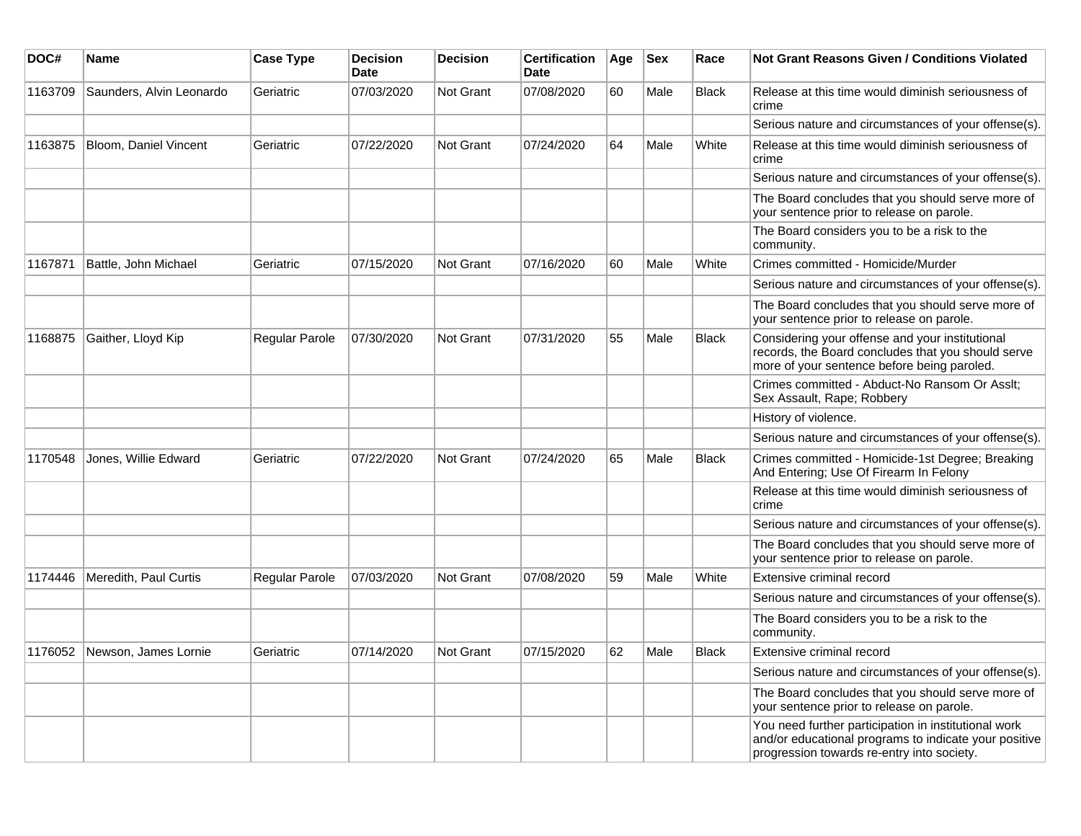| DOC#    | <b>Name</b>              | <b>Case Type</b>      | <b>Decision</b><br><b>Date</b> | <b>Decision</b>  | <b>Certification</b><br><b>Date</b> | Age | <b>Sex</b> | Race         | <b>Not Grant Reasons Given / Conditions Violated</b>                                                                                                        |
|---------|--------------------------|-----------------------|--------------------------------|------------------|-------------------------------------|-----|------------|--------------|-------------------------------------------------------------------------------------------------------------------------------------------------------------|
| 1163709 | Saunders, Alvin Leonardo | Geriatric             | 07/03/2020                     | <b>Not Grant</b> | 07/08/2020                          | 60  | Male       | <b>Black</b> | Release at this time would diminish seriousness of<br>crime                                                                                                 |
|         |                          |                       |                                |                  |                                     |     |            |              | Serious nature and circumstances of your offense(s).                                                                                                        |
| 1163875 | Bloom, Daniel Vincent    | Geriatric             | 07/22/2020                     | <b>Not Grant</b> | 07/24/2020                          | 64  | Male       | White        | Release at this time would diminish seriousness of<br>crime                                                                                                 |
|         |                          |                       |                                |                  |                                     |     |            |              | Serious nature and circumstances of your offense(s).                                                                                                        |
|         |                          |                       |                                |                  |                                     |     |            |              | The Board concludes that you should serve more of<br>your sentence prior to release on parole.                                                              |
|         |                          |                       |                                |                  |                                     |     |            |              | The Board considers you to be a risk to the<br>community.                                                                                                   |
| 1167871 | Battle, John Michael     | Geriatric             | 07/15/2020                     | <b>Not Grant</b> | 07/16/2020                          | 60  | Male       | White        | Crimes committed - Homicide/Murder                                                                                                                          |
|         |                          |                       |                                |                  |                                     |     |            |              | Serious nature and circumstances of your offense(s).                                                                                                        |
|         |                          |                       |                                |                  |                                     |     |            |              | The Board concludes that you should serve more of<br>your sentence prior to release on parole.                                                              |
| 1168875 | Gaither, Lloyd Kip       | <b>Regular Parole</b> | 07/30/2020                     | <b>Not Grant</b> | 07/31/2020                          | 55  | Male       | <b>Black</b> | Considering your offense and your institutional<br>records, the Board concludes that you should serve<br>more of your sentence before being paroled.        |
|         |                          |                       |                                |                  |                                     |     |            |              | Crimes committed - Abduct-No Ransom Or Asslt;<br>Sex Assault, Rape; Robbery                                                                                 |
|         |                          |                       |                                |                  |                                     |     |            |              | History of violence.                                                                                                                                        |
|         |                          |                       |                                |                  |                                     |     |            |              | Serious nature and circumstances of your offense(s).                                                                                                        |
| 1170548 | Jones, Willie Edward     | Geriatric             | 07/22/2020                     | <b>Not Grant</b> | 07/24/2020                          | 65  | Male       | <b>Black</b> | Crimes committed - Homicide-1st Degree; Breaking<br>And Entering; Use Of Firearm In Felony                                                                  |
|         |                          |                       |                                |                  |                                     |     |            |              | Release at this time would diminish seriousness of<br>crime                                                                                                 |
|         |                          |                       |                                |                  |                                     |     |            |              | Serious nature and circumstances of your offense(s).                                                                                                        |
|         |                          |                       |                                |                  |                                     |     |            |              | The Board concludes that you should serve more of<br>your sentence prior to release on parole.                                                              |
| 1174446 | Meredith, Paul Curtis    | Regular Parole        | 07/03/2020                     | <b>Not Grant</b> | 07/08/2020                          | 59  | Male       | White        | Extensive criminal record                                                                                                                                   |
|         |                          |                       |                                |                  |                                     |     |            |              | Serious nature and circumstances of your offense(s).                                                                                                        |
|         |                          |                       |                                |                  |                                     |     |            |              | The Board considers you to be a risk to the<br>community.                                                                                                   |
| 1176052 | Newson, James Lornie     | Geriatric             | 07/14/2020                     | <b>Not Grant</b> | 07/15/2020                          | 62  | Male       | Black        | Extensive criminal record                                                                                                                                   |
|         |                          |                       |                                |                  |                                     |     |            |              | Serious nature and circumstances of your offense(s).                                                                                                        |
|         |                          |                       |                                |                  |                                     |     |            |              | The Board concludes that you should serve more of<br>your sentence prior to release on parole.                                                              |
|         |                          |                       |                                |                  |                                     |     |            |              | You need further participation in institutional work<br>and/or educational programs to indicate your positive<br>progression towards re-entry into society. |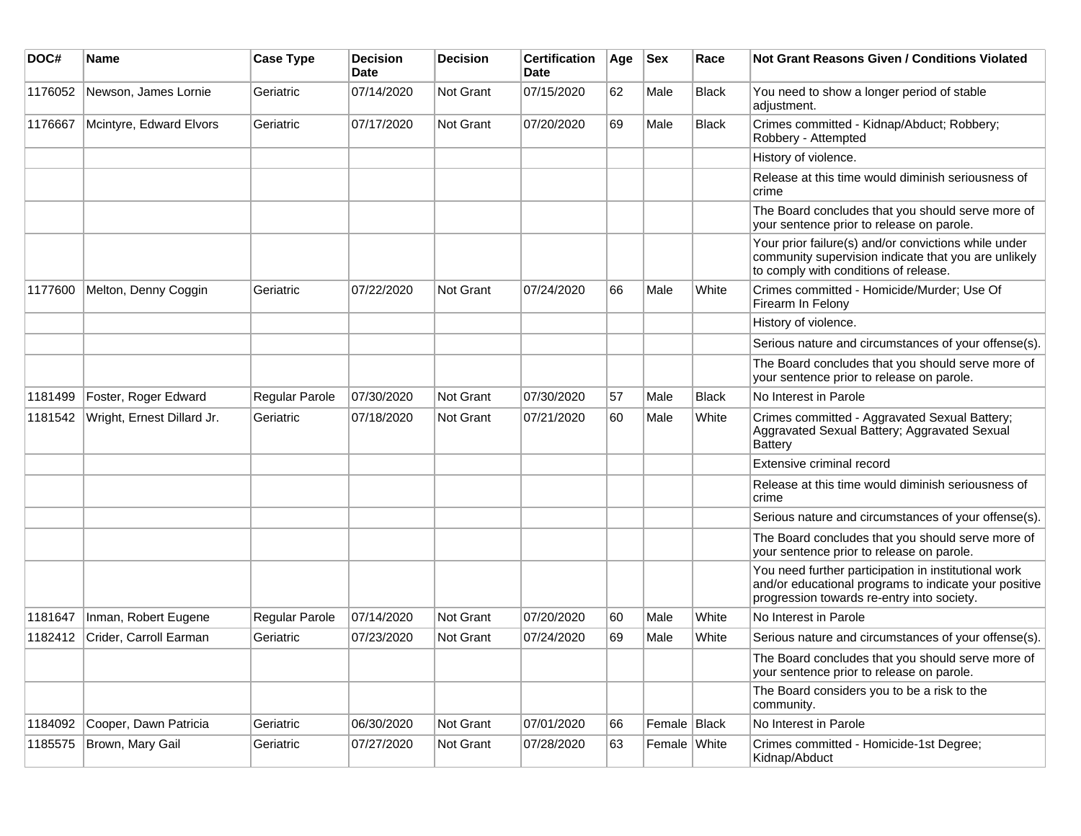| DOC#    | Name                       | <b>Case Type</b> | <b>Decision</b><br><b>Date</b> | <b>Decision</b>  | <b>Certification</b><br>Date | Age | <b>Sex</b>   | Race         | <b>Not Grant Reasons Given / Conditions Violated</b>                                                                                                        |
|---------|----------------------------|------------------|--------------------------------|------------------|------------------------------|-----|--------------|--------------|-------------------------------------------------------------------------------------------------------------------------------------------------------------|
| 1176052 | Newson, James Lornie       | Geriatric        | 07/14/2020                     | Not Grant        | 07/15/2020                   | 62  | Male         | Black        | You need to show a longer period of stable<br>adjustment.                                                                                                   |
| 1176667 | Mcintyre, Edward Elvors    | Geriatric        | 07/17/2020                     | Not Grant        | 07/20/2020                   | 69  | Male         | <b>Black</b> | Crimes committed - Kidnap/Abduct; Robbery;<br>Robbery - Attempted                                                                                           |
|         |                            |                  |                                |                  |                              |     |              |              | History of violence.                                                                                                                                        |
|         |                            |                  |                                |                  |                              |     |              |              | Release at this time would diminish seriousness of<br>crime                                                                                                 |
|         |                            |                  |                                |                  |                              |     |              |              | The Board concludes that you should serve more of<br>your sentence prior to release on parole.                                                              |
|         |                            |                  |                                |                  |                              |     |              |              | Your prior failure(s) and/or convictions while under<br>community supervision indicate that you are unlikely<br>to comply with conditions of release.       |
| 1177600 | Melton, Denny Coggin       | Geriatric        | 07/22/2020                     | <b>Not Grant</b> | 07/24/2020                   | 66  | Male         | White        | Crimes committed - Homicide/Murder; Use Of<br>Firearm In Felony                                                                                             |
|         |                            |                  |                                |                  |                              |     |              |              | History of violence.                                                                                                                                        |
|         |                            |                  |                                |                  |                              |     |              |              | Serious nature and circumstances of your offense(s).                                                                                                        |
|         |                            |                  |                                |                  |                              |     |              |              | The Board concludes that you should serve more of<br>your sentence prior to release on parole.                                                              |
| 1181499 | Foster, Roger Edward       | Regular Parole   | 07/30/2020                     | <b>Not Grant</b> | 07/30/2020                   | 57  | Male         | <b>Black</b> | No Interest in Parole                                                                                                                                       |
| 1181542 | Wright, Ernest Dillard Jr. | Geriatric        | 07/18/2020                     | <b>Not Grant</b> | 07/21/2020                   | 60  | Male         | White        | Crimes committed - Aggravated Sexual Battery;<br>Aggravated Sexual Battery; Aggravated Sexual<br>Battery                                                    |
|         |                            |                  |                                |                  |                              |     |              |              | Extensive criminal record                                                                                                                                   |
|         |                            |                  |                                |                  |                              |     |              |              | Release at this time would diminish seriousness of<br>crime                                                                                                 |
|         |                            |                  |                                |                  |                              |     |              |              | Serious nature and circumstances of your offense(s).                                                                                                        |
|         |                            |                  |                                |                  |                              |     |              |              | The Board concludes that you should serve more of<br>your sentence prior to release on parole.                                                              |
|         |                            |                  |                                |                  |                              |     |              |              | You need further participation in institutional work<br>and/or educational programs to indicate your positive<br>progression towards re-entry into society. |
| 1181647 | Inman, Robert Eugene       | Regular Parole   | 07/14/2020                     | <b>Not Grant</b> | 07/20/2020                   | 60  | Male         | White        | No Interest in Parole                                                                                                                                       |
| 1182412 | Crider, Carroll Earman     | Geriatric        | 07/23/2020                     | <b>Not Grant</b> | 07/24/2020                   | 69  | Male         | White        | Serious nature and circumstances of your offense(s).                                                                                                        |
|         |                            |                  |                                |                  |                              |     |              |              | The Board concludes that you should serve more of<br>your sentence prior to release on parole.                                                              |
|         |                            |                  |                                |                  |                              |     |              |              | The Board considers you to be a risk to the<br>community.                                                                                                   |
| 1184092 | Cooper, Dawn Patricia      | Geriatric        | 06/30/2020                     | Not Grant        | 07/01/2020                   | 66  | Female Black |              | No Interest in Parole                                                                                                                                       |
| 1185575 | Brown, Mary Gail           | Geriatric        | 07/27/2020                     | Not Grant        | 07/28/2020                   | 63  | Female White |              | Crimes committed - Homicide-1st Degree;<br>Kidnap/Abduct                                                                                                    |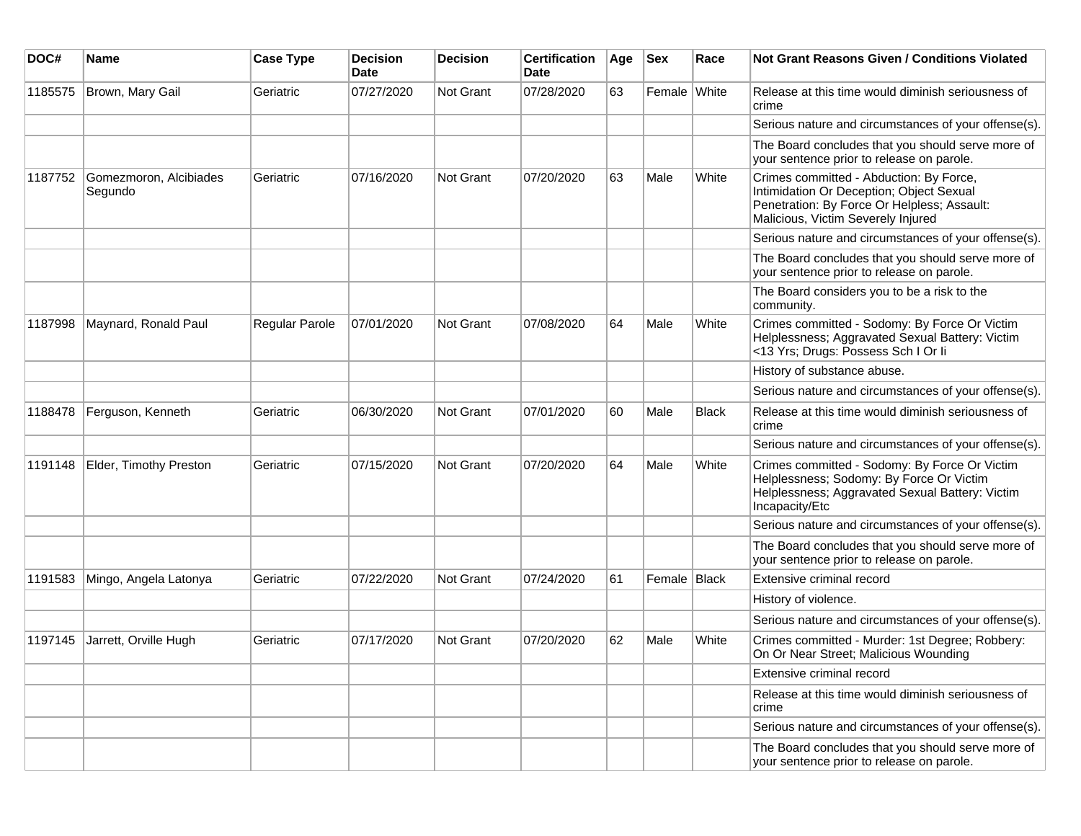| DOC#    | <b>Name</b>                       | <b>Case Type</b>      | <b>Decision</b><br><b>Date</b> | <b>Decision</b> | <b>Certification</b><br>Date | Age | <b>Sex</b>     | Race         | Not Grant Reasons Given / Conditions Violated                                                                                                                            |
|---------|-----------------------------------|-----------------------|--------------------------------|-----------------|------------------------------|-----|----------------|--------------|--------------------------------------------------------------------------------------------------------------------------------------------------------------------------|
| 1185575 | Brown, Mary Gail                  | Geriatric             | 07/27/2020                     | Not Grant       | 07/28/2020                   | 63  | Female White   |              | Release at this time would diminish seriousness of<br>crime                                                                                                              |
|         |                                   |                       |                                |                 |                              |     |                |              | Serious nature and circumstances of your offense(s).                                                                                                                     |
|         |                                   |                       |                                |                 |                              |     |                |              | The Board concludes that you should serve more of<br>your sentence prior to release on parole.                                                                           |
| 1187752 | Gomezmoron, Alcibiades<br>Segundo | Geriatric             | 07/16/2020                     | Not Grant       | 07/20/2020                   | 63  | Male           | White        | Crimes committed - Abduction: By Force,<br>Intimidation Or Deception; Object Sexual<br>Penetration: By Force Or Helpless; Assault:<br>Malicious, Victim Severely Injured |
|         |                                   |                       |                                |                 |                              |     |                |              | Serious nature and circumstances of your offense(s).                                                                                                                     |
|         |                                   |                       |                                |                 |                              |     |                |              | The Board concludes that you should serve more of<br>your sentence prior to release on parole.                                                                           |
|         |                                   |                       |                                |                 |                              |     |                |              | The Board considers you to be a risk to the<br>community.                                                                                                                |
| 1187998 | Maynard, Ronald Paul              | <b>Regular Parole</b> | 07/01/2020                     | Not Grant       | 07/08/2020                   | 64  | Male           | White        | Crimes committed - Sodomy: By Force Or Victim<br>Helplessness; Aggravated Sexual Battery: Victim<br><13 Yrs; Drugs: Possess Sch I Or li                                  |
|         |                                   |                       |                                |                 |                              |     |                |              | History of substance abuse.                                                                                                                                              |
|         |                                   |                       |                                |                 |                              |     |                |              | Serious nature and circumstances of your offense(s).                                                                                                                     |
| 1188478 | Ferguson, Kenneth                 | Geriatric             | 06/30/2020                     | Not Grant       | 07/01/2020                   | 60  | Male           | <b>Black</b> | Release at this time would diminish seriousness of<br>crime                                                                                                              |
|         |                                   |                       |                                |                 |                              |     |                |              | Serious nature and circumstances of your offense(s).                                                                                                                     |
| 1191148 | Elder, Timothy Preston            | Geriatric             | 07/15/2020                     | Not Grant       | 07/20/2020                   | 64  | Male           | White        | Crimes committed - Sodomy: By Force Or Victim<br>Helplessness; Sodomy: By Force Or Victim<br>Helplessness; Aggravated Sexual Battery: Victim<br>Incapacity/Etc           |
|         |                                   |                       |                                |                 |                              |     |                |              | Serious nature and circumstances of your offense(s).                                                                                                                     |
|         |                                   |                       |                                |                 |                              |     |                |              | The Board concludes that you should serve more of<br>your sentence prior to release on parole.                                                                           |
| 1191583 | Mingo, Angela Latonya             | Geriatric             | 07/22/2020                     | Not Grant       | 07/24/2020                   | 61  | Female   Black |              | Extensive criminal record                                                                                                                                                |
|         |                                   |                       |                                |                 |                              |     |                |              | History of violence.                                                                                                                                                     |
|         |                                   |                       |                                |                 |                              |     |                |              | Serious nature and circumstances of your offense(s).                                                                                                                     |
| 1197145 | Jarrett, Orville Hugh             | Geriatric             | 07/17/2020                     | Not Grant       | 07/20/2020                   | 62  | Male           | White        | Crimes committed - Murder: 1st Degree; Robbery:<br>On Or Near Street; Malicious Wounding                                                                                 |
|         |                                   |                       |                                |                 |                              |     |                |              | Extensive criminal record                                                                                                                                                |
|         |                                   |                       |                                |                 |                              |     |                |              | Release at this time would diminish seriousness of<br>crime                                                                                                              |
|         |                                   |                       |                                |                 |                              |     |                |              | Serious nature and circumstances of your offense(s).                                                                                                                     |
|         |                                   |                       |                                |                 |                              |     |                |              | The Board concludes that you should serve more of<br>your sentence prior to release on parole.                                                                           |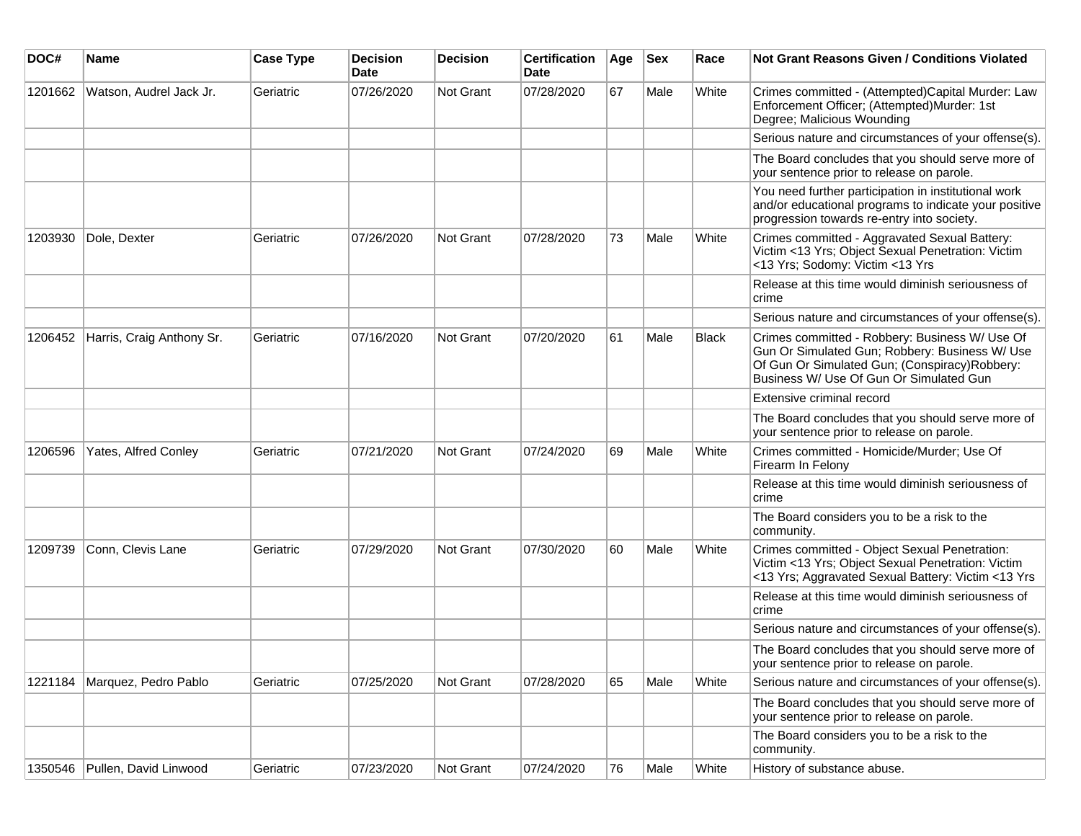| DOC#    | Name                      | <b>Case Type</b> | <b>Decision</b><br><b>Date</b> | <b>Decision</b> | <b>Certification</b><br>Date | Age | <b>Sex</b> | Race         | <b>Not Grant Reasons Given / Conditions Violated</b>                                                                                                                                          |
|---------|---------------------------|------------------|--------------------------------|-----------------|------------------------------|-----|------------|--------------|-----------------------------------------------------------------------------------------------------------------------------------------------------------------------------------------------|
| 1201662 | Watson, Audrel Jack Jr.   | Geriatric        | 07/26/2020                     | Not Grant       | 07/28/2020                   | 67  | Male       | White        | Crimes committed - (Attempted)Capital Murder: Law<br>Enforcement Officer; (Attempted)Murder: 1st<br>Degree; Malicious Wounding                                                                |
|         |                           |                  |                                |                 |                              |     |            |              | Serious nature and circumstances of your offense(s).                                                                                                                                          |
|         |                           |                  |                                |                 |                              |     |            |              | The Board concludes that you should serve more of<br>your sentence prior to release on parole.                                                                                                |
|         |                           |                  |                                |                 |                              |     |            |              | You need further participation in institutional work<br>and/or educational programs to indicate your positive<br>progression towards re-entry into society.                                   |
| 1203930 | Dole, Dexter              | Geriatric        | 07/26/2020                     | Not Grant       | 07/28/2020                   | 73  | Male       | White        | Crimes committed - Aggravated Sexual Battery:<br>Victim <13 Yrs; Object Sexual Penetration: Victim<br><13 Yrs; Sodomy: Victim <13 Yrs                                                         |
|         |                           |                  |                                |                 |                              |     |            |              | Release at this time would diminish seriousness of<br>crime                                                                                                                                   |
|         |                           |                  |                                |                 |                              |     |            |              | Serious nature and circumstances of your offense(s).                                                                                                                                          |
| 1206452 | Harris, Craig Anthony Sr. | Geriatric        | 07/16/2020                     | Not Grant       | 07/20/2020                   | 61  | Male       | <b>Black</b> | Crimes committed - Robbery: Business W/ Use Of<br>Gun Or Simulated Gun; Robbery: Business W/ Use<br>Of Gun Or Simulated Gun; (Conspiracy) Robbery:<br>Business W/ Use Of Gun Or Simulated Gun |
|         |                           |                  |                                |                 |                              |     |            |              | Extensive criminal record                                                                                                                                                                     |
|         |                           |                  |                                |                 |                              |     |            |              | The Board concludes that you should serve more of<br>your sentence prior to release on parole.                                                                                                |
| 1206596 | Yates, Alfred Conley      | Geriatric        | 07/21/2020                     | Not Grant       | 07/24/2020                   | 69  | Male       | White        | Crimes committed - Homicide/Murder; Use Of<br>Firearm In Felony                                                                                                                               |
|         |                           |                  |                                |                 |                              |     |            |              | Release at this time would diminish seriousness of<br>crime                                                                                                                                   |
|         |                           |                  |                                |                 |                              |     |            |              | The Board considers you to be a risk to the<br>community.                                                                                                                                     |
| 1209739 | Conn, Clevis Lane         | Geriatric        | 07/29/2020                     | Not Grant       | 07/30/2020                   | 60  | Male       | White        | Crimes committed - Object Sexual Penetration:<br>Victim <13 Yrs; Object Sexual Penetration: Victim<br><13 Yrs; Aggravated Sexual Battery: Victim <13 Yrs                                      |
|         |                           |                  |                                |                 |                              |     |            |              | Release at this time would diminish seriousness of<br>crime                                                                                                                                   |
|         |                           |                  |                                |                 |                              |     |            |              | Serious nature and circumstances of your offense(s).                                                                                                                                          |
|         |                           |                  |                                |                 |                              |     |            |              | The Board concludes that you should serve more of<br>your sentence prior to release on parole.                                                                                                |
| 1221184 | Marquez, Pedro Pablo      | Geriatric        | 07/25/2020                     | Not Grant       | 07/28/2020                   | 65  | Male       | White        | Serious nature and circumstances of your offense(s).                                                                                                                                          |
|         |                           |                  |                                |                 |                              |     |            |              | The Board concludes that you should serve more of<br>your sentence prior to release on parole.                                                                                                |
|         |                           |                  |                                |                 |                              |     |            |              | The Board considers you to be a risk to the<br>community.                                                                                                                                     |
| 1350546 | Pullen, David Linwood     | Geriatric        | 07/23/2020                     | Not Grant       | 07/24/2020                   | 76  | Male       | White        | History of substance abuse.                                                                                                                                                                   |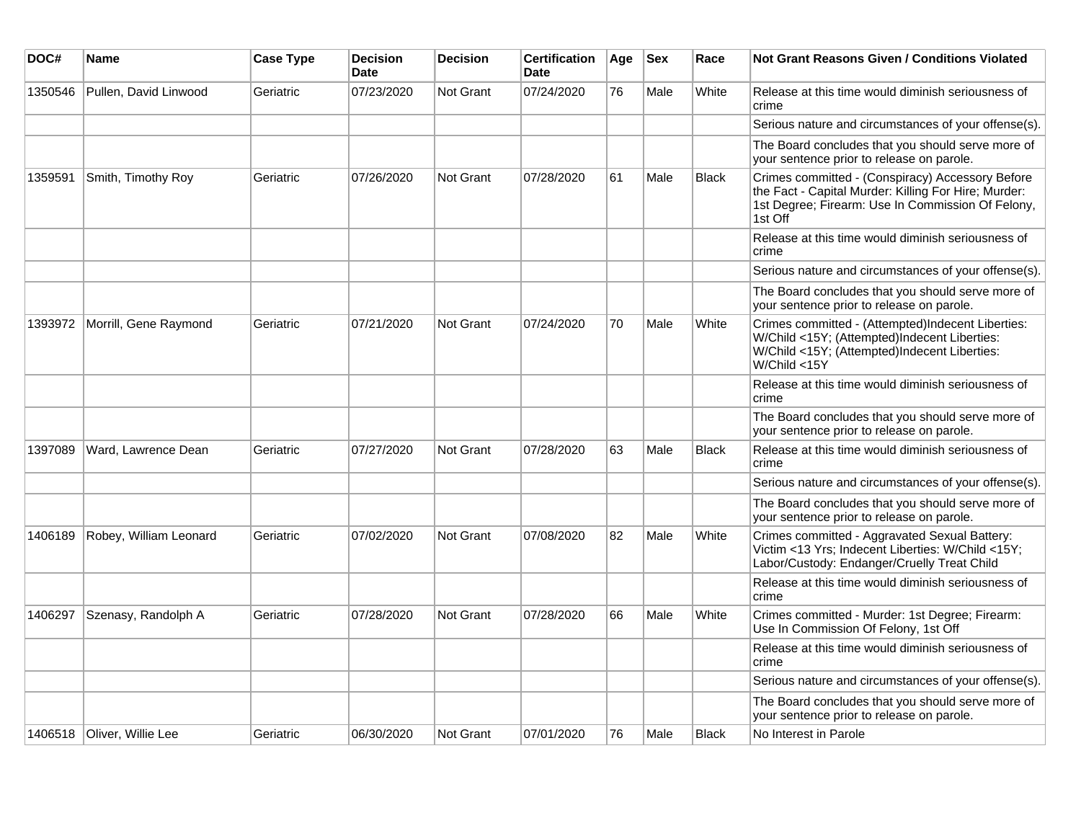| DOC#    | Name                          | <b>Case Type</b> | <b>Decision</b><br><b>Date</b> | <b>Decision</b>  | <b>Certification</b><br><b>Date</b> | Age | <b>Sex</b> | Race         | <b>Not Grant Reasons Given / Conditions Violated</b>                                                                                                                     |
|---------|-------------------------------|------------------|--------------------------------|------------------|-------------------------------------|-----|------------|--------------|--------------------------------------------------------------------------------------------------------------------------------------------------------------------------|
| 1350546 | Pullen, David Linwood         | Geriatric        | 07/23/2020                     | Not Grant        | 07/24/2020                          | 76  | Male       | White        | Release at this time would diminish seriousness of<br>crime                                                                                                              |
|         |                               |                  |                                |                  |                                     |     |            |              | Serious nature and circumstances of your offense(s).                                                                                                                     |
|         |                               |                  |                                |                  |                                     |     |            |              | The Board concludes that you should serve more of<br>your sentence prior to release on parole.                                                                           |
| 1359591 | Smith, Timothy Roy            | Geriatric        | 07/26/2020                     | Not Grant        | 07/28/2020                          | 61  | Male       | <b>Black</b> | Crimes committed - (Conspiracy) Accessory Before<br>the Fact - Capital Murder: Killing For Hire; Murder:<br>1st Degree; Firearm: Use In Commission Of Felony,<br>1st Off |
|         |                               |                  |                                |                  |                                     |     |            |              | Release at this time would diminish seriousness of<br>crime                                                                                                              |
|         |                               |                  |                                |                  |                                     |     |            |              | Serious nature and circumstances of your offense(s).                                                                                                                     |
|         |                               |                  |                                |                  |                                     |     |            |              | The Board concludes that you should serve more of<br>your sentence prior to release on parole.                                                                           |
|         | 1393972 Morrill, Gene Raymond | Geriatric        | 07/21/2020                     | <b>Not Grant</b> | 07/24/2020                          | 70  | Male       | White        | Crimes committed - (Attempted)Indecent Liberties:<br>W/Child <15Y; (Attempted)Indecent Liberties:<br>W/Child <15Y; (Attempted)Indecent Liberties:<br>W/Child <15Y        |
|         |                               |                  |                                |                  |                                     |     |            |              | Release at this time would diminish seriousness of<br>crime                                                                                                              |
|         |                               |                  |                                |                  |                                     |     |            |              | The Board concludes that you should serve more of<br>your sentence prior to release on parole.                                                                           |
| 1397089 | Ward, Lawrence Dean           | Geriatric        | 07/27/2020                     | Not Grant        | 07/28/2020                          | 63  | Male       | <b>Black</b> | Release at this time would diminish seriousness of<br>crime                                                                                                              |
|         |                               |                  |                                |                  |                                     |     |            |              | Serious nature and circumstances of your offense(s).                                                                                                                     |
|         |                               |                  |                                |                  |                                     |     |            |              | The Board concludes that you should serve more of<br>your sentence prior to release on parole.                                                                           |
| 1406189 | Robey, William Leonard        | Geriatric        | 07/02/2020                     | Not Grant        | 07/08/2020                          | 82  | Male       | White        | Crimes committed - Aggravated Sexual Battery:<br>Victim <13 Yrs; Indecent Liberties: W/Child <15Y;<br>Labor/Custody: Endanger/Cruelly Treat Child                        |
|         |                               |                  |                                |                  |                                     |     |            |              | Release at this time would diminish seriousness of<br>crime                                                                                                              |
| 1406297 | Szenasy, Randolph A           | Geriatric        | 07/28/2020                     | <b>Not Grant</b> | 07/28/2020                          | 66  | Male       | White        | Crimes committed - Murder: 1st Degree; Firearm:<br>Use In Commission Of Felony, 1st Off                                                                                  |
|         |                               |                  |                                |                  |                                     |     |            |              | Release at this time would diminish seriousness of<br>crime                                                                                                              |
|         |                               |                  |                                |                  |                                     |     |            |              | Serious nature and circumstances of your offense(s).                                                                                                                     |
|         |                               |                  |                                |                  |                                     |     |            |              | The Board concludes that you should serve more of<br>your sentence prior to release on parole.                                                                           |
|         | 1406518   Oliver, Willie Lee  | Geriatric        | 06/30/2020                     | Not Grant        | 07/01/2020                          | 76  | Male       | <b>Black</b> | No Interest in Parole                                                                                                                                                    |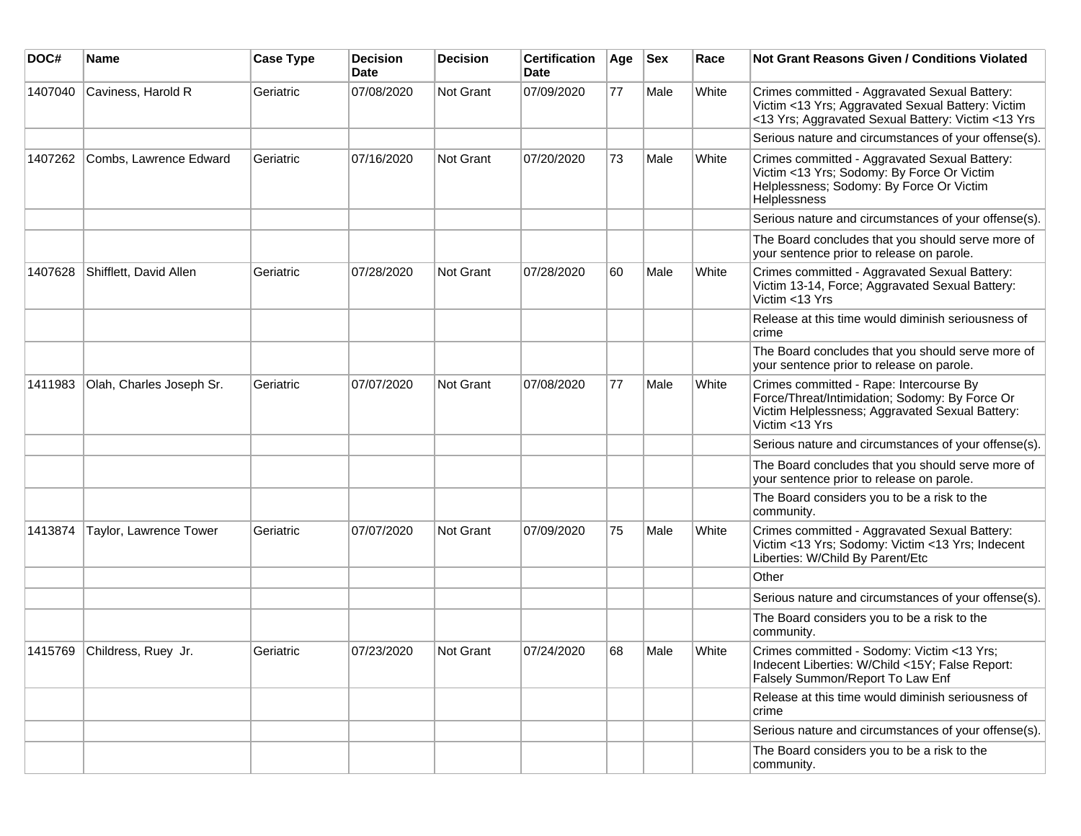| DOC#    | Name                     | <b>Case Type</b> | <b>Decision</b><br><b>Date</b> | <b>Decision</b> | <b>Certification</b><br><b>Date</b> | Age | <b>Sex</b> | Race  | Not Grant Reasons Given / Conditions Violated                                                                                                                  |
|---------|--------------------------|------------------|--------------------------------|-----------------|-------------------------------------|-----|------------|-------|----------------------------------------------------------------------------------------------------------------------------------------------------------------|
| 1407040 | Caviness, Harold R       | Geriatric        | 07/08/2020                     | Not Grant       | 07/09/2020                          | 77  | Male       | White | Crimes committed - Aggravated Sexual Battery:<br>Victim <13 Yrs; Aggravated Sexual Battery: Victim<br><13 Yrs; Aggravated Sexual Battery: Victim <13 Yrs       |
|         |                          |                  |                                |                 |                                     |     |            |       | Serious nature and circumstances of your offense(s).                                                                                                           |
| 1407262 | Combs, Lawrence Edward   | Geriatric        | 07/16/2020                     | Not Grant       | 07/20/2020                          | 73  | Male       | White | Crimes committed - Aggravated Sexual Battery:<br>Victim <13 Yrs; Sodomy: By Force Or Victim<br>Helplessness; Sodomy: By Force Or Victim<br>Helplessness        |
|         |                          |                  |                                |                 |                                     |     |            |       | Serious nature and circumstances of your offense(s).                                                                                                           |
|         |                          |                  |                                |                 |                                     |     |            |       | The Board concludes that you should serve more of<br>your sentence prior to release on parole.                                                                 |
| 1407628 | Shifflett, David Allen   | Geriatric        | 07/28/2020                     | Not Grant       | 07/28/2020                          | 60  | Male       | White | Crimes committed - Aggravated Sexual Battery:<br>Victim 13-14, Force; Aggravated Sexual Battery:<br>Victim <13 Yrs                                             |
|         |                          |                  |                                |                 |                                     |     |            |       | Release at this time would diminish seriousness of<br>crime                                                                                                    |
|         |                          |                  |                                |                 |                                     |     |            |       | The Board concludes that you should serve more of<br>your sentence prior to release on parole.                                                                 |
| 1411983 | Olah, Charles Joseph Sr. | Geriatric        | 07/07/2020                     | Not Grant       | 07/08/2020                          | 77  | Male       | White | Crimes committed - Rape: Intercourse By<br>Force/Threat/Intimidation; Sodomy: By Force Or<br>Victim Helplessness; Aggravated Sexual Battery:<br>Victim <13 Yrs |
|         |                          |                  |                                |                 |                                     |     |            |       | Serious nature and circumstances of your offense(s).                                                                                                           |
|         |                          |                  |                                |                 |                                     |     |            |       | The Board concludes that you should serve more of<br>your sentence prior to release on parole.                                                                 |
|         |                          |                  |                                |                 |                                     |     |            |       | The Board considers you to be a risk to the<br>community.                                                                                                      |
| 1413874 | Taylor, Lawrence Tower   | Geriatric        | 07/07/2020                     | Not Grant       | 07/09/2020                          | 75  | Male       | White | Crimes committed - Aggravated Sexual Battery:<br>Victim <13 Yrs; Sodomy: Victim <13 Yrs; Indecent<br>Liberties: W/Child By Parent/Etc                          |
|         |                          |                  |                                |                 |                                     |     |            |       | Other                                                                                                                                                          |
|         |                          |                  |                                |                 |                                     |     |            |       | Serious nature and circumstances of your offense(s).                                                                                                           |
|         |                          |                  |                                |                 |                                     |     |            |       | The Board considers you to be a risk to the<br>community.                                                                                                      |
| 1415769 | Childress, Ruey Jr.      | Geriatric        | 07/23/2020                     | Not Grant       | 07/24/2020                          | 68  | Male       | White | Crimes committed - Sodomy: Victim <13 Yrs;<br>Indecent Liberties: W/Child <15Y; False Report:<br>Falsely Summon/Report To Law Enf                              |
|         |                          |                  |                                |                 |                                     |     |            |       | Release at this time would diminish seriousness of<br>crime                                                                                                    |
|         |                          |                  |                                |                 |                                     |     |            |       | Serious nature and circumstances of your offense(s).                                                                                                           |
|         |                          |                  |                                |                 |                                     |     |            |       | The Board considers you to be a risk to the<br>community.                                                                                                      |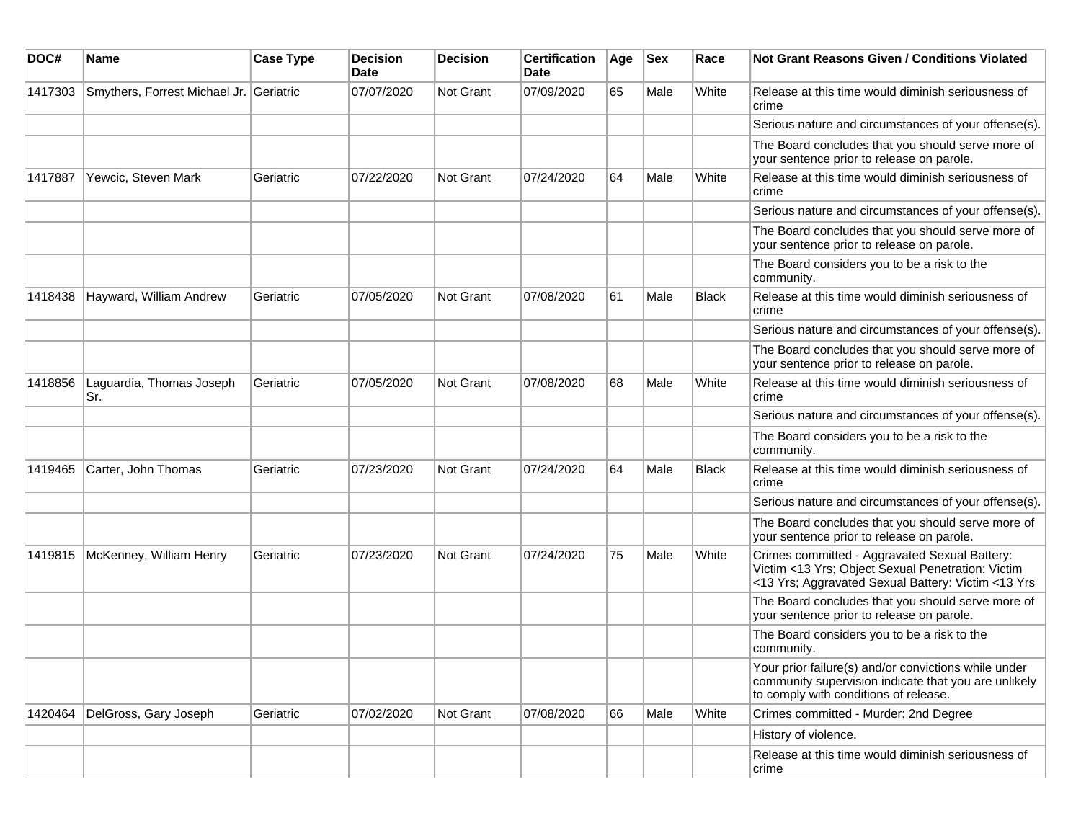| DOC#    | Name                                    | <b>Case Type</b> | <b>Decision</b><br>Date | <b>Decision</b> | <b>Certification</b><br><b>Date</b> | Age | <b>Sex</b> | Race         | <b>Not Grant Reasons Given / Conditions Violated</b>                                                                                                     |
|---------|-----------------------------------------|------------------|-------------------------|-----------------|-------------------------------------|-----|------------|--------------|----------------------------------------------------------------------------------------------------------------------------------------------------------|
| 1417303 | Smythers, Forrest Michael Jr. Geriatric |                  | 07/07/2020              | Not Grant       | 07/09/2020                          | 65  | Male       | White        | Release at this time would diminish seriousness of<br>crime                                                                                              |
|         |                                         |                  |                         |                 |                                     |     |            |              | Serious nature and circumstances of your offense(s).                                                                                                     |
|         |                                         |                  |                         |                 |                                     |     |            |              | The Board concludes that you should serve more of<br>your sentence prior to release on parole.                                                           |
| 1417887 | Yewcic, Steven Mark                     | Geriatric        | 07/22/2020              | Not Grant       | 07/24/2020                          | 64  | Male       | White        | Release at this time would diminish seriousness of<br>crime                                                                                              |
|         |                                         |                  |                         |                 |                                     |     |            |              | Serious nature and circumstances of your offense(s).                                                                                                     |
|         |                                         |                  |                         |                 |                                     |     |            |              | The Board concludes that you should serve more of<br>your sentence prior to release on parole.                                                           |
|         |                                         |                  |                         |                 |                                     |     |            |              | The Board considers you to be a risk to the<br>community.                                                                                                |
| 1418438 | Hayward, William Andrew                 | Geriatric        | 07/05/2020              | Not Grant       | 07/08/2020                          | 61  | Male       | <b>Black</b> | Release at this time would diminish seriousness of<br>crime                                                                                              |
|         |                                         |                  |                         |                 |                                     |     |            |              | Serious nature and circumstances of your offense(s).                                                                                                     |
|         |                                         |                  |                         |                 |                                     |     |            |              | The Board concludes that you should serve more of<br>your sentence prior to release on parole.                                                           |
| 1418856 | Laguardia, Thomas Joseph<br>Sr.         | Geriatric        | 07/05/2020              | Not Grant       | 07/08/2020                          | 68  | Male       | White        | Release at this time would diminish seriousness of<br>crime                                                                                              |
|         |                                         |                  |                         |                 |                                     |     |            |              | Serious nature and circumstances of your offense(s).                                                                                                     |
|         |                                         |                  |                         |                 |                                     |     |            |              | The Board considers you to be a risk to the<br>community.                                                                                                |
| 1419465 | Carter, John Thomas                     | Geriatric        | 07/23/2020              | Not Grant       | 07/24/2020                          | 64  | Male       | Black        | Release at this time would diminish seriousness of<br>crime                                                                                              |
|         |                                         |                  |                         |                 |                                     |     |            |              | Serious nature and circumstances of your offense(s).                                                                                                     |
|         |                                         |                  |                         |                 |                                     |     |            |              | The Board concludes that you should serve more of<br>your sentence prior to release on parole.                                                           |
| 1419815 | McKenney, William Henry                 | Geriatric        | 07/23/2020              | Not Grant       | 07/24/2020                          | 75  | Male       | White        | Crimes committed - Aggravated Sexual Battery:<br>Victim <13 Yrs; Object Sexual Penetration: Victim<br><13 Yrs; Aggravated Sexual Battery: Victim <13 Yrs |
|         |                                         |                  |                         |                 |                                     |     |            |              | The Board concludes that you should serve more of<br>your sentence prior to release on parole.                                                           |
|         |                                         |                  |                         |                 |                                     |     |            |              | The Board considers you to be a risk to the<br>community.                                                                                                |
|         |                                         |                  |                         |                 |                                     |     |            |              | Your prior failure(s) and/or convictions while under<br>community supervision indicate that you are unlikely<br>to comply with conditions of release.    |
| 1420464 | DelGross, Gary Joseph                   | Geriatric        | 07/02/2020              | Not Grant       | 07/08/2020                          | 66  | Male       | White        | Crimes committed - Murder: 2nd Degree                                                                                                                    |
|         |                                         |                  |                         |                 |                                     |     |            |              | History of violence.                                                                                                                                     |
|         |                                         |                  |                         |                 |                                     |     |            |              | Release at this time would diminish seriousness of<br>crime                                                                                              |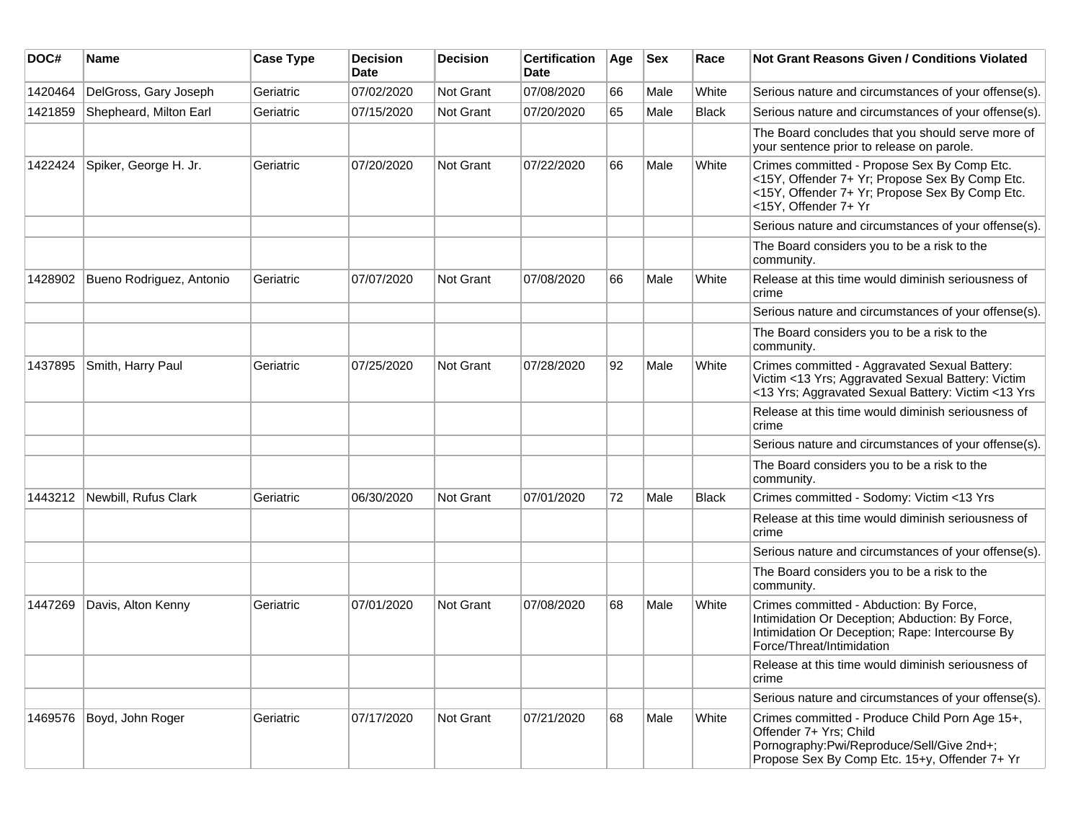| DOC#    | Name                         | <b>Case Type</b> | <b>Decision</b><br><b>Date</b> | <b>Decision</b>  | <b>Certification</b><br><b>Date</b> | Age | <b>Sex</b> | Race         | <b>Not Grant Reasons Given / Conditions Violated</b>                                                                                                                       |
|---------|------------------------------|------------------|--------------------------------|------------------|-------------------------------------|-----|------------|--------------|----------------------------------------------------------------------------------------------------------------------------------------------------------------------------|
| 1420464 | DelGross, Gary Joseph        | Geriatric        | 07/02/2020                     | Not Grant        | 07/08/2020                          | 66  | Male       | White        | Serious nature and circumstances of your offense(s).                                                                                                                       |
| 1421859 | Shepheard, Milton Earl       | Geriatric        | 07/15/2020                     | Not Grant        | 07/20/2020                          | 65  | Male       | <b>Black</b> | Serious nature and circumstances of your offense(s).                                                                                                                       |
|         |                              |                  |                                |                  |                                     |     |            |              | The Board concludes that you should serve more of<br>your sentence prior to release on parole.                                                                             |
| 1422424 | Spiker, George H. Jr.        | Geriatric        | 07/20/2020                     | Not Grant        | 07/22/2020                          | 66  | Male       | White        | Crimes committed - Propose Sex By Comp Etc.<br><15Y, Offender 7+ Yr; Propose Sex By Comp Etc.<br><15Y, Offender 7+ Yr; Propose Sex By Comp Etc.<br><15Y, Offender 7+ Yr    |
|         |                              |                  |                                |                  |                                     |     |            |              | Serious nature and circumstances of your offense(s).                                                                                                                       |
|         |                              |                  |                                |                  |                                     |     |            |              | The Board considers you to be a risk to the<br>community.                                                                                                                  |
| 1428902 | Bueno Rodriguez, Antonio     | Geriatric        | 07/07/2020                     | Not Grant        | 07/08/2020                          | 66  | Male       | White        | Release at this time would diminish seriousness of<br>crime                                                                                                                |
|         |                              |                  |                                |                  |                                     |     |            |              | Serious nature and circumstances of your offense(s).                                                                                                                       |
|         |                              |                  |                                |                  |                                     |     |            |              | The Board considers you to be a risk to the<br>community.                                                                                                                  |
| 1437895 | Smith, Harry Paul            | Geriatric        | 07/25/2020                     | <b>Not Grant</b> | 07/28/2020                          | 92  | Male       | White        | Crimes committed - Aggravated Sexual Battery:<br>Victim <13 Yrs; Aggravated Sexual Battery: Victim<br><13 Yrs; Aggravated Sexual Battery: Victim <13 Yrs                   |
|         |                              |                  |                                |                  |                                     |     |            |              | Release at this time would diminish seriousness of<br>crime                                                                                                                |
|         |                              |                  |                                |                  |                                     |     |            |              | Serious nature and circumstances of your offense(s).                                                                                                                       |
|         |                              |                  |                                |                  |                                     |     |            |              | The Board considers you to be a risk to the<br>community.                                                                                                                  |
|         | 1443212 Newbill, Rufus Clark | Geriatric        | 06/30/2020                     | <b>Not Grant</b> | 07/01/2020                          | 72  | Male       | Black        | Crimes committed - Sodomy: Victim <13 Yrs                                                                                                                                  |
|         |                              |                  |                                |                  |                                     |     |            |              | Release at this time would diminish seriousness of<br>crime                                                                                                                |
|         |                              |                  |                                |                  |                                     |     |            |              | Serious nature and circumstances of your offense(s).                                                                                                                       |
|         |                              |                  |                                |                  |                                     |     |            |              | The Board considers you to be a risk to the<br>community.                                                                                                                  |
| 1447269 | Davis, Alton Kenny           | Geriatric        | 07/01/2020                     | <b>Not Grant</b> | 07/08/2020                          | 68  | Male       | White        | Crimes committed - Abduction: By Force,<br>Intimidation Or Deception; Abduction: By Force,<br>Intimidation Or Deception; Rape: Intercourse By<br>Force/Threat/Intimidation |
|         |                              |                  |                                |                  |                                     |     |            |              | Release at this time would diminish seriousness of<br>crime                                                                                                                |
|         |                              |                  |                                |                  |                                     |     |            |              | Serious nature and circumstances of your offense(s).                                                                                                                       |
|         | 1469576 Boyd, John Roger     | Geriatric        | 07/17/2020                     | Not Grant        | 07/21/2020                          | 68  | Male       | White        | Crimes committed - Produce Child Porn Age 15+,<br>Offender 7+ Yrs; Child<br>Pornography:Pwi/Reproduce/Sell/Give 2nd+;<br>Propose Sex By Comp Etc. 15+y, Offender 7+ Yr     |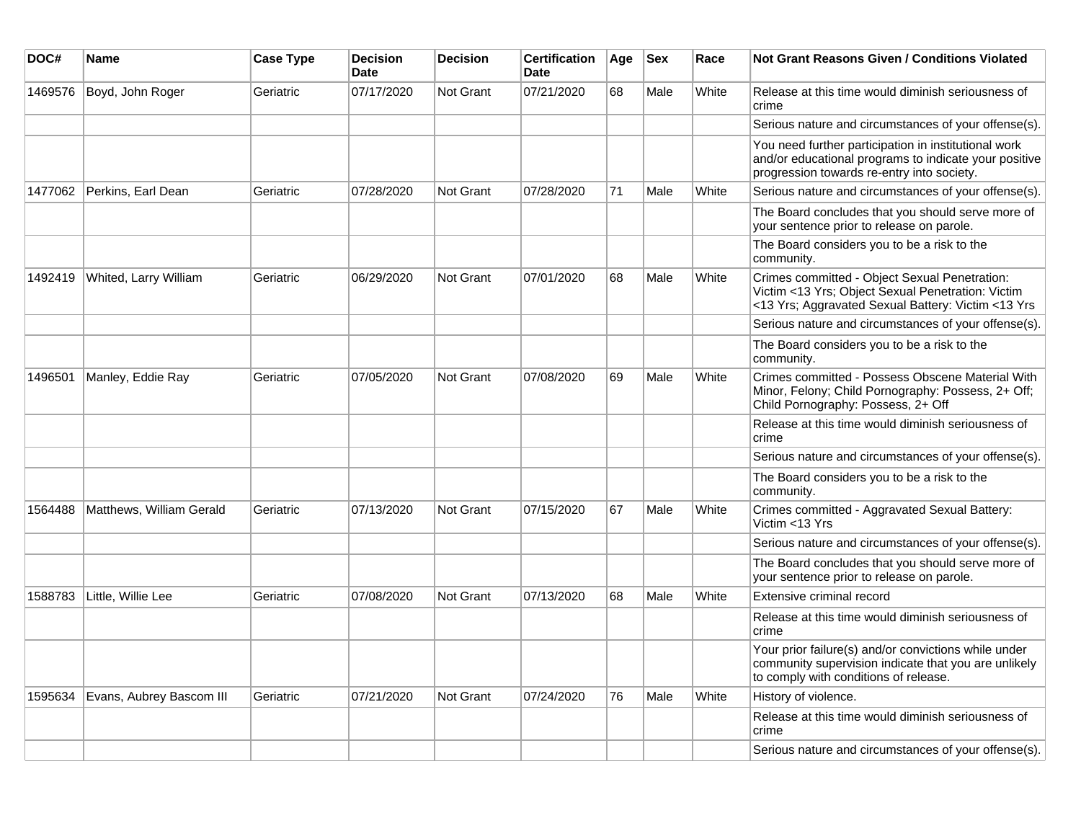| DOC#    | <b>Name</b>              | <b>Case Type</b> | <b>Decision</b><br><b>Date</b> | <b>Decision</b>  | <b>Certification</b><br><b>Date</b> | Age | <b>Sex</b> | Race  | <b>Not Grant Reasons Given / Conditions Violated</b>                                                                                                        |
|---------|--------------------------|------------------|--------------------------------|------------------|-------------------------------------|-----|------------|-------|-------------------------------------------------------------------------------------------------------------------------------------------------------------|
| 1469576 | Boyd, John Roger         | Geriatric        | 07/17/2020                     | Not Grant        | 07/21/2020                          | 68  | Male       | White | Release at this time would diminish seriousness of<br>crime                                                                                                 |
|         |                          |                  |                                |                  |                                     |     |            |       | Serious nature and circumstances of your offense(s).                                                                                                        |
|         |                          |                  |                                |                  |                                     |     |            |       | You need further participation in institutional work<br>and/or educational programs to indicate your positive<br>progression towards re-entry into society. |
| 1477062 | Perkins, Earl Dean       | Geriatric        | 07/28/2020                     | <b>Not Grant</b> | 07/28/2020                          | 71  | Male       | White | Serious nature and circumstances of your offense(s).                                                                                                        |
|         |                          |                  |                                |                  |                                     |     |            |       | The Board concludes that you should serve more of<br>your sentence prior to release on parole.                                                              |
|         |                          |                  |                                |                  |                                     |     |            |       | The Board considers you to be a risk to the<br>community.                                                                                                   |
| 1492419 | Whited, Larry William    | Geriatric        | 06/29/2020                     | <b>Not Grant</b> | 07/01/2020                          | 68  | Male       | White | Crimes committed - Object Sexual Penetration:<br>Victim <13 Yrs; Object Sexual Penetration: Victim<br><13 Yrs; Aggravated Sexual Battery: Victim <13 Yrs    |
|         |                          |                  |                                |                  |                                     |     |            |       | Serious nature and circumstances of your offense(s).                                                                                                        |
|         |                          |                  |                                |                  |                                     |     |            |       | The Board considers you to be a risk to the<br>community.                                                                                                   |
| 1496501 | Manley, Eddie Ray        | Geriatric        | 07/05/2020                     | <b>Not Grant</b> | 07/08/2020                          | 69  | Male       | White | Crimes committed - Possess Obscene Material With<br>Minor, Felony; Child Pornography: Possess, 2+ Off;<br>Child Pornography: Possess, 2+ Off                |
|         |                          |                  |                                |                  |                                     |     |            |       | Release at this time would diminish seriousness of<br>crime                                                                                                 |
|         |                          |                  |                                |                  |                                     |     |            |       | Serious nature and circumstances of your offense(s).                                                                                                        |
|         |                          |                  |                                |                  |                                     |     |            |       | The Board considers you to be a risk to the<br>community.                                                                                                   |
| 1564488 | Matthews, William Gerald | Geriatric        | 07/13/2020                     | Not Grant        | 07/15/2020                          | 67  | Male       | White | Crimes committed - Aggravated Sexual Battery:<br>Victim <13 Yrs                                                                                             |
|         |                          |                  |                                |                  |                                     |     |            |       | Serious nature and circumstances of your offense(s).                                                                                                        |
|         |                          |                  |                                |                  |                                     |     |            |       | The Board concludes that you should serve more of<br>your sentence prior to release on parole.                                                              |
| 1588783 | Little, Willie Lee       | Geriatric        | 07/08/2020                     | <b>Not Grant</b> | 07/13/2020                          | 68  | Male       | White | Extensive criminal record                                                                                                                                   |
|         |                          |                  |                                |                  |                                     |     |            |       | Release at this time would diminish seriousness of<br>crime                                                                                                 |
|         |                          |                  |                                |                  |                                     |     |            |       | Your prior failure(s) and/or convictions while under<br>community supervision indicate that you are unlikely<br>to comply with conditions of release.       |
| 1595634 | Evans, Aubrey Bascom III | Geriatric        | 07/21/2020                     | <b>Not Grant</b> | 07/24/2020                          | 76  | Male       | White | History of violence.                                                                                                                                        |
|         |                          |                  |                                |                  |                                     |     |            |       | Release at this time would diminish seriousness of<br>crime                                                                                                 |
|         |                          |                  |                                |                  |                                     |     |            |       | Serious nature and circumstances of your offense(s).                                                                                                        |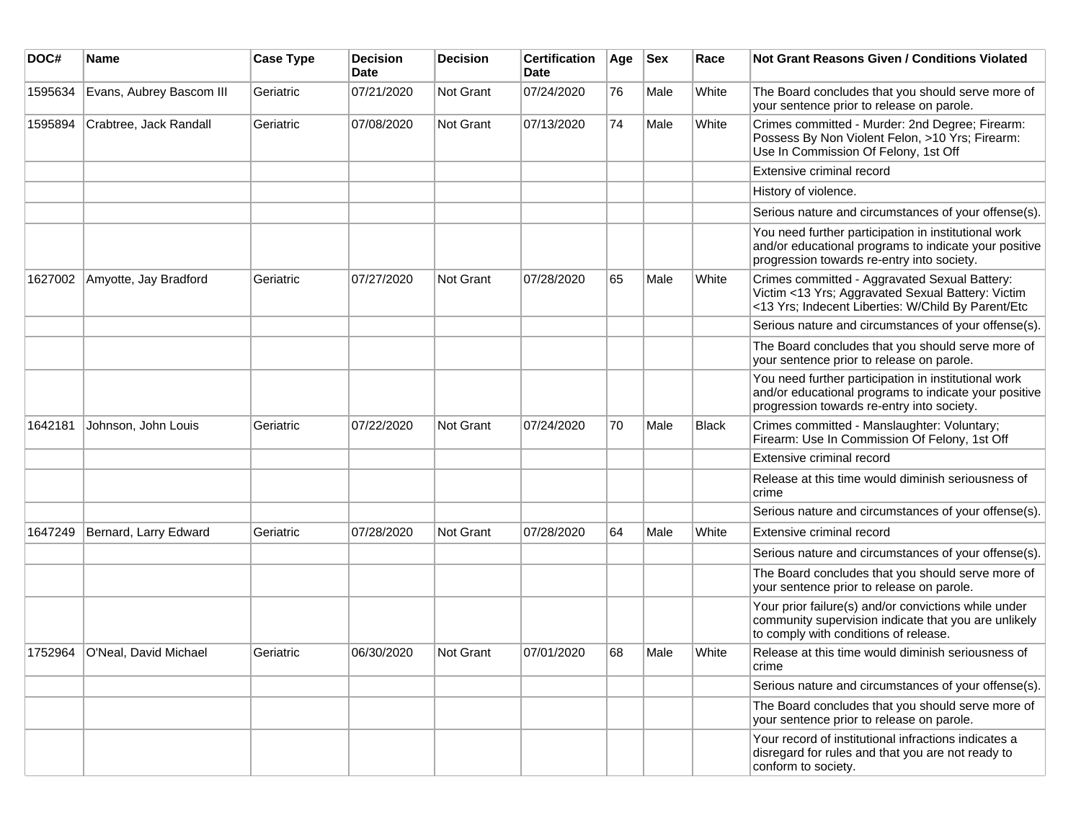| DOC#    | <b>Name</b>              | <b>Case Type</b> | <b>Decision</b><br><b>Date</b> | <b>Decision</b>  | <b>Certification</b><br>Date | Age | <b>Sex</b> | Race         | <b>Not Grant Reasons Given / Conditions Violated</b>                                                                                                        |
|---------|--------------------------|------------------|--------------------------------|------------------|------------------------------|-----|------------|--------------|-------------------------------------------------------------------------------------------------------------------------------------------------------------|
| 1595634 | Evans, Aubrey Bascom III | Geriatric        | 07/21/2020                     | Not Grant        | 07/24/2020                   | 76  | Male       | White        | The Board concludes that you should serve more of<br>your sentence prior to release on parole.                                                              |
| 1595894 | Crabtree, Jack Randall   | Geriatric        | 07/08/2020                     | Not Grant        | 07/13/2020                   | 74  | Male       | White        | Crimes committed - Murder: 2nd Degree; Firearm:<br>Possess By Non Violent Felon, >10 Yrs; Firearm:<br>Use In Commission Of Felony, 1st Off                  |
|         |                          |                  |                                |                  |                              |     |            |              | Extensive criminal record                                                                                                                                   |
|         |                          |                  |                                |                  |                              |     |            |              | History of violence.                                                                                                                                        |
|         |                          |                  |                                |                  |                              |     |            |              | Serious nature and circumstances of your offense(s).                                                                                                        |
|         |                          |                  |                                |                  |                              |     |            |              | You need further participation in institutional work<br>and/or educational programs to indicate your positive<br>progression towards re-entry into society. |
| 1627002 | Amyotte, Jay Bradford    | Geriatric        | 07/27/2020                     | Not Grant        | 07/28/2020                   | 65  | Male       | White        | Crimes committed - Aggravated Sexual Battery:<br>Victim <13 Yrs; Aggravated Sexual Battery: Victim<br><13 Yrs; Indecent Liberties: W/Child By Parent/Etc    |
|         |                          |                  |                                |                  |                              |     |            |              | Serious nature and circumstances of your offense(s).                                                                                                        |
|         |                          |                  |                                |                  |                              |     |            |              | The Board concludes that you should serve more of<br>your sentence prior to release on parole.                                                              |
|         |                          |                  |                                |                  |                              |     |            |              | You need further participation in institutional work<br>and/or educational programs to indicate your positive<br>progression towards re-entry into society. |
| 1642181 | Johnson, John Louis      | Geriatric        | 07/22/2020                     | Not Grant        | 07/24/2020                   | 70  | Male       | <b>Black</b> | Crimes committed - Manslaughter: Voluntary;<br>Firearm: Use In Commission Of Felony, 1st Off                                                                |
|         |                          |                  |                                |                  |                              |     |            |              | Extensive criminal record                                                                                                                                   |
|         |                          |                  |                                |                  |                              |     |            |              | Release at this time would diminish seriousness of<br>crime                                                                                                 |
|         |                          |                  |                                |                  |                              |     |            |              | Serious nature and circumstances of your offense(s).                                                                                                        |
| 1647249 | Bernard, Larry Edward    | Geriatric        | 07/28/2020                     | Not Grant        | 07/28/2020                   | 64  | Male       | White        | Extensive criminal record                                                                                                                                   |
|         |                          |                  |                                |                  |                              |     |            |              | Serious nature and circumstances of your offense(s).                                                                                                        |
|         |                          |                  |                                |                  |                              |     |            |              | The Board concludes that you should serve more of<br>your sentence prior to release on parole.                                                              |
|         |                          |                  |                                |                  |                              |     |            |              | Your prior failure(s) and/or convictions while under<br>community supervision indicate that you are unlikely<br>to comply with conditions of release.       |
| 1752964 | O'Neal, David Michael    | Geriatric        | 06/30/2020                     | <b>Not Grant</b> | 07/01/2020                   | 68  | Male       | White        | Release at this time would diminish seriousness of<br>crime                                                                                                 |
|         |                          |                  |                                |                  |                              |     |            |              | Serious nature and circumstances of your offense(s).                                                                                                        |
|         |                          |                  |                                |                  |                              |     |            |              | The Board concludes that you should serve more of<br>your sentence prior to release on parole.                                                              |
|         |                          |                  |                                |                  |                              |     |            |              | Your record of institutional infractions indicates a<br>disregard for rules and that you are not ready to<br>conform to society.                            |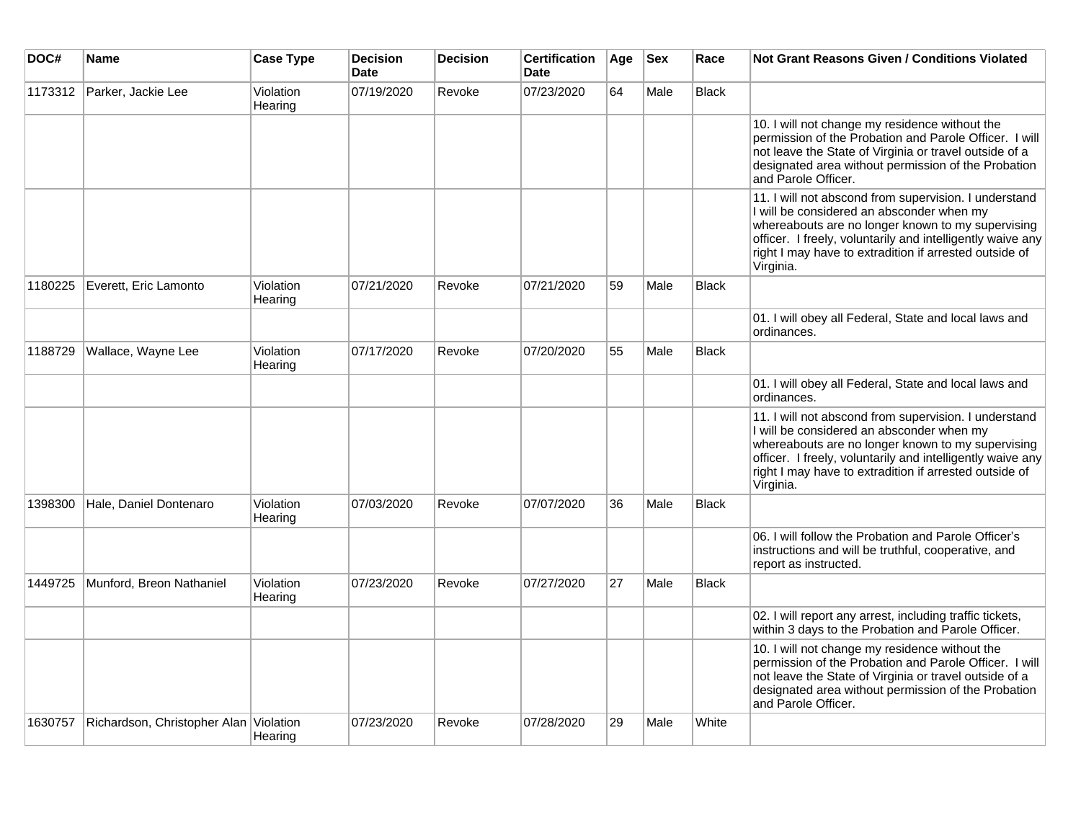| DOC#    | Name                                   | <b>Case Type</b>     | <b>Decision</b><br><b>Date</b> | <b>Decision</b> | <b>Certification</b><br><b>Date</b> | Age | <b>Sex</b> | Race         | <b>Not Grant Reasons Given / Conditions Violated</b>                                                                                                                                                                                                                                         |
|---------|----------------------------------------|----------------------|--------------------------------|-----------------|-------------------------------------|-----|------------|--------------|----------------------------------------------------------------------------------------------------------------------------------------------------------------------------------------------------------------------------------------------------------------------------------------------|
| 1173312 | Parker, Jackie Lee                     | Violation<br>Hearing | 07/19/2020                     | Revoke          | 07/23/2020                          | 64  | Male       | Black        |                                                                                                                                                                                                                                                                                              |
|         |                                        |                      |                                |                 |                                     |     |            |              | 10. I will not change my residence without the<br>permission of the Probation and Parole Officer. I will<br>not leave the State of Virginia or travel outside of a<br>designated area without permission of the Probation<br>and Parole Officer.                                             |
|         |                                        |                      |                                |                 |                                     |     |            |              | 11. I will not abscond from supervision. I understand<br>I will be considered an absconder when my<br>whereabouts are no longer known to my supervising<br>officer. I freely, voluntarily and intelligently waive any<br>right I may have to extradition if arrested outside of<br>Virginia. |
| 1180225 | Everett, Eric Lamonto                  | Violation<br>Hearing | 07/21/2020                     | Revoke          | 07/21/2020                          | 59  | Male       | <b>Black</b> |                                                                                                                                                                                                                                                                                              |
|         |                                        |                      |                                |                 |                                     |     |            |              | 01. I will obey all Federal, State and local laws and<br>ordinances.                                                                                                                                                                                                                         |
| 1188729 | Wallace, Wayne Lee                     | Violation<br>Hearing | 07/17/2020                     | Revoke          | 07/20/2020                          | 55  | Male       | <b>Black</b> |                                                                                                                                                                                                                                                                                              |
|         |                                        |                      |                                |                 |                                     |     |            |              | 01. I will obey all Federal, State and local laws and<br>ordinances.                                                                                                                                                                                                                         |
|         |                                        |                      |                                |                 |                                     |     |            |              | 11. I will not abscond from supervision. I understand<br>I will be considered an absconder when my<br>whereabouts are no longer known to my supervising<br>officer. I freely, voluntarily and intelligently waive any<br>right I may have to extradition if arrested outside of<br>Virginia. |
| 1398300 | Hale, Daniel Dontenaro                 | Violation<br>Hearing | 07/03/2020                     | Revoke          | 07/07/2020                          | 36  | Male       | <b>Black</b> |                                                                                                                                                                                                                                                                                              |
|         |                                        |                      |                                |                 |                                     |     |            |              | 06. I will follow the Probation and Parole Officer's<br>instructions and will be truthful, cooperative, and<br>report as instructed.                                                                                                                                                         |
| 1449725 | Munford, Breon Nathaniel               | Violation<br>Hearing | 07/23/2020                     | Revoke          | 07/27/2020                          | 27  | Male       | <b>Black</b> |                                                                                                                                                                                                                                                                                              |
|         |                                        |                      |                                |                 |                                     |     |            |              | 02. I will report any arrest, including traffic tickets,<br>within 3 days to the Probation and Parole Officer.                                                                                                                                                                               |
|         |                                        |                      |                                |                 |                                     |     |            |              | 10. I will not change my residence without the<br>permission of the Probation and Parole Officer. I will<br>not leave the State of Virginia or travel outside of a<br>designated area without permission of the Probation<br>and Parole Officer.                                             |
| 1630757 | Richardson, Christopher Alan Violation | Hearing              | 07/23/2020                     | Revoke          | 07/28/2020                          | 29  | Male       | White        |                                                                                                                                                                                                                                                                                              |